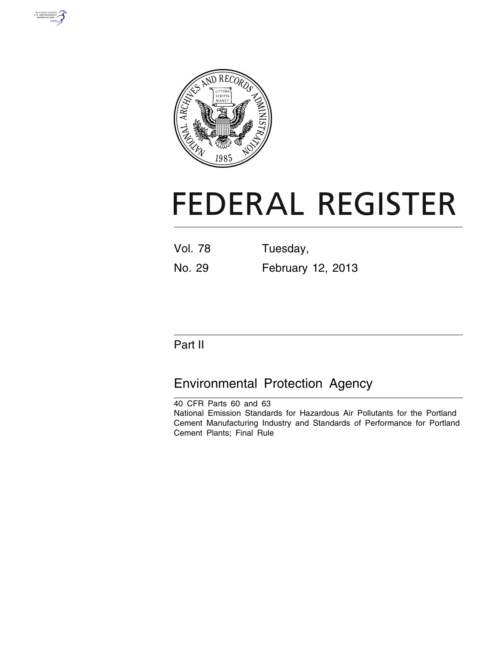



# **FEDERAL REGISTER**

Vol. 78 Tuesday, No. 29 February 12, 2013

# Part II

# Environmental Protection Agency

40 CFR Parts 60 and 63 National Emission Standards for Hazardous Air Pollutants for the Portland Cement Manufacturing Industry and Standards of Performance for Portland Cement Plants; Final Rule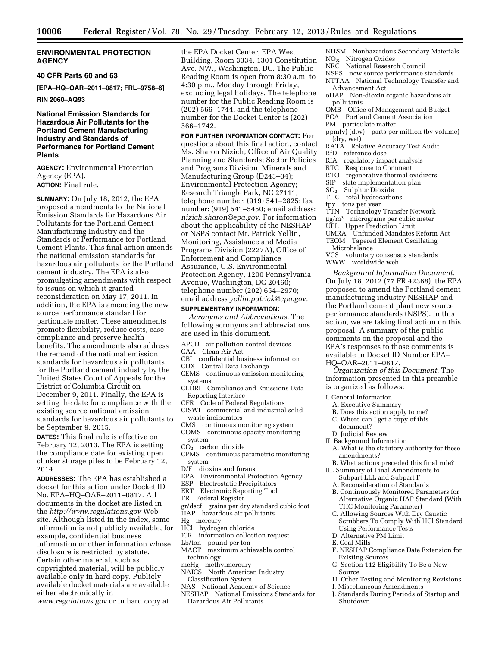#### **ENVIRONMENTAL PROTECTION AGENCY**

#### **40 CFR Parts 60 and 63**

**[EPA–HQ–OAR–2011–0817; FRL–9758–6]** 

#### **RIN 2060–AQ93**

#### **National Emission Standards for Hazardous Air Pollutants for the Portland Cement Manufacturing Industry and Standards of Performance for Portland Cement Plants**

**AGENCY:** Environmental Protection Agency (EPA). **ACTION:** Final rule.

**SUMMARY:** On July 18, 2012, the EPA proposed amendments to the National Emission Standards for Hazardous Air Pollutants for the Portland Cement Manufacturing Industry and the Standards of Performance for Portland Cement Plants. This final action amends the national emission standards for hazardous air pollutants for the Portland cement industry. The EPA is also promulgating amendments with respect to issues on which it granted reconsideration on May 17, 2011. In addition, the EPA is amending the new source performance standard for particulate matter. These amendments promote flexibility, reduce costs, ease compliance and preserve health benefits. The amendments also address the remand of the national emission standards for hazardous air pollutants for the Portland cement industry by the United States Court of Appeals for the District of Columbia Circuit on December 9, 2011. Finally, the EPA is setting the date for compliance with the existing source national emission standards for hazardous air pollutants to be September 9, 2015.

**DATES:** This final rule is effective on February 12, 2013. The EPA is setting the compliance date for existing open clinker storage piles to be February 12, 2014.

**ADDRESSES:** The EPA has established a docket for this action under Docket ID No. EPA–HQ–OAR–2011–0817. All documents in the docket are listed in the *<http://www.regulations.gov>*Web site. Although listed in the index, some information is not publicly available, for example, confidential business information or other information whose disclosure is restricted by statute. Certain other material, such as copyrighted material, will be publicly available only in hard copy. Publicly available docket materials are available either electronically in *[www.regulations.gov](http://www.regulations.gov)* or in hard copy at

the EPA Docket Center, EPA West Building, Room 3334, 1301 Constitution Ave. NW., Washington, DC. The Public Reading Room is open from 8:30 a.m. to 4:30 p.m., Monday through Friday, excluding legal holidays. The telephone number for the Public Reading Room is (202) 566–1744, and the telephone number for the Docket Center is (202) 566–1742.

**FOR FURTHER INFORMATION CONTACT:** For questions about this final action, contact Ms. Sharon Nizich, Office of Air Quality Planning and Standards; Sector Policies and Programs Division, Minerals and Manufacturing Group (D243–04); Environmental Protection Agency; Research Triangle Park, NC 27111; telephone number: (919) 541–2825; fax number: (919) 541–5450; email address: *[nizich.sharon@epa.gov.](mailto:nizich.sharon@epa.gov)* For information about the applicability of the NESHAP or NSPS contact Mr. Patrick Yellin, Monitoring, Assistance and Media Programs Division (2227A), Office of Enforcement and Compliance Assurance, U.S. Environmental Protection Agency, 1200 Pennsylvania Avenue, Washington, DC 20460; telephone number (202) 654–2970; email address *[yellin.patrick@epa.gov.](mailto:yellin.patrick@epa.gov)* 

#### **SUPPLEMENTARY INFORMATION:**

*Acronyms and Abbreviations.* The following acronyms and abbreviations are used in this document.

- APCD air pollution control devices
- CAA Clean Air Act
- CBI confidential business information
- CDX Central Data Exchange CEMS continuous emission monitoring
- systems
- CEDRI Compliance and Emissions Data Reporting Interface
- CFR<sup>-</sup> Code of Federal Regulations CISWI commercial and industrial solid
- waste incinerators
- CMS continuous monitoring system COMS continuous opacity monitoring
- system  $CO<sub>2</sub>$  carbon dioxide
- CPMS continuous parametric monitoring system
- D/F dioxins and furans
- EPA Environmental Protection Agency<br>ESP Electrostatic Precipitators
- ESP Electrostatic Precipitators<br>ERT Electronic Reporting Tool
- Electronic Reporting Tool
- FR Federal Register
- gr/dscf grains per dry standard cubic foot HAP hazardous air pollutants
- 
- Hg mercury
- HCl hydrogen chloride ICR information collection request
- Lb/ton pound per ton
- MACT maximum achievable control technology
- meHg methylmercury
- NAICS North American Industry Classification System
- NAS National Academy of Science
- NESHAP National Emissions Standards for Hazardous Air Pollutants
- NHSM Nonhazardous Secondary Materials NOX Nitrogen Oxides
- NRC National Research Council
- NSPS new source performance standards
- NTTAA National Technology Transfer and Advancement Act
- oHAP Non-dioxin organic hazardous air pollutants
- OMB Office of Management and Budget
- PCA Portland Cement Association
- PM particulate matter
- $ppm(\hat{v})$  (d,w) parts per million (by volume) (dry, wet)
- RATA Relative Accuracy Test Audit
- RfD reference dose
- RIA regulatory impact analysis
- RTC Response to Comment<br>RTO regenerative thermal of
- regenerative thermal oxidizers
- $SIP$  state implementation plan<br> $SO<sub>2</sub>$  Sulphur Dioxide
- Sulphur Dioxide
- THC total hydrocarbons
- tpy tons per year
- TTN Technology Transfer Network
- $\mu$ g/m<sup>3</sup> micrograms per cubic meter
- UPL Upper Prediction Limit
- UMRA Unfunded Mandates Reform Act
- TEOM Tapered Element Oscillating
- Microbalance
- VCS voluntary consensus standards WWW worldwide web

*Background Information Document.*  On July 18, 2012 (77 FR 42368), the EPA proposed to amend the Portland cement manufacturing industry NESHAP and the Portland cement plant new source performance standards (NSPS). In this action, we are taking final action on this proposal. A summary of the public comments on the proposal and the EPA's responses to those comments is available in Docket ID Number EPA– HQ–OAR–2011–0817.

*Organization of this Document.* The information presented in this preamble is organized as follows:

- I. General Information
- A. Executive Summary
- B. Does this action apply to me? C. Where can I get a copy of this
- document?
- D. Judicial Review
- II. Background Information
- A. What is the statutory authority for these amendments?
- B. What actions preceded this final rule?
- III. Summary of Final Amendments to Subpart LLL and Subpart F
	- A. Reconsideration of Standards
	- B. Continuously Monitored Parameters for Alternative Organic HAP Standard (With THC Monitoring Parameter)
	- C. Allowing Sources With Dry Caustic Scrubbers To Comply With HCl Standard Using Performance Tests
	- D. Alternative PM Limit
	- E. Coal Mills
	- F. NESHAP Compliance Date Extension for Existing Sources
- G. Section 112 Eligibility To Be a New Source
- H. Other Testing and Monitoring Revisions
- I. Miscellaneous Amendments
- J. Standards During Periods of Startup and Shutdown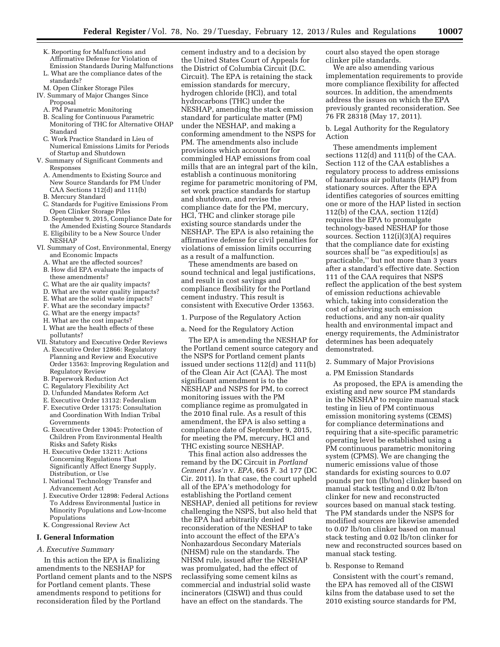- K. Reporting for Malfunctions and Affirmative Defense for Violation of Emission Standards During Malfunctions
- L. What are the compliance dates of the standards?
- M. Open Clinker Storage Piles
- IV. Summary of Major Changes Since Proposal
	- A. PM Parametric Monitoring
	- B. Scaling for Continuous Parametric Monitoring of THC for Alternative OHAP Standard
	- C. Work Practice Standard in Lieu of Numerical Emissions Limits for Periods of Startup and Shutdown
- V. Summary of Significant Comments and Responses
	- A. Amendments to Existing Source and New Source Standards for PM Under CAA Sections 112(d) and 111(b)
	- B. Mercury Standard
	- C. Standards for Fugitive Emissions From Open Clinker Storage Piles
	- D. September 9, 2015, Compliance Date for the Amended Existing Source Standards
	- E. Eligibility to be a New Source Under NESHAP
- VI. Summary of Cost, Environmental, Energy and Economic Impacts
	- A. What are the affected sources?
	- B. How did EPA evaluate the impacts of these amendments?
	- C. What are the air quality impacts?
	- D. What are the water quality impacts?
	- E. What are the solid waste impacts?
	- F. What are the secondary impacts?
	- G. What are the energy impacts?
	- H. What are the cost impacts?
	- I. What are the health effects of these pollutants?
- VII. Statutory and Executive Order Reviews
	- A. Executive Order 12866: Regulatory Planning and Review and Executive Order 13563: Improving Regulation and Regulatory Review
	- B. Paperwork Reduction Act
	- C. Regulatory Flexibility Act
	- D. Unfunded Mandates Reform Act
	- E. Executive Order 13132: Federalism
	- F. Executive Order 13175: Consultation and Coordination With Indian Tribal Governments
	- G. Executive Order 13045: Protection of Children From Environmental Health Risks and Safety Risks
	- H. Executive Order 13211: Actions Concerning Regulations That Significantly Affect Energy Supply, Distribution, or Use
	- I. National Technology Transfer and Advancement Act
	- J. Executive Order 12898: Federal Actions To Address Environmental Justice in Minority Populations and Low-Income Populations
- K. Congressional Review Act

#### **I. General Information**

#### *A. Executive Summary*

In this action the EPA is finalizing amendments to the NESHAP for Portland cement plants and to the NSPS for Portland cement plants. These amendments respond to petitions for reconsideration filed by the Portland

cement industry and to a decision by the United States Court of Appeals for the District of Columbia Circuit (D.C. Circuit). The EPA is retaining the stack emission standards for mercury, hydrogen chloride (HCl), and total hydrocarbons (THC) under the NESHAP, amending the stack emission standard for particulate matter (PM) under the NESHAP, and making a conforming amendment to the NSPS for PM. The amendments also include provisions which account for commingled HAP emissions from coal mills that are an integral part of the kiln, establish a continuous monitoring regime for parametric monitoring of PM, set work practice standards for startup and shutdown, and revise the compliance date for the PM, mercury, HCl, THC and clinker storage pile existing source standards under the NESHAP. The EPA is also retaining the affirmative defense for civil penalties for violations of emission limits occurring as a result of a malfunction.

These amendments are based on sound technical and legal justifications, and result in cost savings and compliance flexibility for the Portland cement industry. This result is consistent with Executive Order 13563.

1. Purpose of the Regulatory Action

a. Need for the Regulatory Action

The EPA is amending the NESHAP for the Portland cement source category and the NSPS for Portland cement plants issued under sections 112(d) and 111(b) of the Clean Air Act (CAA). The most significant amendment is to the NESHAP and NSPS for PM, to correct monitoring issues with the PM compliance regime as promulgated in the 2010 final rule. As a result of this amendment, the EPA is also setting a compliance date of September 9, 2015, for meeting the PM, mercury, HCl and THC existing source NESHAP.

This final action also addresses the remand by the DC Circuit in *Portland Cement Ass'n* v. *EPA,* 665 F. 3d 177 (DC Cir. 2011). In that case, the court upheld all of the EPA's methodology for establishing the Portland cement NESHAP, denied all petitions for review challenging the NSPS, but also held that the EPA had arbitrarily denied reconsideration of the NESHAP to take into account the effect of the EPA's Nonhazardous Secondary Materials (NHSM) rule on the standards. The NHSM rule, issued after the NESHAP was promulgated, had the effect of reclassifying some cement kilns as commercial and industrial solid waste incinerators (CISWI) and thus could have an effect on the standards. The

court also stayed the open storage clinker pile standards.

We are also amending various implementation requirements to provide more compliance flexibility for affected sources. In addition, the amendments address the issues on which the EPA previously granted reconsideration. See 76 FR 28318 (May 17, 2011).

#### b. Legal Authority for the Regulatory Action

These amendments implement sections 112(d) and 111(b) of the CAA. Section 112 of the CAA establishes a regulatory process to address emissions of hazardous air pollutants (HAP) from stationary sources. After the EPA identifies categories of sources emitting one or more of the HAP listed in section 112(b) of the CAA, section 112(d) requires the EPA to promulgate technology-based NESHAP for those sources. Section 112(i)(3)(A) requires that the compliance date for existing sources shall be ''as expeditiou[s] as practicable,'' but not more than 3 years after a standard's effective date. Section 111 of the CAA requires that NSPS reflect the application of the best system of emission reductions achievable which, taking into consideration the cost of achieving such emission reductions, and any non-air quality health and environmental impact and energy requirements, the Administrator determines has been adequately demonstrated.

#### 2. Summary of Major Provisions

a. PM Emission Standards

As proposed, the EPA is amending the existing and new source PM standards in the NESHAP to require manual stack testing in lieu of PM continuous emission monitoring systems (CEMS) for compliance determinations and requiring that a site-specific parametric operating level be established using a PM continuous parametric monitoring system (CPMS). We are changing the numeric emissions value of those standards for existing sources to 0.07 pounds per ton (lb/ton) clinker based on manual stack testing and 0.02 lb/ton clinker for new and reconstructed sources based on manual stack testing. The PM standards under the NSPS for modified sources are likewise amended to 0.07 lb/ton clinker based on manual stack testing and 0.02 lb/ton clinker for new and reconstructed sources based on manual stack testing.

#### b. Response to Remand

Consistent with the court's remand, the EPA has removed all of the CISWI kilns from the database used to set the 2010 existing source standards for PM,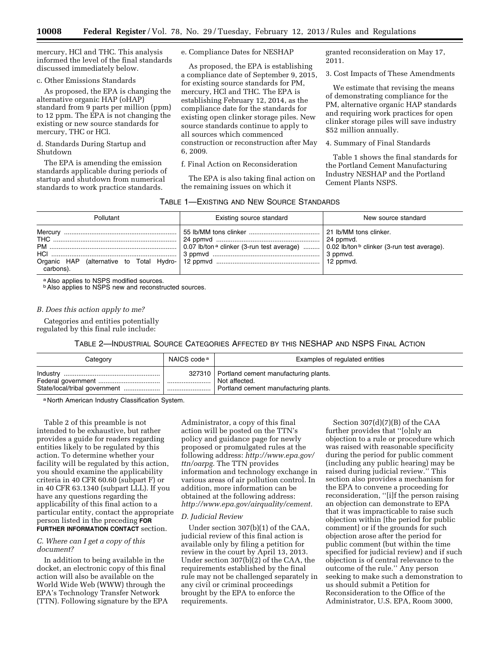mercury, HCl and THC. This analysis informed the level of the final standards discussed immediately below.

#### c. Other Emissions Standards

As proposed, the EPA is changing the alternative organic HAP (oHAP) standard from 9 parts per million (ppm) to 12 ppm. The EPA is not changing the existing or new source standards for mercury, THC or HCl.

d. Standards During Startup and Shutdown

The EPA is amending the emission standards applicable during periods of startup and shutdown from numerical standards to work practice standards.

e. Compliance Dates for NESHAP

As proposed, the EPA is establishing a compliance date of September 9, 2015, for existing source standards for PM, mercury, HCl and THC. The EPA is establishing February 12, 2014, as the compliance date for the standards for existing open clinker storage piles. New source standards continue to apply to all sources which commenced construction or reconstruction after May 6, 2009.

f. Final Action on Reconsideration

The EPA is also taking final action on the remaining issues on which it

#### TABLE 1—EXISTING AND NEW SOURCE STANDARDS

granted reconsideration on May 17, 2011.

3. Cost Impacts of These Amendments

We estimate that revising the means of demonstrating compliance for the PM, alternative organic HAP standards and requiring work practices for open clinker storage piles will save industry \$52 million annually.

4. Summary of Final Standards

Table 1 shows the final standards for the Portland Cement Manufacturing Industry NESHAP and the Portland Cement Plants NSPS.

| Pollutant | Existing source standard                                                                                      | New source standard |  |
|-----------|---------------------------------------------------------------------------------------------------------------|---------------------|--|
| carbons). | 0.07 lb/ton <sup>a</sup> clinker (3-run test average)  0.02 lb/ton <sup>b</sup> clinker (3-run test average). |                     |  |

a Also applies to NSPS modified sources.

**b** Also applies to NSPS new and reconstructed sources.

#### *B. Does this action apply to me?*

Categories and entities potentially regulated by this final rule include:

#### TABLE 2—INDUSTRIAL SOURCE CATEGORIES AFFECTED BY THIS NESHAP AND NSPS FINAL ACTION

| Category                      | NAICS code <sup>a</sup> | Examples of regulated entities                                                                           |
|-------------------------------|-------------------------|----------------------------------------------------------------------------------------------------------|
| State/local/tribal government | '                       | 327310   Portland cement manufacturing plants.<br>Not affected.<br>Portland cement manufacturing plants. |

a North American Industry Classification System.

Table 2 of this preamble is not intended to be exhaustive, but rather provides a guide for readers regarding entities likely to be regulated by this action. To determine whether your facility will be regulated by this action, you should examine the applicability criteria in 40 CFR 60.60 (subpart F) or in 40 CFR 63.1340 (subpart LLL). If you have any questions regarding the applicability of this final action to a particular entity, contact the appropriate person listed in the preceding **FOR FURTHER INFORMATION CONTACT** section.

#### *C. Where can I get a copy of this document?*

In addition to being available in the docket, an electronic copy of this final action will also be available on the World Wide Web (WWW) through the EPA's Technology Transfer Network (TTN). Following signature by the EPA Administrator, a copy of this final action will be posted on the TTN's policy and guidance page for newly proposed or promulgated rules at the following address: *[http://www.epa.gov/](http://www.epa.gov/ttn/oarpg) [ttn/oarpg.](http://www.epa.gov/ttn/oarpg)* The TTN provides information and technology exchange in various areas of air pollution control. In addition, more information can be obtained at the following address: *[http://www.epa.gov/airquality/cement.](http://www.epa.gov/airquality/cement)* 

#### *D. Judicial Review*

Under section 307(b)(1) of the CAA, judicial review of this final action is available only by filing a petition for review in the court by April 13, 2013. Under section 307(b)(2) of the CAA, the requirements established by the final rule may not be challenged separately in any civil or criminal proceedings brought by the EPA to enforce the requirements.

Section 307(d)(7)(B) of the CAA further provides that ''[o]nly an objection to a rule or procedure which was raised with reasonable specificity during the period for public comment (including any public hearing) may be raised during judicial review.'' This section also provides a mechanism for the EPA to convene a proceeding for reconsideration, "[i]f the person raising an objection can demonstrate to EPA that it was impracticable to raise such objection within [the period for public comment] or if the grounds for such objection arose after the period for public comment (but within the time specified for judicial review) and if such objection is of central relevance to the outcome of the rule.'' Any person seeking to make such a demonstration to us should submit a Petition for Reconsideration to the Office of the Administrator, U.S. EPA, Room 3000,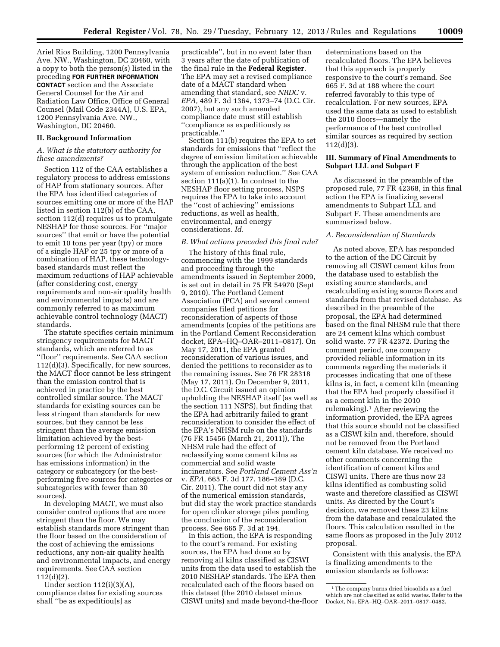Ariel Rios Building, 1200 Pennsylvania Ave. NW., Washington, DC 20460, with a copy to both the person(s) listed in the preceding **FOR FURTHER INFORMATION CONTACT** section and the Associate General Counsel for the Air and Radiation Law Office, Office of General Counsel (Mail Code 2344A), U.S. EPA, 1200 Pennsylvania Ave. NW., Washington, DC 20460.

#### **II. Background Information**

#### *A. What is the statutory authority for these amendments?*

Section 112 of the CAA establishes a regulatory process to address emissions of HAP from stationary sources. After the EPA has identified categories of sources emitting one or more of the HAP listed in section 112(b) of the CAA, section 112(d) requires us to promulgate NESHAP for those sources. For ''major sources'' that emit or have the potential to emit 10 tons per year (tpy) or more of a single HAP or 25 tpy or more of a combination of HAP, these technologybased standards must reflect the maximum reductions of HAP achievable (after considering cost, energy requirements and non-air quality health and environmental impacts) and are commonly referred to as maximum achievable control technology (MACT) standards.

The statute specifies certain minimum stringency requirements for MACT standards, which are referred to as ''floor'' requirements. See CAA section 112(d)(3). Specifically, for new sources, the MACT floor cannot be less stringent than the emission control that is achieved in practice by the best controlled similar source. The MACT standards for existing sources can be less stringent than standards for new sources, but they cannot be less stringent than the average emission limitation achieved by the bestperforming 12 percent of existing sources (for which the Administrator has emissions information) in the category or subcategory (or the bestperforming five sources for categories or subcategories with fewer than 30 sources).

In developing MACT, we must also consider control options that are more stringent than the floor. We may establish standards more stringent than the floor based on the consideration of the cost of achieving the emissions reductions, any non-air quality health and environmental impacts, and energy requirements. See CAA section 112(d)(2).

Under section 112(i)(3)(A), compliance dates for existing sources shall ''be as expeditiou[s] as

practicable'', but in no event later than 3 years after the date of publication of the final rule in the **Federal Register**. The EPA may set a revised compliance date of a MACT standard when amending that standard, see *NRDC* v. *EPA,* 489 F. 3d 1364, 1373–74 (D.C. Cir. 2007), but any such amended compliance date must still establish ''compliance as expeditiously as practicable.''

Section 111(b) requires the EPA to set standards for emissions that ''reflect the degree of emission limitation achievable through the application of the best system of emission reduction.'' See CAA section 111(a)(1). In contrast to the NESHAP floor setting process, NSPS requires the EPA to take into account the ''cost of achieving'' emissions reductions, as well as health, environmental, and energy considerations. *Id.* 

#### *B. What actions preceded this final rule?*

The history of this final rule, commencing with the 1999 standards and proceeding through the amendments issued in September 2009, is set out in detail in 75 FR 54970 (Sept 9, 2010). The Portland Cement Association (PCA) and several cement companies filed petitions for reconsideration of aspects of those amendments (copies of the petitions are in the Portland Cement Reconsideration docket, EPA–HQ–OAR–2011–0817). On May 17, 2011, the EPA granted reconsideration of various issues, and denied the petitions to reconsider as to the remaining issues. See 76 FR 28318 (May 17, 2011). On December 9, 2011, the D.C. Circuit issued an opinion upholding the NESHAP itself (as well as the section 111 NSPS), but finding that the EPA had arbitrarily failed to grant reconsideration to consider the effect of the EPA's NHSM rule on the standards (76 FR 15456 (March 21, 2011)), The NHSM rule had the effect of reclassifying some cement kilns as commercial and solid waste incinerators. See *Portland Cement Ass'n*  v. *EPA,* 665 F. 3d 177, 186–189 (D.C. Cir. 2011). The court did not stay any of the numerical emission standards, but did stay the work practice standards for open clinker storage piles pending the conclusion of the reconsideration process. See 665 F. 3d at 194.

In this action, the EPA is responding to the court's remand. For existing sources, the EPA had done so by removing all kilns classified as CISWI units from the data used to establish the 2010 NESHAP standards. The EPA then recalculated each of the floors based on this dataset (the 2010 dataset minus CISWI units) and made beyond-the-floor

determinations based on the recalculated floors. The EPA believes that this approach is properly responsive to the court's remand. See 665 F. 3d at 188 where the court referred favorably to this type of recalculation. For new sources, EPA used the same data as used to establish the 2010 floors—namely the performance of the best controlled similar sources as required by section 112(d)(3).

#### **III. Summary of Final Amendments to Subpart LLL and Subpart F**

As discussed in the preamble of the proposed rule, 77 FR 42368, in this final action the EPA is finalizing several amendments to Subpart LLL and Subpart F. These amendments are summarized below.

#### *A. Reconsideration of Standards*

As noted above, EPA has responded to the action of the DC Circuit by removing all CISWI cement kilns from the database used to establish the existing source standards, and recalculating existing source floors and standards from that revised database. As described in the preamble of the proposal, the EPA had determined based on the final NHSM rule that there are 24 cement kilns which combust solid waste. 77 FR 42372. During the comment period, one company provided reliable information in its comments regarding the materials it processes indicating that one of these kilns is, in fact, a cement kiln (meaning that the EPA had properly classified it as a cement kiln in the 2010 rulemaking).1 After reviewing the information provided, the EPA agrees that this source should not be classified as a CISWI kiln and, therefore, should not be removed from the Portland cement kiln database. We received no other comments concerning the identification of cement kilns and CISWI units. There are thus now 23 kilns identified as combusting solid waste and therefore classified as CISWI units. As directed by the Court's decision, we removed these 23 kilns from the database and recalculated the floors. This calculation resulted in the same floors as proposed in the July 2012 proposal.

Consistent with this analysis, the EPA is finalizing amendments to the emission standards as follows:

<sup>&</sup>lt;sup>1</sup>The company burns dried biosolids as a fuel which are not classified as solid wastes. Refer to the Docket, No. EPA–HQ–OAR–2011–0817–0482.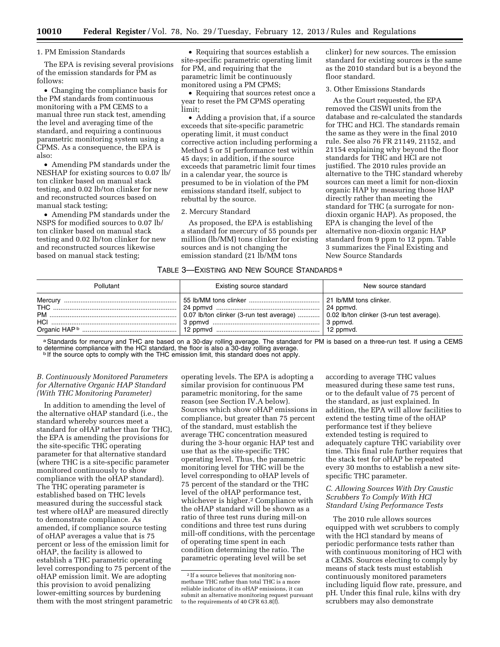#### 1. PM Emission Standards

The EPA is revising several provisions of the emission standards for PM as follows:

• Changing the compliance basis for the PM standards from continuous monitoring with a PM CEMS to a manual three run stack test, amending the level and averaging time of the standard, and requiring a continuous parametric monitoring system using a CPMS. As a consequence, the EPA is also:

• Amending PM standards under the NESHAP for existing sources to 0.07 lb/ ton clinker based on manual stack testing, and 0.02 lb/ton clinker for new and reconstructed sources based on manual stack testing;

• Amending PM standards under the NSPS for modified sources to 0.07 lb/ ton clinker based on manual stack testing and 0.02 lb/ton clinker for new and reconstructed sources likewise based on manual stack testing;

• Requiring that sources establish a site-specific parametric operating limit for PM, and requiring that the parametric limit be continuously monitored using a PM CPMS;

• Requiring that sources retest once a year to reset the PM CPMS operating limit;

• Adding a provision that, if a source exceeds that site-specific parametric operating limit, it must conduct corrective action including performing a Method 5 or 5I performance test within 45 days; in addition, if the source exceeds that parametric limit four times in a calendar year, the source is presumed to be in violation of the PM emissions standard itself, subject to rebuttal by the source.

#### 2. Mercury Standard

As proposed, the EPA is establishing a standard for mercury of 55 pounds per million (lb/MM) tons clinker for existing sources and is not changing the emission standard (21 lb/MM tons

clinker) for new sources. The emission standard for existing sources is the same as the 2010 standard but is a beyond the floor standard.

#### 3. Other Emissions Standards

As the Court requested, the EPA removed the CISWI units from the database and re-calculated the standards for THC and HCl. The standards remain the same as they were in the final 2010 rule. See also 76 FR 21149, 21152, and 21154 explaining why beyond the floor standards for THC and HCl are not justified. The 2010 rules provide an alternative to the THC standard whereby sources can meet a limit for non-dioxin organic HAP by measuring those HAP directly rather than meeting the standard for THC (a surrogate for nondioxin organic HAP). As proposed, the EPA is changing the level of the alternative non-dioxin organic HAP standard from 9 ppm to 12 ppm. Table 3 summarizes the Final Existing and New Source Standards

#### TABLE 3-EXISTING AND NEW SOURCE STANDARDS<sup>a</sup>

| Pollutant | Existing source standard                                                                         | New source standard |
|-----------|--------------------------------------------------------------------------------------------------|---------------------|
|           | $\mid$ 0.07 lb/ton clinker (3-run test average) $\mid$ 0.02 lb/ton clinker (3-run test average). |                     |

a Standards for mercury and THC are based on a 30-day rolling average. The standard for PM is based on a three-run test. If using a CEMS to determine compliance with the HCl standard, the floor is also a 30-day rolling average.<br>If the source opts to comply with the THC emission limit, this standard does not apply.

#### *B. Continuously Monitored Parameters for Alternative Organic HAP Standard (With THC Monitoring Parameter)*

In addition to amending the level of the alternative oHAP standard (i.e., the standard whereby sources meet a standard for oHAP rather than for THC), the EPA is amending the provisions for the site-specific THC operating parameter for that alternative standard (where THC is a site-specific parameter monitored continuously to show compliance with the oHAP standard). The THC operating parameter is established based on THC levels measured during the successful stack test where oHAP are measured directly to demonstrate compliance. As amended, if compliance source testing of oHAP averages a value that is 75 percent or less of the emission limit for oHAP, the facility is allowed to establish a THC parametric operating level corresponding to 75 percent of the oHAP emission limit. We are adopting this provision to avoid penalizing lower-emitting sources by burdening them with the most stringent parametric

operating levels. The EPA is adopting a similar provision for continuous PM parametric monitoring, for the same reason (see Section IV.A below). Sources which show oHAP emissions in compliance, but greater than 75 percent of the standard, must establish the average THC concentration measured during the 3-hour organic HAP test and use that as the site-specific THC operating level. Thus, the parametric monitoring level for THC will be the level corresponding to oHAP levels of 75 percent of the standard or the THC level of the oHAP performance test, whichever is higher.<sup>2</sup> Compliance with the oHAP standard will be shown as a ratio of three test runs during mill-on conditions and three test runs during mill-off conditions, with the percentage of operating time spent in each condition determining the ratio. The parametric operating level will be set

according to average THC values measured during these same test runs, or to the default value of 75 percent of the standard, as just explained. In addition, the EPA will allow facilities to extend the testing time of the oHAP performance test if they believe extended testing is required to adequately capture THC variability over time. This final rule further requires that the stack test for oHAP be repeated every 30 months to establish a new sitespecific THC parameter.

#### *C. Allowing Sources With Dry Caustic Scrubbers To Comply With HCl Standard Using Performance Tests*

The 2010 rule allows sources equipped with wet scrubbers to comply with the HCl standard by means of periodic performance tests rather than with continuous monitoring of HCl with a CEMS. Sources electing to comply by means of stack tests must establish continuously monitored parameters including liquid flow rate, pressure, and pH. Under this final rule, kilns with dry scrubbers may also demonstrate

<sup>&</sup>lt;sup>2</sup> If a source believes that monitoring nonmethane THC rather than total THC is a more reliable indicator of its oHAP emissions, it can submit an alternative monitoring request pursuant to the requirements of 40 CFR 63.8(f).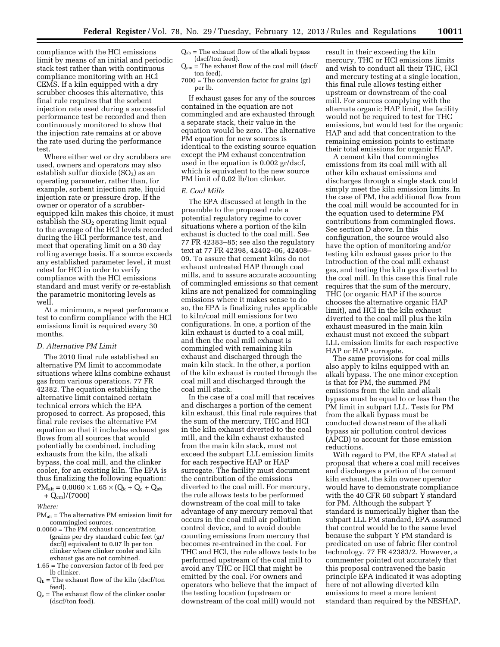compliance with the HCl emissions limit by means of an initial and periodic stack test rather than with continuous compliance monitoring with an HCl CEMS. If a kiln equipped with a dry scrubber chooses this alternative, this final rule requires that the sorbent injection rate used during a successful performance test be recorded and then continuously monitored to show that the injection rate remains at or above the rate used during the performance test.

Where either wet or dry scrubbers are used, owners and operators may also establish sulfur dioxide  $(SO<sub>2</sub>)$  as an operating parameter, rather than, for example, sorbent injection rate, liquid injection rate or pressure drop. If the owner or operator of a scrubberequipped kiln makes this choice, it must establish the  $SO<sub>2</sub>$  operating limit equal to the average of the HCl levels recorded during the HCl performance test, and meet that operating limit on a 30 day rolling average basis. If a source exceeds any established parameter level, it must retest for HCl in order to verify compliance with the HCl emissions standard and must verify or re-establish the parametric monitoring levels as well.

At a minimum, a repeat performance test to confirm compliance with the HCl emissions limit is required every 30 months.

#### *D. Alternative PM Limit*

The 2010 final rule established an alternative PM limit to accommodate situations where kilns combine exhaust gas from various operations. 77 FR 42382. The equation establishing the alternative limit contained certain technical errors which the EPA proposed to correct. As proposed, this final rule revises the alternative PM equation so that it includes exhaust gas flows from all sources that would potentially be combined, including exhausts from the kiln, the alkali bypass, the coal mill, and the clinker cooler, for an existing kiln. The EPA is thus finalizing the following equation:  $PM_{alt} = 0.0060 \times 1.65 \times (Q_k + Q_c + Q_{ab})$ 

 $+ Q_{cm}/(7000)$ 

*Where:* 

- $PM<sub>alt</sub>$  = The alternative PM emission limit for commingled sources.
- 0.0060 = The PM exhaust concentration (grains per dry standard cubic feet (gr/ dscf)) equivalent to 0.07 lb per ton clinker where clinker cooler and kiln exhaust gas are not combined.
- 1.65 = The conversion factor of lb feed per lb clinker.
- $Q_k$  = The exhaust flow of the kiln (dscf/ton feed).
- $Q_c$  = The exhaust flow of the clinker cooler (dscf/ton feed).

 $Q_{ab}$  = The exhaust flow of the alkali bypass (dscf/ton feed).

 $Q_{cm}$  = The exhaust flow of the coal mill (dscf/ ton feed).

7000 = The conversion factor for grains (gr) per lb.

If exhaust gases for any of the sources contained in the equation are not commingled and are exhausted through a separate stack, their value in the equation would be zero. The alternative PM equation for new sources is identical to the existing source equation except the PM exhaust concentration used in the equation is 0.002 gr/dscf, which is equivalent to the new source PM limit of 0.02 lb/ton clinker.

#### *E. Coal Mills*

The EPA discussed at length in the preamble to the proposed rule a potential regulatory regime to cover situations where a portion of the kiln exhaust is ducted to the coal mill. See 77 FR 42383–85; see also the regulatory text at 77 FR 42398, 42402–06, 42408– 09. To assure that cement kilns do not exhaust untreated HAP through coal mills, and to assure accurate accounting of commingled emissions so that cement kilns are not penalized for commingling emissions where it makes sense to do so, the EPA is finalizing rules applicable to kiln/coal mill emissions for two configurations. In one, a portion of the kiln exhaust is ducted to a coal mill, and then the coal mill exhaust is commingled with remaining kiln exhaust and discharged through the main kiln stack. In the other, a portion of the kiln exhaust is routed through the coal mill and discharged through the coal mill stack.

In the case of a coal mill that receives and discharges a portion of the cement kiln exhaust, this final rule requires that the sum of the mercury, THC and HCl in the kiln exhaust diverted to the coal mill, and the kiln exhaust exhausted from the main kiln stack, must not exceed the subpart LLL emission limits for each respective HAP or HAP surrogate. The facility must document the contribution of the emissions diverted to the coal mill. For mercury, the rule allows tests to be performed downstream of the coal mill to take advantage of any mercury removal that occurs in the coal mill air pollution control device, and to avoid double counting emissions from mercury that becomes re-entrained in the coal. For THC and HCl, the rule allows tests to be performed upstream of the coal mill to avoid any THC or HCl that might be emitted by the coal. For owners and operators who believe that the impact of the testing location (upstream or downstream of the coal mill) would not

result in their exceeding the kiln mercury, THC or HCl emissions limits and wish to conduct all their THC, HCl and mercury testing at a single location, this final rule allows testing either upstream or downstream of the coal mill. For sources complying with the alternate organic HAP limit, the facility would not be required to test for THC emissions, but would test for the organic HAP and add that concentration to the remaining emission points to estimate their total emissions for organic HAP.

A cement kiln that commingles emissions from its coal mill with all other kiln exhaust emissions and discharges through a single stack could simply meet the kiln emission limits. In the case of PM, the additional flow from the coal mill would be accounted for in the equation used to determine PM contributions from commingled flows. See section D above. In this configuration, the source would also have the option of monitoring and/or testing kiln exhaust gases prior to the introduction of the coal mill exhaust gas, and testing the kiln gas diverted to the coal mill. In this case this final rule requires that the sum of the mercury, THC (or organic HAP if the source chooses the alternative organic HAP limit), and HCl in the kiln exhaust diverted to the coal mill plus the kiln exhaust measured in the main kiln exhaust must not exceed the subpart LLL emission limits for each respective HAP or HAP surrogate.

The same provisions for coal mills also apply to kilns equipped with an alkali bypass. The one minor exception is that for PM, the summed PM emissions from the kiln and alkali bypass must be equal to or less than the PM limit in subpart LLL. Tests for PM from the alkali bypass must be conducted downstream of the alkali bypass air pollution control devices (APCD) to account for those emission reductions.

With regard to PM, the EPA stated at proposal that where a coal mill receives and discharges a portion of the cement kiln exhaust, the kiln owner operator would have to demonstrate compliance with the 40 CFR 60 subpart Y standard for PM. Although the subpart Y standard is numerically higher than the subpart LLL PM standard, EPA assumed that control would be to the same level because the subpart Y PM standard is predicated on use of fabric filer control technology. 77 FR 42383/2. However, a commenter pointed out accurately that this proposal contravened the basic principle EPA indicated it was adopting here of not allowing diverted kiln emissions to meet a more lenient standard than required by the NESHAP,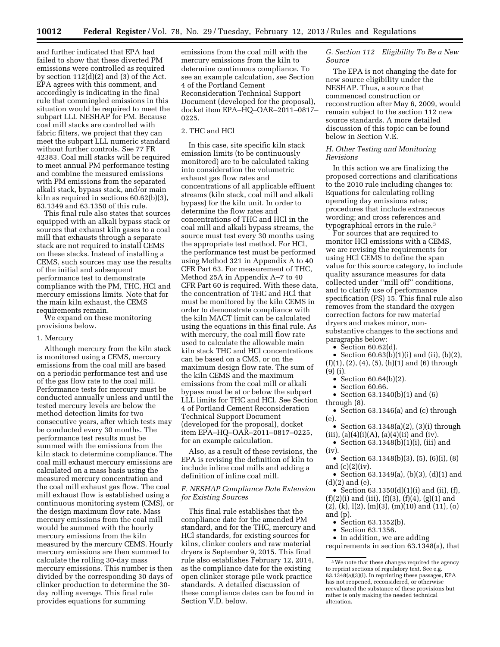and further indicated that EPA had failed to show that these diverted PM emissions were controlled as required by section 112(d)(2) and (3) of the Act. EPA agrees with this comment, and accordingly is indicating in the final rule that commingled emissions in this situation would be required to meet the subpart LLL NESHAP for PM. Because coal mill stacks are controlled with fabric filters, we project that they can meet the subpart LLL numeric standard without further controls. See 77 FR 42383. Coal mill stacks will be required to meet annual PM performance testing and combine the measured emissions with PM emissions from the separated alkali stack, bypass stack, and/or main kiln as required in sections 60.62(b)(3), 63.1349 and 63.1350 of this rule.

This final rule also states that sources equipped with an alkali bypass stack or sources that exhaust kiln gases to a coal mill that exhausts through a separate stack are not required to install CEMS on these stacks. Instead of installing a CEMS, such sources may use the results of the initial and subsequent performance test to demonstrate compliance with the PM, THC, HCl and mercury emissions limits. Note that for the main kiln exhaust, the CEMS requirements remain.

We expand on these monitoring provisions below.

#### 1. Mercury

Although mercury from the kiln stack is monitored using a CEMS, mercury emissions from the coal mill are based on a periodic performance test and use of the gas flow rate to the coal mill. Performance tests for mercury must be conducted annually unless and until the tested mercury levels are below the method detection limits for two consecutive years, after which tests may be conducted every 30 months. The performance test results must be summed with the emissions from the kiln stack to determine compliance. The coal mill exhaust mercury emissions are calculated on a mass basis using the measured mercury concentration and the coal mill exhaust gas flow. The coal mill exhaust flow is established using a continuous monitoring system (CMS), or the design maximum flow rate. Mass mercury emissions from the coal mill would be summed with the hourly mercury emissions from the kiln measured by the mercury CEMS. Hourly mercury emissions are then summed to calculate the rolling 30-day mass mercury emissions. This number is then divided by the corresponding 30 days of clinker production to determine the 30 day rolling average. This final rule provides equations for summing

emissions from the coal mill with the mercury emissions from the kiln to determine continuous compliance. To see an example calculation, see Section 4 of the Portland Cement Reconsideration Technical Support Document (developed for the proposal), docket item EPA–HQ–OAR–2011–0817– 0225.

#### 2. THC and HCl

In this case, site specific kiln stack emission limits (to be continuously monitored) are to be calculated taking into consideration the volumetric exhaust gas flow rates and concentrations of all applicable effluent streams (kiln stack, coal mill and alkali bypass) for the kiln unit. In order to determine the flow rates and concentrations of THC and HCl in the coal mill and alkali bypass streams, the source must test every 30 months using the appropriate test method. For HCl, the performance test must be performed using Method 321 in Appendix A to 40 CFR Part 63. For measurement of THC, Method 25A in Appendix A–7 to 40 CFR Part 60 is required. With these data, the concentration of THC and HCl that must be monitored by the kiln CEMS in order to demonstrate compliance with the kiln MACT limit can be calculated using the equations in this final rule. As with mercury, the coal mill flow rate used to calculate the allowable main kiln stack THC and HCl concentrations can be based on a CMS, or on the maximum design flow rate. The sum of the kiln CEMS and the maximum emissions from the coal mill or alkali bypass must be at or below the subpart LLL limits for THC and HCl. See Section 4 of Portland Cement Reconsideration Technical Support Document (developed for the proposal), docket item EPA–HQ–OAR–2011–0817–0225, for an example calculation.

Also, as a result of these revisions, the EPA is revising the definition of kiln to include inline coal mills and adding a definition of inline coal mill.

#### *F. NESHAP Compliance Date Extension for Existing Sources*

This final rule establishes that the compliance date for the amended PM standard, and for the THC, mercury and HCl standards, for existing sources for kilns, clinker coolers and raw material dryers is September 9, 2015. This final rule also establishes February 12, 2014, as the compliance date for the existing open clinker storage pile work practice standards. A detailed discussion of these compliance dates can be found in Section V.D. below.

#### *G. Section 112 Eligibility To Be a New Source*

The EPA is not changing the date for new source eligibility under the NESHAP. Thus, a source that commenced construction or reconstruction after May 6, 2009, would remain subject to the section 112 new source standards. A more detailed discussion of this topic can be found below in Section V.E.

#### *H. Other Testing and Monitoring Revisions*

In this action we are finalizing the proposed corrections and clarifications to the 2010 rule including changes to: Equations for calculating rolling operating day emissions rates; procedures that include extraneous wording; and cross references and typographical errors in the rule.3

For sources that are required to monitor HCl emissions with a CEMS, we are revising the requirements for using HCl CEMS to define the span value for this source category, to include quality assurance measures for data collected under ''mill off'' conditions, and to clarify use of performance specification (PS) 15. This final rule also removes from the standard the oxygen correction factors for raw material dryers and makes minor, nonsubstantive changes to the sections and paragraphs below:

• Section 60.62(d).

- Section  $60.63(b)(1)(i)$  and  $(ii)$ ,  $(b)(2)$ ,  $(f)(1), (2), (4), (5), (h)(1)$  and  $(6)$  through (9) (i).
	- Section 60.64(b)(2).
	- Section 60.66.
- Section 63.1340(b)(1) and (6) through (8).
- Section 63.1346(a) and (c) through (e).
- Section  $63.1348(a)(2)$ ,  $(3)(i)$  through  $(iii)$ ,  $(a)(4)(i)(A)$ ,  $(a)(4)(ii)$  and  $(iv)$ .
- Section 63.1348(b)(1)(i), (iii) and (iv).
- Section 63.1348(b)(3), (5), (6)(i), (8) and  $(c)(2)(iv)$ .
- Section 63.1349(a), (b)(3), (d)(1) and (d)(2) and (e).
- Section  $63.1350(d)(1)(i)$  and  $(ii)$ ,  $(f)$ ,  $(f)(2)(i)$  and  $(iii)$ ,  $(f)(3)$ ,  $(f)(4)$ ,  $(g)(1)$  and
- (2), (k), l(2), (m)(3), (m)(10) and (11), (o) and (p).
	- Section 63.1352(b).
	- Section 63.1356.

• In addition, we are adding

requirements in section 63.1348(a), that

<sup>3</sup>We note that these changes required the agency to reprint sections of regulatory text. See e.g. 63.1348(a)(3)(i). In reprinting these passages, EPA has not reopened, reconsidered, or otherwise reevaluated the substance of these provisions but rather is only making the needed technical alteration.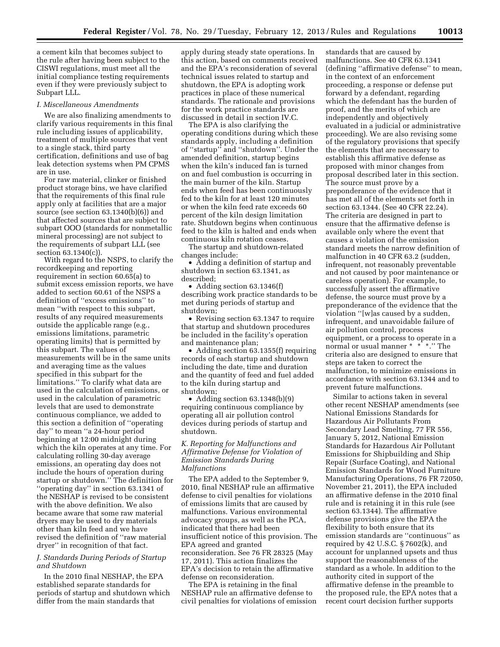a cement kiln that becomes subject to the rule after having been subject to the CISWI regulations, must meet all the initial compliance testing requirements even if they were previously subject to Subpart LLL.

#### *I. Miscellaneous Amendments*

We are also finalizing amendments to clarify various requirements in this final rule including issues of applicability, treatment of multiple sources that vent to a single stack, third party certification, definitions and use of bag leak detection systems when PM CPMS are in use.

For raw material, clinker or finished product storage bins, we have clarified that the requirements of this final rule apply only at facilities that are a major source (see section 63.1340(b)(6)) and that affected sources that are subject to subpart OOO (standards for nonmetallic mineral processing) are not subject to the requirements of subpart LLL (see section 63.1340(c)).

With regard to the NSPS, to clarify the recordkeeping and reporting requirement in section 60.65(a) to submit excess emission reports, we have added to section 60.61 of the NSPS a definition of ''excess emissions'' to mean ''with respect to this subpart, results of any required measurements outside the applicable range (e.g., emissions limitations, parametric operating limits) that is permitted by this subpart. The values of measurements will be in the same units and averaging time as the values specified in this subpart for the limitations.'' To clarify what data are used in the calculation of emissions, or used in the calculation of parametric levels that are used to demonstrate continuous compliance, we added to this section a definition of ''operating day'' to mean ''a 24-hour period beginning at 12:00 midnight during which the kiln operates at any time. For calculating rolling 30-day average emissions, an operating day does not include the hours of operation during startup or shutdown.'' The definition for ''operating day'' in section 63.1341 of the NESHAP is revised to be consistent with the above definition. We also became aware that some raw material dryers may be used to dry materials other than kiln feed and we have revised the definition of ''raw material dryer'' in recognition of that fact.

#### *J. Standards During Periods of Startup and Shutdown*

In the 2010 final NESHAP, the EPA established separate standards for periods of startup and shutdown which differ from the main standards that

apply during steady state operations. In this action, based on comments received and the EPA's reconsideration of several technical issues related to startup and shutdown, the EPA is adopting work practices in place of these numerical standards. The rationale and provisions for the work practice standards are discussed in detail in section IV.C.

The EPA is also clarifying the operating conditions during which these standards apply, including a definition of ''startup'' and ''shutdown''. Under the amended definition, startup begins when the kiln's induced fan is turned on and fuel combustion is occurring in the main burner of the kiln. Startup ends when feed has been continuously fed to the kiln for at least 120 minutes or when the kiln feed rate exceeds 60 percent of the kiln design limitation rate. Shutdown begins when continuous feed to the kiln is halted and ends when continuous kiln rotation ceases.

The startup and shutdown-related changes include:

• Adding a definition of startup and shutdown in section 63.1341, as described;

• Adding section 63.1346(f) describing work practice standards to be met during periods of startup and shutdown;

• Revising section 63.1347 to require that startup and shutdown procedures be included in the facility's operation and maintenance plan;

• Adding section 63.1355(f) requiring records of each startup and shutdown including the date, time and duration and the quantity of feed and fuel added to the kiln during startup and shutdown;

• Adding section 63.1348(b)(9) requiring continuous compliance by operating all air pollution control devices during periods of startup and shutdown.

#### *K. Reporting for Malfunctions and Affirmative Defense for Violation of Emission Standards During Malfunctions*

The EPA added to the September 9, 2010, final NESHAP rule an affirmative defense to civil penalties for violations of emissions limits that are caused by malfunctions. Various environmental advocacy groups, as well as the PCA, indicated that there had been insufficient notice of this provision. The EPA agreed and granted reconsideration. See 76 FR 28325 (May 17, 2011). This action finalizes the EPA's decision to retain the affirmative defense on reconsideration.

The EPA is retaining in the final NESHAP rule an affirmative defense to civil penalties for violations of emission

standards that are caused by malfunctions. See 40 CFR 63.1341 (defining ''affirmative defense'' to mean, in the context of an enforcement proceeding, a response or defense put forward by a defendant, regarding which the defendant has the burden of proof, and the merits of which are independently and objectively evaluated in a judicial or administrative proceeding). We are also revising some of the regulatory provisions that specify the elements that are necessary to establish this affirmative defense as proposed with minor changes from proposal described later in this section. The source must prove by a preponderance of the evidence that it has met all of the elements set forth in section 63.1344. (See 40 CFR 22.24). The criteria are designed in part to ensure that the affirmative defense is available only where the event that causes a violation of the emission standard meets the narrow definition of malfunction in 40 CFR 63.2 (sudden, infrequent, not reasonably preventable and not caused by poor maintenance or careless operation). For example, to successfully assert the affirmative defense, the source must prove by a preponderance of the evidence that the violation ''[w]as caused by a sudden, infrequent, and unavoidable failure of air pollution control, process equipment, or a process to operate in a normal or usual manner \* \* \*.'' The criteria also are designed to ensure that steps are taken to correct the malfunction, to minimize emissions in accordance with section 63.1344 and to prevent future malfunctions.

Similar to actions taken in several other recent NESHAP amendments (see National Emissions Standards for Hazardous Air Pollutants From Secondary Lead Smelting, 77 FR 556, January 5, 2012, National Emission Standards for Hazardous Air Pollutant Emissions for Shipbuilding and Ship Repair (Surface Coating), and National Emission Standards for Wood Furniture Manufacturing Operations, 76 FR 72050, November 21, 2011), the EPA included an affirmative defense in the 2010 final rule and is retaining it in this rule (see section 63.1344). The affirmative defense provisions give the EPA the flexibility to both ensure that its emission standards are ''continuous'' as required by 42 U.S.C. § 7602(k), and account for unplanned upsets and thus support the reasonableness of the standard as a whole. In addition to the authority cited in support of the affirmative defense in the preamble to the proposed rule, the EPA notes that a recent court decision further supports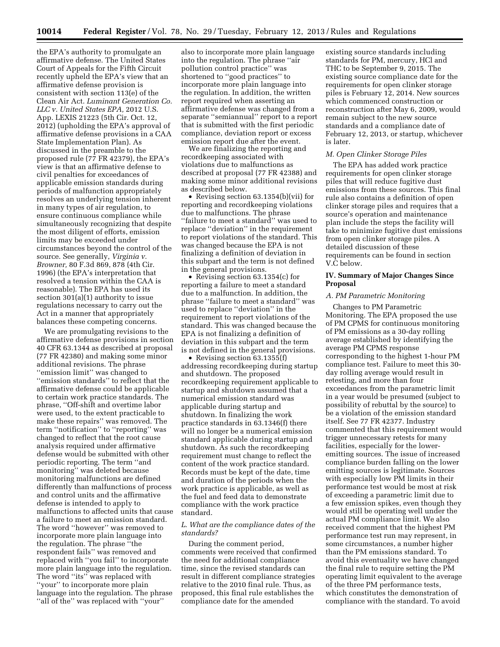the EPA's authority to promulgate an affirmative defense. The United States Court of Appeals for the Fifth Circuit recently upheld the EPA's view that an affirmative defense provision is consistent with section 113(e) of the Clean Air Act. *Luminant Generation Co. LLC v. United States EPA,* 2012 U.S. App. LEXIS 21223 (5th Cir. Oct. 12, 2012) (upholding the EPA's approval of affirmative defense provisions in a CAA State Implementation Plan). As discussed in the preamble to the proposed rule (77 FR 42379), the EPA's view is that an affirmative defense to civil penalties for exceedances of applicable emission standards during periods of malfunction appropriately resolves an underlying tension inherent in many types of air regulation, to ensure continuous compliance while simultaneously recognizing that despite the most diligent of efforts, emission limits may be exceeded under circumstances beyond the control of the source. See generally, *Virginia v. Browner,* 80 F.3d 869, 878 (4th Cir. 1996) (the EPA's interpretation that resolved a tension within the CAA is reasonable). The EPA has used its section 301(a)(1) authority to issue regulations necessary to carry out the Act in a manner that appropriately balances these competing concerns.

We are promulgating revisions to the affirmative defense provisions in section 40 CFR 63.1344 as described at proposal (77 FR 42380) and making some minor additional revisions. The phrase ''emission limit'' was changed to ''emission standards'' to reflect that the affirmative defense could be applicable to certain work practice standards. The phrase, ''Off-shift and overtime labor were used, to the extent practicable to make these repairs'' was removed. The term ''notification'' to ''reporting'' was changed to reflect that the root cause analysis required under affirmative defense would be submitted with other periodic reporting. The term ''and monitoring'' was deleted because monitoring malfunctions are defined differently than malfunctions of process and control units and the affirmative defense is intended to apply to malfunctions to affected units that cause a failure to meet an emission standard. The word ''however'' was removed to incorporate more plain language into the regulation. The phrase ''the respondent fails'' was removed and replaced with ''you fail'' to incorporate more plain language into the regulation. The word "its" was replaced with ''your'' to incorporate more plain language into the regulation. The phrase ''all of the'' was replaced with ''your''

also to incorporate more plain language into the regulation. The phrase ''air pollution control practice'' was shortened to ''good practices'' to incorporate more plain language into the regulation. In addition, the written report required when asserting an affirmative defense was changed from a separate ''semiannual'' report to a report that is submitted with the first periodic compliance, deviation report or excess emission report due after the event.

We are finalizing the reporting and recordkeeping associated with violations due to malfunctions as described at proposal (77 FR 42388) and making some minor additional revisions as described below.

• Revising section 63.1354(b)(vii) for reporting and recordkeeping violations due to malfunctions. The phrase ''failure to meet a standard'' was used to replace ''deviation'' in the requirement to report violations of the standard. This was changed because the EPA is not finalizing a definition of deviation in this subpart and the term is not defined in the general provisions.

• Revising section 63.1354(c) for reporting a failure to meet a standard due to a malfunction. In addition, the phrase ''failure to meet a standard'' was used to replace ''deviation'' in the requirement to report violations of the standard. This was changed because the EPA is not finalizing a definition of deviation in this subpart and the term is not defined in the general provisions.

• Revising section 63.1355(f) addressing recordkeeping during startup and shutdown. The proposed recordkeeping requirement applicable to startup and shutdown assumed that a numerical emission standard was applicable during startup and shutdown. In finalizing the work practice standards in 63.1346(f) there will no longer be a numerical emission standard applicable during startup and shutdown. As such the recordkeeping requirement must change to reflect the content of the work practice standard. Records must be kept of the date, time and duration of the periods when the work practice is applicable, as well as the fuel and feed data to demonstrate compliance with the work practice standard.

#### *L. What are the compliance dates of the standards?*

During the comment period, comments were received that confirmed the need for additional compliance time, since the revised standards can result in different compliance strategies relative to the 2010 final rule. Thus, as proposed, this final rule establishes the compliance date for the amended

existing source standards including standards for PM, mercury, HCl and THC to be September 9, 2015. The existing source compliance date for the requirements for open clinker storage piles is February 12, 2014. New sources which commenced construction or reconstruction after May 6, 2009, would remain subject to the new source standards and a compliance date of February 12, 2013, or startup, whichever is later.

#### *M. Open Clinker Storage Piles*

The EPA has added work practice requirements for open clinker storage piles that will reduce fugitive dust emissions from these sources. This final rule also contains a definition of open clinker storage piles and requires that a source's operation and maintenance plan include the steps the facility will take to minimize fugitive dust emissions from open clinker storage piles. A detailed discussion of these requirements can be found in section V.C below.

#### **IV. Summary of Major Changes Since Proposal**

#### *A. PM Parametric Monitoring*

Changes to PM Parametric Monitoring. The EPA proposed the use of PM CPMS for continuous monitoring of PM emissions as a 30-day rolling average established by identifying the average PM CPMS response corresponding to the highest 1-hour PM compliance test. Failure to meet this 30 day rolling average would result in retesting, and more than four exceedances from the parametric limit in a year would be presumed (subject to possibility of rebuttal by the source) to be a violation of the emission standard itself. See 77 FR 42377. Industry commented that this requirement would trigger unnecessary retests for many facilities, especially for the loweremitting sources. The issue of increased compliance burden falling on the lower emitting sources is legitimate. Sources with especially low PM limits in their performance test would be most at risk of exceeding a parametric limit due to a few emission spikes, even though they would still be operating well under the actual PM compliance limit. We also received comment that the highest PM performance test run may represent, in some circumstances, a number higher than the PM emissions standard. To avoid this eventuality we have changed the final rule to require setting the PM operating limit equivalent to the average of the three PM performance tests, which constitutes the demonstration of compliance with the standard. To avoid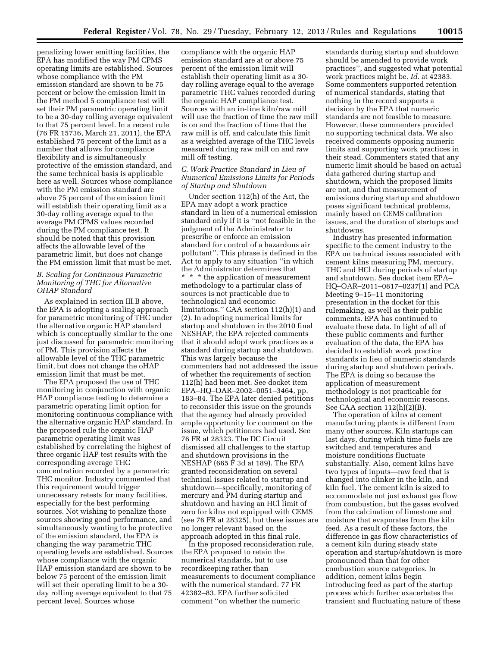penalizing lower emitting facilities, the EPA has modified the way PM CPMS operating limits are established. Sources whose compliance with the PM emission standard are shown to be 75 percent or below the emission limit in the PM method 5 compliance test will set their PM parametric operating limit to be a 30-day rolling average equivalent to that 75 percent level. In a recent rule (76 FR 15736, March 21, 2011), the EPA established 75 percent of the limit as a number that allows for compliance flexibility and is simultaneously protective of the emission standard, and the same technical basis is applicable here as well. Sources whose compliance with the PM emission standard are above 75 percent of the emission limit will establish their operating limit as a 30-day rolling average equal to the average PM CPMS values recorded during the PM compliance test. It should be noted that this provision affects the allowable level of the parametric limit, but does not change the PM emission limit that must be met.

#### *B. Scaling for Continuous Parametric Monitoring of THC for Alternative OHAP Standard*

As explained in section III.B above, the EPA is adopting a scaling approach for parametric monitoring of THC under the alternative organic HAP standard which is conceptually similar to the one just discussed for parametric monitoring of PM. This provision affects the allowable level of the THC parametric limit, but does not change the oHAP emission limit that must be met.

The EPA proposed the use of THC monitoring in conjunction with organic HAP compliance testing to determine a parametric operating limit option for monitoring continuous compliance with the alternative organic HAP standard. In the proposed rule the organic HAP parametric operating limit was established by correlating the highest of three organic HAP test results with the corresponding average THC concentration recorded by a parametric THC monitor. Industry commented that this requirement would trigger unnecessary retests for many facilities, especially for the best performing sources. Not wishing to penalize those sources showing good performance, and simultaneously wanting to be protective of the emission standard, the EPA is changing the way parametric THC operating levels are established. Sources whose compliance with the organic HAP emission standard are shown to be below 75 percent of the emission limit will set their operating limit to be a 30 day rolling average equivalent to that 75 percent level. Sources whose

compliance with the organic HAP emission standard are at or above 75 percent of the emission limit will establish their operating limit as a 30 day rolling average equal to the average parametric THC values recorded during the organic HAP compliance test. Sources with an in-line kiln/raw mill will use the fraction of time the raw mill is on and the fraction of time that the raw mill is off, and calculate this limit as a weighted average of the THC levels measured during raw mill on and raw mill off testing.

#### *C. Work Practice Standard in Lieu of Numerical Emissions Limits for Periods of Startup and Shutdown*

Under section 112(h) of the Act, the EPA may adopt a work practice standard in lieu of a numerical emission standard only if it is ''not feasible in the judgment of the Administrator to prescribe or enforce an emission standard for control of a hazardous air pollutant''. This phrase is defined in the Act to apply to any situation ''in which the Administrator determines that \* \* \* the application of measurement methodology to a particular class of sources is not practicable due to technological and economic limitations.'' CAA section 112(h)(1) and (2). In adopting numerical limits for startup and shutdown in the 2010 final NESHAP, the EPA rejected comments that it should adopt work practices as a standard during startup and shutdown. This was largely because the commenters had not addressed the issue of whether the requirements of section 112(h) had been met. See docket item EPA–HQ–OAR–2002–0051–3464, pp. 183–84. The EPA later denied petitions to reconsider this issue on the grounds that the agency had already provided ample opportunity for comment on the issue, which petitioners had used. See 76 FR at 28323. The DC Circuit dismissed all challenges to the startup and shutdown provisions in the NESHAP (665 F 3d at 189). The EPA granted reconsideration on several technical issues related to startup and shutdown—specifically, monitoring of mercury and PM during startup and shutdown and having an HCl limit of zero for kilns not equipped with CEMS (see 76 FR at 28325), but these issues are no longer relevant based on the approach adopted in this final rule.

In the proposed reconsideration rule, the EPA proposed to retain the numerical standards, but to use recordkeeping rather than measurements to document compliance with the numerical standard. 77 FR 42382–83. EPA further solicited comment ''on whether the numeric

standards during startup and shutdown should be amended to provide work practices'', and suggested what potential work practices might be. *Id.* at 42383. Some commenters supported retention of numerical standards, stating that nothing in the record supports a decision by the EPA that numeric standards are not feasible to measure. However, these commenters provided no supporting technical data. We also received comments opposing numeric limits and supporting work practices in their stead. Commenters stated that any numeric limit should be based on actual data gathered during startup and shutdown, which the proposed limits are not, and that measurement of emissions during startup and shutdown poses significant technical problems, mainly based on CEMS calibration issues, and the duration of startups and shutdowns.

Industry has presented information specific to the cement industry to the EPA on technical issues associated with cement kilns measuring PM, mercury, THC and HCl during periods of startup and shutdown. See docket item EPA– HQ–OAR–2011–0817–0237[1] and PCA Meeting 9–15–11 monitoring presentation in the docket for this rulemaking, as well as their public comments. EPA has continued to evaluate these data. In light of all of these public comments and further evaluation of the data, the EPA has decided to establish work practice standards in lieu of numeric standards during startup and shutdown periods. The EPA is doing so because the application of measurement methodology is not practicable for technological and economic reasons. See CAA section 112(h)(2)(B).

The operation of kilns at cement manufacturing plants is different from many other sources. Kiln startups can last days, during which time fuels are switched and temperatures and moisture conditions fluctuate substantially. Also, cement kilns have two types of inputs—raw feed that is changed into clinker in the kiln, and kiln fuel. The cement kiln is sized to accommodate not just exhaust gas flow from combustion, but the gases evolved from the calcination of limestone and moisture that evaporates from the kiln feed. As a result of these factors, the difference in gas flow characteristics of a cement kiln during steady state operation and startup/shutdown is more pronounced than that for other combustion source categories. In addition, cement kilns begin introducing feed as part of the startup process which further exacerbates the transient and fluctuating nature of these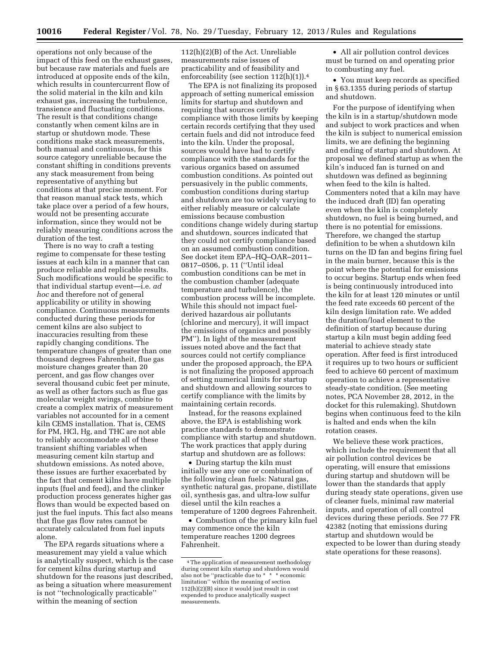operations not only because of the impact of this feed on the exhaust gases, but because raw materials and fuels are introduced at opposite ends of the kiln, which results in countercurrent flow of the solid material in the kiln and kiln exhaust gas, increasing the turbulence, transience and fluctuating conditions. The result is that conditions change constantly when cement kilns are in startup or shutdown mode. These conditions make stack measurements, both manual and continuous, for this source category unreliable because the constant shifting in conditions prevents any stack measurement from being representative of anything but conditions at that precise moment. For that reason manual stack tests, which take place over a period of a few hours, would not be presenting accurate information, since they would not be reliably measuring conditions across the duration of the test.

There is no way to craft a testing regime to compensate for these testing issues at each kiln in a manner that can produce reliable and replicable results. Such modifications would be specific to that individual startup event—i.e. *ad hoc* and therefore not of general applicability or utility in showing compliance. Continuous measurements conducted during these periods for cement kilns are also subject to inaccuracies resulting from these rapidly changing conditions. The temperature changes of greater than one thousand degrees Fahrenheit, flue gas moisture changes greater than 20 percent, and gas flow changes over several thousand cubic feet per minute, as well as other factors such as flue gas molecular weight swings, combine to create a complex matrix of measurement variables not accounted for in a cement kiln CEMS installation. That is, CEMS for PM, HCl, Hg, and THC are not able to reliably accommodate all of these transient shifting variables when measuring cement kiln startup and shutdown emissions. As noted above, these issues are further exacerbated by the fact that cement kilns have multiple inputs (fuel and feed), and the clinker production process generates higher gas flows than would be expected based on just the fuel inputs. This fact also means that flue gas flow rates cannot be accurately calculated from fuel inputs alone.

The EPA regards situations where a measurement may yield a value which is analytically suspect, which is the case for cement kilns during startup and shutdown for the reasons just described, as being a situation where measurement is not ''technologically practicable'' within the meaning of section

112(h)(2)(B) of the Act. Unreliable measurements raise issues of practicability and of feasibility and enforceability (see section 112(h)(1)).4

The EPA is not finalizing its proposed approach of setting numerical emission limits for startup and shutdown and requiring that sources certify compliance with those limits by keeping certain records certifying that they used certain fuels and did not introduce feed into the kiln. Under the proposal, sources would have had to certify compliance with the standards for the various organics based on assumed combustion conditions. As pointed out persuasively in the public comments, combustion conditions during startup and shutdown are too widely varying to either reliably measure or calculate emissions because combustion conditions change widely during startup and shutdown, sources indicated that they could not certify compliance based on an assumed combustion condition. See docket item EPA–HQ–OAR–2011– 0817–0506, p. 11 (''Until ideal combustion conditions can be met in the combustion chamber (adequate temperature and turbulence), the combustion process will be incomplete. While this should not impact fuelderived hazardous air pollutants (chlorine and mercury), it will impact the emissions of organics and possibly PM''). In light of the measurement issues noted above and the fact that sources could not certify compliance under the proposed approach, the EPA is not finalizing the proposed approach of setting numerical limits for startup and shutdown and allowing sources to certify compliance with the limits by maintaining certain records.

Instead, for the reasons explained above, the EPA is establishing work practice standards to demonstrate compliance with startup and shutdown. The work practices that apply during startup and shutdown are as follows:

• During startup the kiln must initially use any one or combination of the following clean fuels: Natural gas, synthetic natural gas, propane, distillate oil, synthesis gas, and ultra-low sulfur diesel until the kiln reaches a temperature of 1200 degrees Fahrenheit.

• Combustion of the primary kiln fuel may commence once the kiln temperature reaches 1200 degrees Fahrenheit.

• All air pollution control devices must be turned on and operating prior to combusting any fuel.

• You must keep records as specified in § 63.1355 during periods of startup and shutdown.

For the purpose of identifying when the kiln is in a startup/shutdown mode and subject to work practices and when the kiln is subject to numerical emission limits, we are defining the beginning and ending of startup and shutdown. At proposal we defined startup as when the kiln's induced fan is turned on and shutdown was defined as beginning when feed to the kiln is halted. Commenters noted that a kiln may have the induced draft (ID) fan operating even when the kiln is completely shutdown, no fuel is being burned, and there is no potential for emissions. Therefore, we changed the startup definition to be when a shutdown kiln turns on the ID fan and begins firing fuel in the main burner, because this is the point where the potential for emissions to occur begins. Startup ends when feed is being continuously introduced into the kiln for at least 120 minutes or until the feed rate exceeds 60 percent of the kiln design limitation rate. We added the duration/load element to the definition of startup because during startup a kiln must begin adding feed material to achieve steady state operation. After feed is first introduced it requires up to two hours or sufficient feed to achieve 60 percent of maximum operation to achieve a representative steady-state condition. (See meeting notes, PCA November 28, 2012, in the docket for this rulemaking). Shutdown begins when continuous feed to the kiln is halted and ends when the kiln rotation ceases.

We believe these work practices, which include the requirement that all air pollution control devices be operating, will ensure that emissions during startup and shutdown will be lower than the standards that apply during steady state operations, given use of cleaner fuels, minimal raw material inputs, and operation of all control devices during these periods. See 77 FR 42382 (noting that emissions during startup and shutdown would be expected to be lower than during steady state operations for these reasons).

<sup>4</sup>The application of measurement methodology during cement kiln startup and shutdown would also not be ''practicable due to \* \* \* economic limitation'' within the meaning of section 112(h)(2)(B) since it would just result in cost expended to produce analytically suspect measurements.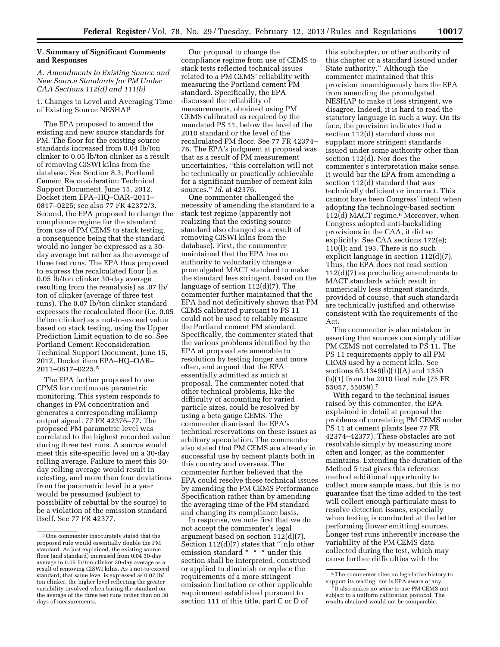#### **V. Summary of Significant Comments and Responses**

*A. Amendments to Existing Source and New Source Standards for PM Under CAA Sections 112(d) and 111(b)* 

1. Changes to Level and Averaging Time of Existing Source NESHAP

The EPA proposed to amend the existing and new source standards for PM. The floor for the existing source standards increased from 0.04 lb/ton clinker to 0.05 lb/ton clinker as a result of removing CISWI kilns from the database. See Section 8.3, Portland Cement Reconsideration Technical Support Document, June 15, 2012, Docket item EPA–HQ–OAR–2011– 0817–0225; see also 77 FR 42372/3. Second, the EPA proposed to change the compliance regime for the standard from use of PM CEMS to stack testing, a consequence being that the standard would no longer be expressed as a 30 day average but rather as the average of three test runs. The EPA thus proposed to express the recalculated floor (i.e. 0.05 lb/ton clinker 30-day average resulting from the reanalysis) as .07 lb/ ton of clinker (average of three test runs). The 0.07 lb/ton clinker standard expresses the recalculated floor (i.e. 0.05 lb/ton clinker) as a not-to-exceed value based on stack testing, using the Upper Prediction Limit equation to do so. See Portland Cement Reconsideration Technical Support Document, June 15, 2012, Docket item EPA–HQ–OAR– 2011–0817–0225.5

The EPA further proposed to use CPMS for continuous parametric monitoring. This system responds to changes in PM concentration and generates a corresponding milliamp output signal. 77 FR 42376–77. The proposed PM parametric level was correlated to the highest recorded value during three test runs. A source would meet this site-specific level on a 30-day rolling average. Failure to meet this 30 day rolling average would result in retesting, and more than four deviations from the parametric level in a year would be presumed (subject to possibility of rebuttal by the source) to be a violation of the emission standard itself. See 77 FR 42377.

Our proposal to change the compliance regime from use of CEMS to stack tests reflected technical issues related to a PM CEMS' reliability with measuring the Portland cement PM standard. Specifically, the EPA discussed the reliability of measurements, obtained using PM CEMS calibrated as required by the mandated PS 11, below the level of the 2010 standard or the level of the recalculated PM floor. See 77 FR 42374– 76. The EPA's judgment at proposal was that as a result of PM measurement uncertainties, ''this correlation will not be technically or practically achievable for a significant number of cement kiln sources.'' *Id.* at 42376.

One commenter challenged the necessity of amending the standard to a stack test regime (apparently not realizing that the existing source standard also changed as a result of removing CISWI kilns from the database). First, the commenter maintained that the EPA has no authority to voluntarily change a promulgated MACT standard to make the standard less stringent, based on the language of section 112(d)(7). The commenter further maintained that the EPA had not definitively shown that PM CEMS calibrated pursuant to PS 11 could not be used to reliably measure the Portland cement PM standard. Specifically, the commenter stated that the various problems identified by the EPA at proposal are amenable to resolution by testing longer and more often, and argued that the EPA essentially admitted as much at proposal. The commenter noted that other technical problems, like the difficulty of accounting for varied particle sizes, could be resolved by using a beta gauge CEMS. The commenter dismissed the EPA's technical reservations on these issues as arbitrary speculation. The commenter also stated that PM CEMS are already in successful use by cement plants both in this country and overseas. The commenter further believed that the EPA could resolve these technical issues by amending the PM CEMS Performance Specification rather than by amending the averaging time of the PM standard and changing its compliance basis.

In response, we note first that we do not accept the commenter's legal argument based on section 112(d)(7). Section 112(d)(7) states that ''[n]o other emission standard \* \* \* under this section shall be interpreted, construed or applied to diminish or replace the requirements of a more stringent emission limitation or other applicable requirement established pursuant to section 111 of this title, part C or D of

this subchapter, or other authority of this chapter or a standard issued under State authority.'' Although the commenter maintained that this provision unambiguously bars the EPA from amending the promulgated NESHAP to make it less stringent, we disagree. Indeed, it is hard to read the statutory language in such a way. On its face, the provision indicates that a section 112(d) standard does not supplant more stringent standards issued under some authority other than section 112(d). Nor does the commenter's interpretation make sense. It would bar the EPA from amending a section 112(d) standard that was technically deficient or incorrect. This cannot have been Congress' intent when adopting the technology-based section 112(d) MACT regime.<sup>6</sup> Moreover, when Congress adopted anti-backsliding provisions in the CAA, it did so explicitly. See CAA sections 172(e); 110(l); and 193. There is no such explicit language in section 112(d)(7). Thus, the EPA does not read section 112(d)(7) as precluding amendments to MACT standards which result in numerically less stringent standards, provided of course, that such standards are technically justified and otherwise consistent with the requirements of the Act.

The commenter is also mistaken in asserting that sources can simply utilize PM CEMS not correlated to PS 11. The PS 11 requirements apply to all PM CEMS used by a cement kiln. See sections 63.1349(b)(1)(A) and 1350 (b)(1) from the 2010 final rule (75 FR 55057, 55059).7

With regard to the technical issues raised by this commenter, the EPA explained in detail at proposal the problems of correlating PM CEMS under PS 11 at cement plants (see 77 FR 42374–42377). These obstacles are not resolvable simply by measuring more often and longer, as the commenter maintains. Extending the duration of the Method 5 test gives this reference method additional opportunity to collect more sample mass, but this is no guarantee that the time added to the test will collect enough particulate mass to resolve detection issues, especially when testing is conducted at the better performing (lower emitting) sources. Longer test runs inherently increase the variability of the PM CEMS data collected during the test, which may cause further difficulties with the

<sup>5</sup>One commenter inaccurately stated that the proposed rule would essentially double the PM standard. As just explained, the existing source floor (and standard) increased from 0.04 30-day average to 0.05 lb/ton clinker 30-day average as a result of removing CISWI kilns. As a not-to-exceed standard, that same level is expressed as 0.07 lb/ ton clinker, the higher level reflecting the greater variability involved when basing the standard on the average of the three test runs rather than on 30 days of measurements.

<sup>6</sup>The commenter cites no legislative history to support its reading, nor is EPA aware of any.

<sup>7</sup> It also makes no sense to use PM CEMS not subject to a uniform calibration protocol. The results obtained would not be comparable.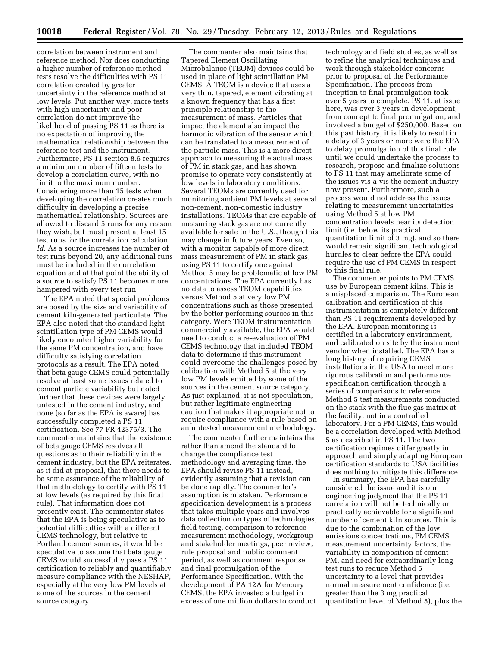correlation between instrument and reference method. Nor does conducting a higher number of reference method tests resolve the difficulties with PS 11 correlation created by greater uncertainty in the reference method at low levels. Put another way, more tests with high uncertainty and poor correlation do not improve the likelihood of passing PS 11 as there is no expectation of improving the mathematical relationship between the reference test and the instrument. Furthermore, PS 11 section 8.6 requires a minimum number of fifteen tests to develop a correlation curve, with no limit to the maximum number. Considering more than 15 tests when developing the correlation creates much difficulty in developing a precise mathematical relationship. Sources are allowed to discard 5 runs for any reason they wish, but must present at least 15 test runs for the correlation calculation. *Id.* As a source increases the number of test runs beyond 20, any additional runs must be included in the correlation equation and at that point the ability of a source to satisfy PS 11 becomes more hampered with every test run.

The EPA noted that special problems are posed by the size and variability of cement kiln-generated particulate. The EPA also noted that the standard lightscintillation type of PM CEMS would likely encounter higher variability for the same PM concentration, and have difficulty satisfying correlation protocols as a result. The EPA noted that beta gauge CEMS could potentially resolve at least some issues related to cement particle variability but noted further that these devices were largely untested in the cement industry, and none (so far as the EPA is aware) has successfully completed a PS 11 certification. See 77 FR 42375/3. The commenter maintains that the existence of beta gauge CEMS resolves all questions as to their reliability in the cement industry, but the EPA reiterates, as it did at proposal, that there needs to be some assurance of the reliability of that methodology to certify with PS 11 at low levels (as required by this final rule). That information does not presently exist. The commenter states that the EPA is being speculative as to potential difficulties with a different CEMS technology, but relative to Portland cement sources, it would be speculative to assume that beta gauge CEMS would successfully pass a PS 11 certification to reliably and quantifiably measure compliance with the NESHAP, especially at the very low PM levels at some of the sources in the cement source category.

The commenter also maintains that Tapered Element Oscillating Microbalance (TEOM) devices could be used in place of light scintillation PM CEMS. A TEOM is a device that uses a very thin, tapered, element vibrating at a known frequency that has a first principle relationship to the measurement of mass. Particles that impact the element also impact the harmonic vibration of the sensor which can be translated to a measurement of the particle mass. This is a more direct approach to measuring the actual mass of PM in stack gas, and has shown promise to operate very consistently at low levels in laboratory conditions. Several TEOMs are currently used for monitoring ambient PM levels at several non-cement, non-domestic industry installations. TEOMs that are capable of measuring stack gas are not currently available for sale in the U.S., though this may change in future years. Even so, with a monitor capable of more direct mass measurement of PM in stack gas, using PS 11 to certify one against Method 5 may be problematic at low PM concentrations. The EPA currently has no data to assess TEOM capabilities versus Method 5 at very low PM concentrations such as those presented by the better performing sources in this category. Were TEOM instrumentation commercially available, the EPA would need to conduct a re-evaluation of PM CEMS technology that included TEOM data to determine if this instrument could overcome the challenges posed by calibration with Method 5 at the very low PM levels emitted by some of the sources in the cement source category. As just explained, it is not speculation, but rather legitimate engineering caution that makes it appropriate not to require compliance with a rule based on an untested measurement methodology.

The commenter further maintains that rather than amend the standard to change the compliance test methodology and averaging time, the EPA should revise PS 11 instead, evidently assuming that a revision can be done rapidly. The commenter's assumption is mistaken. Performance specification development is a process that takes multiple years and involves data collection on types of technologies, field testing, comparison to reference measurement methodology, workgroup and stakeholder meetings, peer review, rule proposal and public comment period, as well as comment response and final promulgation of the Performance Specification. With the development of PA 12A for Mercury CEMS, the EPA invested a budget in excess of one million dollars to conduct

technology and field studies, as well as to refine the analytical techniques and work through stakeholder concerns prior to proposal of the Performance Specification. The process from inception to final promulgation took over 5 years to complete. PS 11, at issue here, was over 3 years in development, from concept to final promulgation, and involved a budget of \$250,000. Based on this past history, it is likely to result in a delay of 3 years or more were the EPA to delay promulgation of this final rule until we could undertake the process to research, propose and finalize solutions to PS 11 that may ameliorate some of the issues vis-a-vis the cement industry now present. Furthermore, such a process would not address the issues relating to measurement uncertainties using Method 5 at low PM concentration levels near its detection limit (i.e. below its practical quantitation limit of 3 mg), and so there would remain significant technological hurdles to clear before the EPA could require the use of PM CEMS in respect to this final rule.

The commenter points to PM CEMS use by European cement kilns. This is a misplaced comparison. The European calibration and certification of this instrumentation is completely different than PS 11 requirements developed by the EPA. European monitoring is certified in a laboratory environment, and calibrated on site by the instrument vendor when installed. The EPA has a long history of requiring CEMS installations in the USA to meet more rigorous calibration and performance specification certification through a series of comparisons to reference Method 5 test measurements conducted on the stack with the flue gas matrix at the facility, not in a controlled laboratory. For a PM CEMS, this would be a correlation developed with Method 5 as described in PS 11. The two certification regimes differ greatly in approach and simply adapting European certification standards to USA facilities does nothing to mitigate this difference.

In summary, the EPA has carefully considered the issue and it is our engineering judgment that the PS 11 correlation will not be technically or practically achievable for a significant number of cement kiln sources. This is due to the combination of the low emissions concentrations, PM CEMS measurement uncertainty factors, the variability in composition of cement PM, and need for extraordinarily long test runs to reduce Method 5 uncertainty to a level that provides normal measurement confidence (i.e. greater than the 3 mg practical quantitation level of Method 5), plus the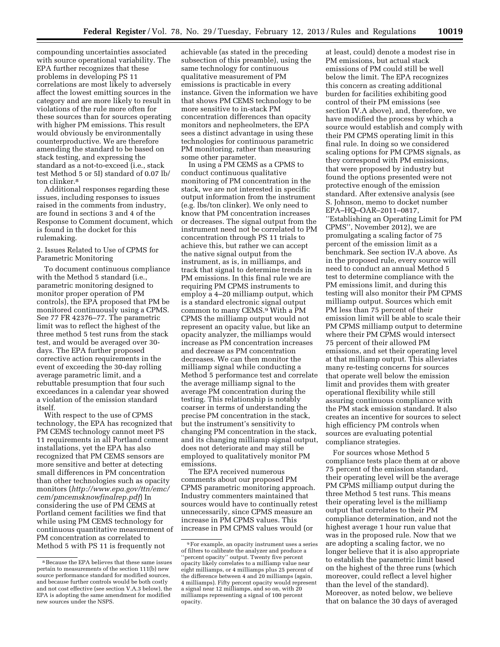compounding uncertainties associated with source operational variability. The EPA further recognizes that these problems in developing PS 11 correlations are most likely to adversely affect the lowest emitting sources in the category and are more likely to result in violations of the rule more often for these sources than for sources operating with higher PM emissions. This result would obviously be environmentally counterproductive. We are therefore amending the standard to be based on stack testing, and expressing the standard as a not-to-exceed (i.e., stack test Method 5 or 5I) standard of 0.07 lb/ ton clinker.8

Additional responses regarding these issues, including responses to issues raised in the comments from industry, are found in sections 3 and 4 of the Response to Comment document, which is found in the docket for this rulemaking.

#### 2. Issues Related to Use of CPMS for Parametric Monitoring

To document continuous compliance with the Method 5 standard (i.e., parametric monitoring designed to monitor proper operation of PM controls), the EPA proposed that PM be monitored continuously using a CPMS. See 77 FR 42376–77. The parametric limit was to reflect the highest of the three method 5 test runs from the stack test, and would be averaged over 30 days. The EPA further proposed corrective action requirements in the event of exceeding the 30-day rolling average parametric limit, and a rebuttable presumption that four such exceedances in a calendar year showed a violation of the emission standard itself.

With respect to the use of CPMS technology, the EPA has recognized that PM CEMS technology cannot meet PS 11 requirements in all Portland cement installations, yet the EPA has also recognized that PM CEMS sensors are more sensitive and better at detecting small differences in PM concentration than other technologies such as opacity monitors (*[http://www.epa.gov/ttn/emc/](http://www.epa.gov/ttn/emc/cem/pmcemsknowfinalrep.pdf)  [cem/pmcemsknowfinalrep.pdf](http://www.epa.gov/ttn/emc/cem/pmcemsknowfinalrep.pdf)*) In considering the use of PM CEMS at Portland cement facilities we find that while using PM CEMS technology for continuous quantitative measurement of PM concentration as correlated to Method 5 with PS 11 is frequently not

achievable (as stated in the preceding subsection of this preamble), using the same technology for continuous qualitative measurement of PM emissions is practicable in every instance. Given the information we have that shows PM CEMS technology to be more sensitive to in-stack PM concentration differences than opacity monitors and nepheolmeters, the EPA sees a distinct advantage in using these technologies for continuous parametric PM monitoring, rather than measuring some other parameter.

In using a PM CEMS as a CPMS to conduct continuous qualitative monitoring of PM concentration in the stack, we are not interested in specific output information from the instrument (e.g. lbs/ton clinker). We only need to know that PM concentration increases or decreases. The signal output from the instrument need not be correlated to PM concentration through PS 11 trials to achieve this, but rather we can accept the native signal output from the instrument, as is, in milliamps, and track that signal to determine trends in PM emissions. In this final rule we are requiring PM CPMS instruments to employ a 4–20 milliamp output, which is a standard electronic signal output common to many CEMS.9 With a PM CPMS the milliamp output would not represent an opacity value, but like an opacity analyzer, the milliamps would increase as PM concentration increases and decrease as PM concentration decreases. We can then monitor the milliamp signal while conducting a Method 5 performance test and correlate the average milliamp signal to the average PM concentration during the testing. This relationship is notably coarser in terms of understanding the precise PM concentration in the stack, but the instrument's sensitivity to changing PM concentration in the stack, and its changing milliamp signal output, does not deteriorate and may still be employed to qualitatively monitor PM emissions.

The EPA received numerous comments about our proposed PM CPMS parametric monitoring approach. Industry commenters maintained that sources would have to continually retest unnecessarily, since CPMS measure an increase in PM CPMS values. This increase in PM CPMS values would (or

at least, could) denote a modest rise in PM emissions, but actual stack emissions of PM could still be well below the limit. The EPA recognizes this concern as creating additional burden for facilities exhibiting good control of their PM emissions (see section IV.A above), and, therefore, we have modified the process by which a source would establish and comply with their PM CPMS operating limit in this final rule. In doing so we considered scaling options for PM CPMS signals, as they correspond with PM emissions, that were proposed by industry but found the options presented were not protective enough of the emission standard. After extensive analysis (see S. Johnson, memo to docket number EPA–HQ–OAR–2011–0817, ''Establishing an Operating Limit for PM CPMS'', November 2012), we are promulgating a scaling factor of 75 percent of the emission limit as a benchmark. See section IV.A above. As in the proposed rule, every source will need to conduct an annual Method 5 test to determine compliance with the PM emissions limit, and during this testing will also monitor their PM CPMS milliamp output. Sources which emit PM less than 75 percent of their emission limit will be able to scale their PM CPMS milliamp output to determine where their PM CPMS would intersect 75 percent of their allowed PM emissions, and set their operating level at that milliamp output. This alleviates many re-testing concerns for sources that operate well below the emission limit and provides them with greater operational flexibility while still assuring continuous compliance with the PM stack emission standard. It also creates an incentive for sources to select high efficiency PM controls when sources are evaluating potential compliance strategies.

For sources whose Method 5 compliance tests place them at or above 75 percent of the emission standard, their operating level will be the average PM CPMS milliamp output during the three Method 5 test runs. This means their operating level is the milliamp output that correlates to their PM compliance determination, and not the highest average 1 hour run value that was in the proposed rule. Now that we are adopting a scaling factor, we no longer believe that it is also appropriate to establish the parametric limit based on the highest of the three runs (which moreover, could reflect a level higher than the level of the standard). Moreover, as noted below, we believe that on balance the 30 days of averaged

<sup>8</sup>Because the EPA believes that these same issues pertain to measurements of the section 111(b) new source performance standard for modified sources, and because further controls would be both costly and not cost effective (see section V.A.3 below), the EPA is adopting the same amendment for modified new sources under the NSPS.

<sup>9</sup>For example, an opacity instrument uses a series of filters to calibrate the analyzer and produce a 'percent opacity'' output. Twenty five percent opacity likely correlates to a milliamp value near eight milliamps, or 4 milliamps plus 25 percent of the difference between 4 and 20 milliamps (again, 4 milliamps). Fifty percent opacity would represent a signal near 12 milliamps, and so on, with 20 milliamps representing a signal of 100 percent opacity.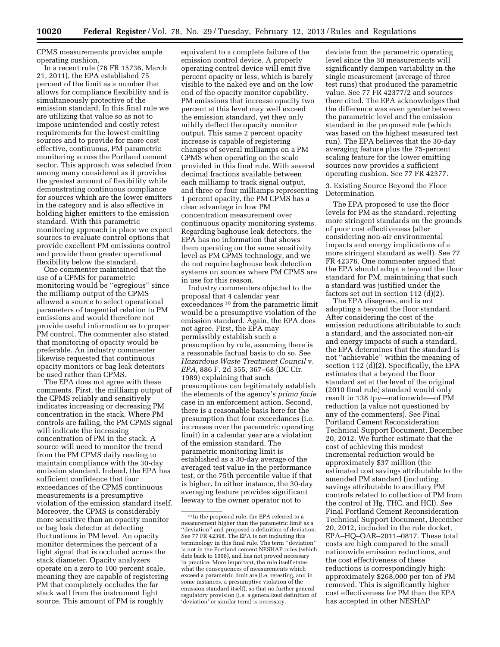CPMS measurements provides ample operating cushion.

In a recent rule (76 FR 15736, March 21, 2011), the EPA established 75 percent of the limit as a number that allows for compliance flexibility and is simultaneously protective of the emission standard. In this final rule we are utilizing that value so as not to impose unintended and costly retest requirements for the lowest emitting sources and to provide for more cost effective, continuous, PM parametric monitoring across the Portland cement sector. This approach was selected from among many considered as it provides the greatest amount of flexibility while demonstrating continuous compliance for sources which are the lower emitters in the category and is also effective in holding higher emitters to the emission standard. With this parametric monitoring approach in place we expect sources to evaluate control options that provide excellent PM emissions control and provide them greater operational flexibility below the standard.

One commenter maintained that the use of a CPMS for parametric monitoring would be ''egregious'' since the milliamp output of the CPMS allowed a source to select operational parameters of tangential relation to PM emissions and would therefore not provide useful information as to proper PM control. The commenter also stated that monitoring of opacity would be preferable. An industry commenter likewise requested that continuous opacity monitors or bag leak detectors be used rather than CPMS.

The EPA does not agree with these comments. First, the milliamp output of the CPMS reliably and sensitively indicates increasing or decreasing PM concentration in the stack. Where PM controls are failing, the PM CPMS signal will indicate the increasing concentration of PM in the stack. A source will need to monitor the trend from the PM CPMS daily reading to maintain compliance with the 30-day emission standard. Indeed, the EPA has sufficient confidence that four exceedances of the CPMS continuous measurements is a presumptive violation of the emission standard itself. Moreover, the CPMS is considerably more sensitive than an opacity monitor or bag leak detector at detecting fluctuations in PM level. An opacity monitor determines the percent of a light signal that is occluded across the stack diameter. Opacity analyzers operate on a zero to 100 percent scale, meaning they are capable of registering PM that completely occludes the far stack wall from the instrument light source. This amount of PM is roughly

equivalent to a complete failure of the emission control device. A properly operating control device will emit five percent opacity or less, which is barely visible to the naked eye and on the low end of the opacity monitor capability. PM emissions that increase opacity two percent at this level may well exceed the emission standard, yet they only mildly deflect the opacity monitor output. This same 2 percent opacity increase is capable of registering changes of several milliamps on a PM CPMS when operating on the scale provided in this final rule. With several decimal fractions available between each milliamp to track signal output, and three or four milliamps representing 1 percent opacity, the PM CPMS has a clear advantage in low PM concentration measurement over continuous opacity monitoring systems. Regarding baghouse leak detectors, the EPA has no information that shows them operating on the same sensitivity level as PM CPMS technology, and we do not require baghouse leak detection systems on sources where PM CPMS are in use for this reason.

Industry commenters objected to the proposal that 4 calendar year exceedances 10 from the parametric limit would be a presumptive violation of the emission standard. Again, the EPA does not agree. First, the EPA may permissibly establish such a presumption by rule, assuming there is a reasonable factual basis to do so. See *Hazardous Waste Treatment Council* v. *EPA,* 886 F. 2d 355, 367–68 (DC Cir. 1989) explaining that such presumptions can legitimately establish the elements of the agency's *prima facie*  case in an enforcement action. Second, there is a reasonable basis here for the presumption that four exceedances (i.e. increases over the parametric operating limit) in a calendar year are a violation of the emission standard. The parametric monitoring limit is established as a 30-day average of the averaged test value in the performance test, or the 75th percentile value if that is higher. In either instance, the 30-day averaging feature provides significant leeway to the owner operator not to

deviate from the parametric operating level since the 30 measurements will significantly dampen variability in the single measurement (average of three test runs) that produced the parametric value. See 77 FR 42377/2 and sources there cited. The EPA acknowledges that the difference was even greater between the parametric level and the emission standard in the proposed rule (which was based on the highest measured test run). The EPA believes that the 30-day averaging feature plus the 75-percent scaling feature for the lower emitting sources now provides a sufficient operating cushion. See 77 FR 42377.

3. Existing Source Beyond the Floor Determination

The EPA proposed to use the floor levels for PM as the standard, rejecting more stringent standards on the grounds of poor cost effectiveness (after considering non-air environmental impacts and energy implications of a more stringent standard as well). See 77 FR 42376. One commenter argued that the EPA should adopt a beyond the floor standard for PM, maintaining that such a standard was justified under the factors set out in section 112 (d)(2).

The EPA disagrees, and is not adopting a beyond the floor standard. After considering the cost of the emission reductions attributable to such a standard, and the associated non-air and energy impacts of such a standard, the EPA determines that the standard is not ''achievable'' within the meaning of section 112 (d)(2). Specifically, the EPA estimates that a beyond the floor standard set at the level of the original (2010 final rule) standard would only result in 138 tpy—nationwide—of PM reduction (a value not questioned by any of the commenters). See Final Portland Cement Reconsideration Technical Support Document, December 20, 2012. We further estimate that the cost of achieving this modest incremental reduction would be approximately \$37 million (the estimated cost savings attributable to the amended PM standard (including savings attributable to ancillary PM controls related to collection of PM from the control of Hg, THC, and HCl). See Final Portland Cement Reconsideration Technical Support Document, December 20, 2012, included in the rule docket, EPA–HQ–OAR–2011–0817. These total costs are high compared to the small nationwide emission reductions, and the cost effectiveness of these reductions is correspondingly high: approximately \$268,000 per ton of PM removed. This is significantly higher cost effectiveness for PM than the EPA has accepted in other NESHAP

<sup>10</sup> In the proposed rule, the EPA referred to a measurement higher than the parametric limit as a ''deviation'' and proposed a definition of deviation. See 77 FR 42398. The EPA is not including this terminology in this final rule. The term ''deviation'' is not in the Portland cement NESHAP rules (which date back to 1998), and has not proved necessary in practice. More important, the rule itself states what the consequences of measurements which exceed a parametric limit are (i.e. retesting, and in some instances, a presumptive violation of the emission standard itself), so that no further general regulatory provision (i.e. a generalized definition of 'deviation' or similar term) is necessary.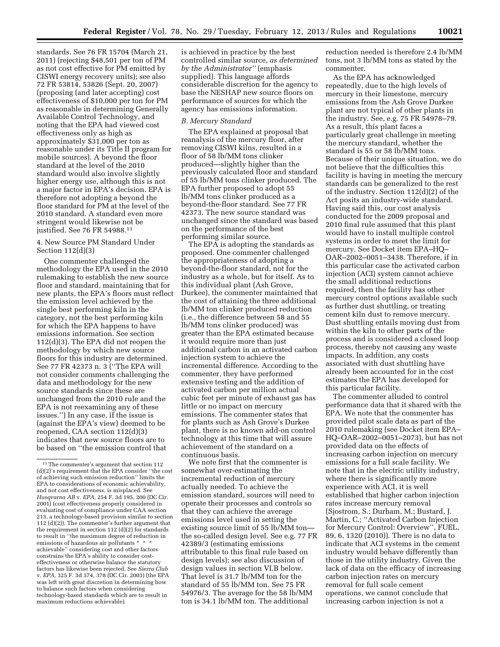standards. See 76 FR 15704 (March 21, 2011) (rejecting \$48,501 per ton of PM as not cost effective for PM emitted by CISWI energy recovery units); see also 72 FR 53814, 53826 (Sept. 20, 2007) (proposing (and later accepting) cost effectiveness of \$10,000 per ton for PM as reasonable in determining Generally Available Control Technology, and noting that the EPA had viewed cost effectiveness only as high as approximately \$31,000 per ton as reasonable under its Title II program for mobile sources). A beyond the floor standard at the level of the 2010 standard would also involve slightly higher energy use, although this is not a major factor in EPA's decision. EPA is therefore not adopting a beyond the floor standard for PM at the level of the 2010 standard. A standard even more stringent would likewise not be justified. See 76 FR 54988.11

#### 4. New Source PM Standard Under Section 112(d)(3)

One commenter challenged the methodology the EPA used in the 2010 rulemaking to establish the new source floor and standard, maintaining that for new plants, the EPA's floors must reflect the emission level achieved by the single best performing kiln in the category, not the best performing kiln for which the EPA happens to have emissions information. See section 112(d)(3). The EPA did not reopen the methodology by which new source floors for this industry are determined. See 77 FR 42373 n. 3 (''The EPA will not consider comments challenging the data and methodology for the new source standards since these are unchanged from the 2010 rule and the EPA is not reexamining any of these issues.'') In any case, if the issue is (against the EPA's view) deemed to be reopened, CAA section 112(d)(3) indicates that new source floors are to be based on ''the emission control that

is achieved in practice by the best controlled similar source, *as determined by the Administrator''* (emphasis supplied). This language affords considerable discretion for the agency to base the NESHAP new source floors on performance of sources for which the agency has emissions information.

#### *B. Mercury Standard*

The EPA explained at proposal that reanalysis of the mercury floor, after removing CISWI kilns, resulted in a floor of 58 lb/MM tons clinker produced—slightly higher than the previously calculated floor and standard of 55 lb/MM tons clinker produced. The EPA further proposed to adopt 55 lb/MM tons clinker produced as a beyond-the-floor standard. See 77 FR 42373. The new source standard was unchanged since the standard was based on the performance of the best performing similar source.

The EPA is adopting the standards as proposed. One commenter challenged the appropriateness of adopting a beyond-the-floor standard, not for the industry as a whole, but for itself. As to this individual plant (Ash Grove, Durkee), the commenter maintained that the cost of attaining the three additional lb/MM ton clinker produced reduction (i.e., the difference between 58 and 55 lb/MM tons clinker produced) was greater than the EPA estimated because it would require more than just additional carbon in an activated carbon injection system to achieve the incremental difference. According to the commenter, they have performed extensive testing and the addition of activated carbon per million actual cubic feet per minute of exhaust gas has little or no impact on mercury emissions. The commenter states that for plants such as Ash Grove's Durkee plant, there is no known add-on control technology at this time that will assure achievement of the standard on a continuous basis.

We note first that the commenter is somewhat over-estimating the incremental reduction of mercury actually needed. To achieve the emission standard, sources will need to operate their processes and controls so that they can achieve the average emissions level used in setting the existing source limit of 55 lb/MM ton the so-called design level. See e.g. 77 FR 42389/3 (estimating emissions attributable to this final rule based on design levels); see also discussion of design values in section VI.B below. That level is 31.7 lb/MM ton for the standard of 55 lb/MM ton. See 75 FR 54976/3. The average for the 58 lb/MM ton is 34.1 lb/MM ton. The additional

reduction needed is therefore 2.4 lb/MM tons, not 3 lb/MM tons as stated by the commenter.

As the EPA has acknowledged repeatedly, due to the high levels of mercury in their limestone, mercury emissions from the Ash Grove Durkee plant are not typical of other plants in the industry. See, e.g. 75 FR 54978–79. As a result, this plant faces a particularly great challenge in meeting the mercury standard, whether the standard is 55 or 58 lb/MM tons. Because of their unique situation, we do not believe that the difficulties this facility is having in meeting the mercury standards can be generalized to the rest of the industry. Section 112(d)(2) of the Act posits an industry-wide standard. Having said this, our cost analysis conducted for the 2009 proposal and 2010 final rule assumed that this plant would have to install multiple control systems in order to meet the limit for mercury. See Docket item EPA–HQ– OAR–2002–0051–3438. Therefore, if in this particular case the activated carbon injection (ACI) system cannot achieve the small additional reductions required, then the facility has other mercury control options available such as further dust shuttling, or treating cement kiln dust to remove mercury. Dust shuttling entails moving dust from within the kiln to other parts of the process and is considered a closed loop process, thereby not causing any waste impacts. In addition, any costs associated with dust shuttling have already been accounted for in the cost estimates the EPA has developed for this particular facility.

The commenter alluded to control performance data that it shared with the EPA. We note that the commenter has provided pilot scale data as part of the 2010 rulemaking (see Docket item EPA– HQ–OAR–2002–0051–2073), but has not provided data on the effects of increasing carbon injection on mercury emissions for a full scale facility. We note that in the electric utility industry, where there is significantly more experience with ACI, it is well established that higher carbon injection rates increase mercury removal (Sjostrom, S.; Durham, M.; Bustard, J. Martin, C.; ''Activated Carbon Injection for Mercury Control: Overview'', FUEL, 89, 6, 1320 (2010)). There is no data to indicate that ACI systems in the cement industry would behave differently than those in the utility industry. Given the lack of data on the efficacy of increasing carbon injection rates on mercury removal for full scale cement operations, we cannot conclude that increasing carbon injection is not a

<sup>11</sup>The commenter's argument that section 112 (d)(2)'s requirement that the EPA consider ''the cost of achieving such emission reduction'' limits the EPA to considerations of economic achievability, and not cost effectiveness, is misplaced. See *Husqvarna AB* v. *EPA,* 254 F. 3d 195, 200 (DC Cir. 2001) (cost effectiveness properly considered in evaluating cost of compliance under CAA section 213, a technology-based provision similar to section 112 (d)(2)). The commenter's further argument that the requirement in section 112 (d)(2) for standards to result in ''the maximum degree of reduction in emissions of hazardous air pollutants \* achievable'' considering cost and other factors constrains the EPA's ability to consider costeffectiveness or otherwise balance the statutory factors has likewise been rejected. See *Sierra Club*  v. *EPA,* 325 F. 3d 374, 378 (DC Cir. 2003) (the EPA was left with great discretion in determining how to balance such factors when considering technology-based standards which are to result in maximum reductions achievable).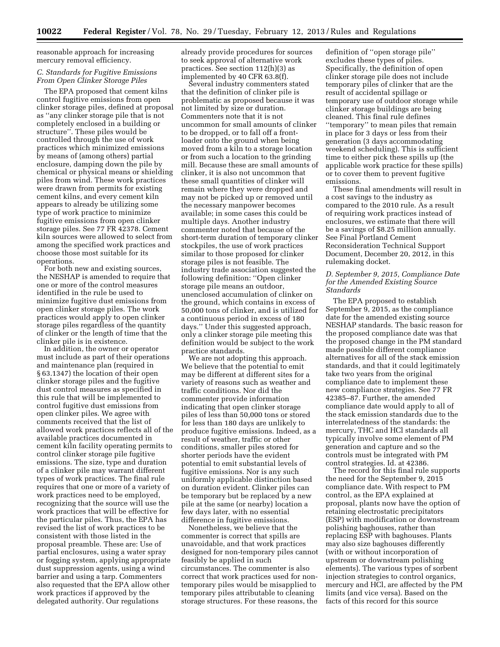reasonable approach for increasing mercury removal efficiency.

#### *C. Standards for Fugitive Emissions From Open Clinker Storage Piles*

The EPA proposed that cement kilns control fugitive emissions from open clinker storage piles, defined at proposal as ''any clinker storage pile that is not completely enclosed in a building or structure''. These piles would be controlled through the use of work practices which minimized emissions by means of (among others) partial enclosure, damping down the pile by chemical or physical means or shielding piles from wind. These work practices were drawn from permits for existing cement kilns, and every cement kiln appears to already be utilizing some type of work practice to minimize fugitive emissions from open clinker storage piles. See 77 FR 42378. Cement kiln sources were allowed to select from among the specified work practices and choose those most suitable for its operations.

For both new and existing sources, the NESHAP is amended to require that one or more of the control measures identified in the rule be used to minimize fugitive dust emissions from open clinker storage piles. The work practices would apply to open clinker storage piles regardless of the quantity of clinker or the length of time that the clinker pile is in existence.

In addition, the owner or operator must include as part of their operations and maintenance plan (required in § 63.1347) the location of their open clinker storage piles and the fugitive dust control measures as specified in this rule that will be implemented to control fugitive dust emissions from open clinker piles. We agree with comments received that the list of allowed work practices reflects all of the available practices documented in cement kiln facility operating permits to control clinker storage pile fugitive emissions. The size, type and duration of a clinker pile may warrant different types of work practices. The final rule requires that one or more of a variety of work practices need to be employed, recognizing that the source will use the work practices that will be effective for the particular piles. Thus, the EPA has revised the list of work practices to be consistent with those listed in the proposal preamble. These are: Use of partial enclosures, using a water spray or fogging system, applying appropriate dust suppression agents, using a wind barrier and using a tarp. Commenters also requested that the EPA allow other work practices if approved by the delegated authority. Our regulations

already provide procedures for sources to seek approval of alternative work practices. See section 112(h)(3) as implemented by 40 CFR 63.8(f).

Several industry commenters stated that the definition of clinker pile is problematic as proposed because it was not limited by size or duration. Commenters note that it is not uncommon for small amounts of clinker to be dropped, or to fall off a frontloader onto the ground when being moved from a kiln to a storage location or from such a location to the grinding mill. Because these are small amounts of clinker, it is also not uncommon that these small quantities of clinker will remain where they were dropped and may not be picked up or removed until the necessary manpower becomes available; in some cases this could be multiple days. Another industry commenter noted that because of the short-term duration of temporary clinker stockpiles, the use of work practices similar to those proposed for clinker storage piles is not feasible. The industry trade association suggested the following definition: ''Open clinker storage pile means an outdoor, unenclosed accumulation of clinker on the ground, which contains in excess of 50,000 tons of clinker, and is utilized for a continuous period in excess of 180 days.'' Under this suggested approach, only a clinker storage pile meeting this definition would be subject to the work practice standards.

We are not adopting this approach. We believe that the potential to emit may be different at different sites for a variety of reasons such as weather and traffic conditions. Nor did the commenter provide information indicating that open clinker storage piles of less than 50,000 tons or stored for less than 180 days are unlikely to produce fugitive emissions. Indeed, as a result of weather, traffic or other conditions, smaller piles stored for shorter periods have the evident potential to emit substantial levels of fugitive emissions. Nor is any such uniformly applicable distinction based on duration evident. Clinker piles can be temporary but be replaced by a new pile at the same (or nearby) location a few days later, with no essential difference in fugitive emissions.

Nonetheless, we believe that the commenter is correct that spills are unavoidable, and that work practices designed for non-temporary piles cannot feasibly be applied in such circumstances. The commenter is also correct that work practices used for nontemporary piles would be misapplied to temporary piles attributable to cleaning storage structures. For these reasons, the

definition of ''open storage pile'' excludes these types of piles. Specifically, the definition of open clinker storage pile does not include temporary piles of clinker that are the result of accidental spillage or temporary use of outdoor storage while clinker storage buildings are being cleaned. This final rule defines ''temporary'' to mean piles that remain in place for 3 days or less from their generation (3 days accommodating weekend scheduling). This is sufficient time to either pick these spills up (the applicable work practice for these spills) or to cover them to prevent fugitive emissions.

These final amendments will result in a cost savings to the industry as compared to the 2010 rule. As a result of requiring work practices instead of enclosures, we estimate that there will be a savings of \$8.25 million annually. See Final Portland Cement Reconsideration Technical Support Document, December 20, 2012, in this rulemaking docket.

#### *D. September 9, 2015, Compliance Date for the Amended Existing Source Standards*

The EPA proposed to establish September  $\overline{9}$ , 2015, as the compliance date for the amended existing source NESHAP standards. The basic reason for the proposed compliance date was that the proposed change in the PM standard made possible different compliance alternatives for all of the stack emission standards, and that it could legitimately take two years from the original compliance date to implement these new compliance strategies. See 77 FR 42385–87. Further, the amended compliance date would apply to all of the stack emission standards due to the interrelatedness of the standards: the mercury, THC and HCl standards all typically involve some element of PM generation and capture and so the controls must be integrated with PM control strategies. Id. at 42386.

The record for this final rule supports the need for the September 9, 2015 compliance date. With respect to PM control, as the EPA explained at proposal, plants now have the option of retaining electrostatic precipitators (ESP) with modification or downstream polishing baghouses, rather than replacing ESP with baghouses. Plants may also size baghouses differently (with or without incorporation of upstream or downstream polishing elements). The various types of sorbent injection strategies to control organics, mercury and HCl, are affected by the PM limits (and vice versa). Based on the facts of this record for this source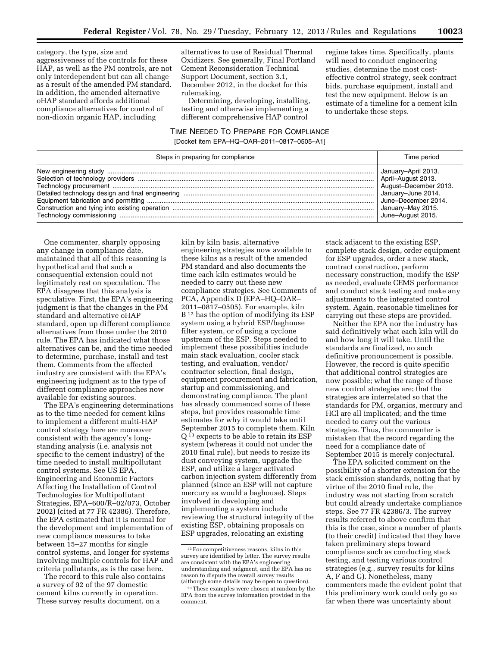category, the type, size and aggressiveness of the controls for these HAP, as well as the PM controls, are not only interdependent but can all change as a result of the amended PM standard. In addition, the amended alternative oHAP standard affords additional compliance alternatives for control of non-dioxin organic HAP, including

alternatives to use of Residual Thermal Oxidizers. See generally, Final Portland Cement Reconsideration Technical Support Document, section 3.1, December 2012, in the docket for this rulemaking.

Determining, developing, installing, testing and otherwise implementing a different comprehensive HAP control

TIME NEEDED TO PREPARE FOR COMPLIANCE [Docket item EPA–HQ–OAR–2011–0817–0505–A1]

regime takes time. Specifically, plants will need to conduct engineering studies, determine the most costeffective control strategy, seek contract bids, purchase equipment, install and test the new equipment. Below is an estimate of a timeline for a cement kiln to undertake these steps.

| Steps in preparing for compliance | Time period                                                                                                                         |
|-----------------------------------|-------------------------------------------------------------------------------------------------------------------------------------|
|                                   | January-April 2013.<br>April-August 2013.<br>August-December 2013.<br>June-December 2014.<br>January–May 2015.<br>June-August 2015. |

One commenter, sharply opposing any change in compliance date, maintained that all of this reasoning is hypothetical and that such a consequential extension could not legitimately rest on speculation. The EPA disagrees that this analysis is speculative. First, the EPA's engineering judgment is that the changes in the PM standard and alternative oHAP standard, open up different compliance alternatives from those under the 2010 rule. The EPA has indicated what those alternatives can be, and the time needed to determine, purchase, install and test them. Comments from the affected industry are consistent with the EPA's engineering judgment as to the type of different compliance approaches now available for existing sources.

The EPA's engineering determinations as to the time needed for cement kilns to implement a different multi-HAP control strategy here are moreover consistent with the agency's longstanding analysis (i.e. analysis not specific to the cement industry) of the time needed to install multipollutant control systems. See US EPA, Engineering and Economic Factors Affecting the Installation of Control Technologies for Multipollutant Strategies, EPA–600/R–02/073, October 2002) (cited at 77 FR 42386). Therefore, the EPA estimated that it is normal for the development and implementation of new compliance measures to take between 15–27 months for single control systems, and longer for systems involving multiple controls for HAP and criteria pollutants, as is the case here.

The record to this rule also contains a survey of 92 of the 97 domestic cement kilns currently in operation. These survey results document, on a

kiln by kiln basis, alternative engineering strategies now available to these kilns as a result of the amended PM standard and also documents the time each kiln estimates would be needed to carry out these new compliance strategies. See Comments of PCA, Appendix D (EPA–HQ–OAR– 2011–0817–0505). For example, kiln B12 has the option of modifying its ESP system using a hybrid ESP/baghouse filter system, or of using a cyclone upstream of the ESP. Steps needed to implement these possibilities include main stack evaluation, cooler stack testing, and evaluation, vendor/ contractor selection, final design, equipment procurement and fabrication, startup and commissioning, and demonstrating compliance. The plant has already commenced some of these steps, but provides reasonable time estimates for why it would take until September 2015 to complete them. Kiln Q 13 expects to be able to retain its ESP system (whereas it could not under the 2010 final rule), but needs to resize its dust conveying system, upgrade the ESP, and utilize a larger activated carbon injection system differently from planned (since an ESP will not capture mercury as would a baghouse). Steps involved in developing and implementing a system include reviewing the structural integrity of the existing ESP, obtaining proposals on ESP upgrades, relocating an existing

stack adjacent to the existing ESP, complete stack design, order equipment for ESP upgrades, order a new stack, contract construction, perform necessary construction, modify the ESP as needed, evaluate CEMS performance and conduct stack testing and make any adjustments to the integrated control system. Again, reasonable timelines for carrying out these steps are provided.

Neither the EPA nor the industry has said definitively what each kiln will do and how long it will take. Until the standards are finalized, no such definitive pronouncement is possible. However, the record is quite specific that additional control strategies are now possible; what the range of those new control strategies are; that the strategies are interrelated so that the standards for PM, organics, mercury and HCl are all implicated; and the time needed to carry out the various strategies. Thus, the commenter is mistaken that the record regarding the need for a compliance date of September 2015 is merely conjectural.

The EPA solicited comment on the possibility of a shorter extension for the stack emission standards, noting that by virtue of the 2010 final rule, the industry was not starting from scratch but could already undertake compliance steps. See 77 FR 42386/3. The survey results referred to above confirm that this is the case, since a number of plants (to their credit) indicated that they have taken preliminary steps toward compliance such as conducting stack testing, and testing various control strategies (e.g., survey results for kilns A, F and G). Nonetheless, many commenters made the evident point that this preliminary work could only go so far when there was uncertainty about

<sup>12</sup>For competitiveness reasons, kilns in this survey are identified by letter. The survey results are consistent with the EPA's engineering understanding and judgment, and the EPA has no reason to dispute the overall survey results<br>(although some details may be open to question).

<sup>&</sup>lt;sup>13</sup> These examples were chosen at random by the EPA from the survey information provided in the comment.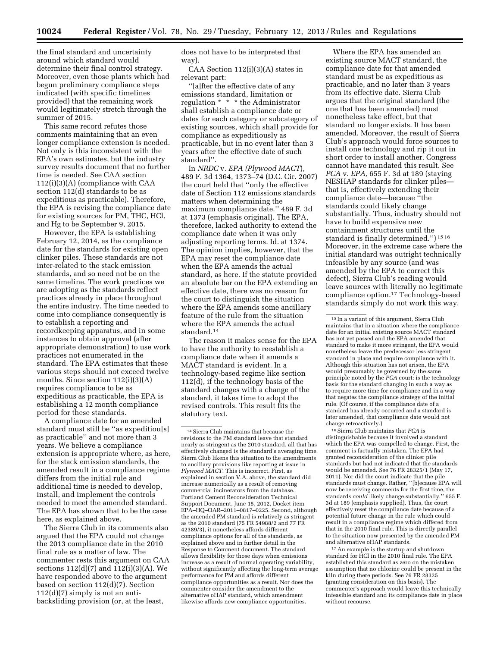the final standard and uncertainty around which standard would determine their final control strategy. Moreover, even those plants which had begun preliminary compliance steps indicated (with specific timelines provided) that the remaining work would legitimately stretch through the summer of 2015.

This same record refutes those comments maintaining that an even longer compliance extension is needed. Not only is this inconsistent with the EPA's own estimates, but the industry survey results document that no further time is needed. See CAA section 112(i)(3)(A) (compliance with CAA section 112(d) standards to be as expeditious as practicable). Therefore, the EPA is revising the compliance date for existing sources for PM, THC, HCl, and Hg to be September 9, 2015.

However, the EPA is establishing February 12, 2014, as the compliance date for the standards for existing open clinker piles. These standards are not inter-related to the stack emission standards, and so need not be on the same timeline. The work practices we are adopting as the standards reflect practices already in place throughout the entire industry. The time needed to come into compliance consequently is to establish a reporting and recordkeeping apparatus, and in some instances to obtain approval (after appropriate demonstration) to use work practices not enumerated in the standard. The EPA estimates that these various steps should not exceed twelve months. Since section 112(i)(3)(A) requires compliance to be as expeditious as practicable, the EPA is establishing a 12 month compliance period for these standards.

A compliance date for an amended standard must still be ''as expeditiou[s] as practicable'' and not more than 3 years. We believe a compliance extension is appropriate where, as here, for the stack emission standards, the amended result in a compliance regime differs from the initial rule and additional time is needed to develop, install, and implement the controls needed to meet the amended standard. The EPA has shown that to be the case here, as explained above.

The Sierra Club in its comments also argued that the EPA could not change the 2013 compliance date in the 2010 final rule as a matter of law. The commenter rests this argument on CAA sections 112(d)(7) and 112(i)(3)(A). We have responded above to the argument based on section 112(d)(7). Section  $112(d)(7)$  simply is not an antibacksliding provision (or, at the least,

does not have to be interpreted that way).

CAA Section 112(i)(3)(A) states in relevant part:

''[a]fter the effective date of any emissions standard, limitation or regulation \* \* \* the Administrator shall establish a compliance date or dates for each category or subcategory of existing sources, which shall provide for compliance as expeditiously as practicable, but in no event later than 3 years after the effective date of such standard''.

In *NRDC* v. *EPA (Plywood MACT*), 489 F. 3d 1364, 1373–74 (D.C. Cir. 2007) the court held that ''only the effective date of Section 112 emissions standards matters when determining the maximum compliance date.'' 489 F. 3d at 1373 (emphasis original). The EPA, therefore, lacked authority to extend the compliance date when it was only adjusting reporting terms. Id. at 1374. The opinion implies, however, that the EPA may reset the compliance date when the EPA amends the actual standard, as here. If the statute provided an absolute bar on the EPA extending an effective date, there was no reason for the court to distinguish the situation where the EPA amends some ancillary feature of the rule from the situation where the EPA amends the actual standard.14

The reason it makes sense for the EPA to have the authority to reestablish a compliance date when it amends a MACT standard is evident. In a technology-based regime like section 112(d), if the technology basis of the standard changes with a change of the standard, it takes time to adopt the revised controls. This result fits the statutory text.

Where the EPA has amended an existing source MACT standard, the compliance date for that amended standard must be as expeditious as practicable, and no later than 3 years from its effective date. Sierra Club argues that the original standard (the one that has been amended) must nonetheless take effect, but that standard no longer exists. It has been amended. Moreover, the result of Sierra Club's approach would force sources to install one technology and rip it out in short order to install another. Congress cannot have mandated this result. See *PCA* v. *EPA,* 655 F. 3d at 189 (staying NESHAP standards for clinker piles that is, effectively extending their compliance date—because ''the standards could likely change substantially. Thus, industry should not have to build expensive new containment structures until the standard is finally determined.'') 15 16 Moreover, in the extreme case where the initial standard was outright technically infeasible by any source (and was amended by the EPA to correct this defect), Sierra Club's reading would leave sources with literally no legitimate compliance option.17 Technology-based standards simply do not work this way.

16Sierra Club maintains that *PCA* is distinguishable because it involved a standard which the EPA was compelled to change. First, the comment is factually mistaken. The EPA had granted reconsideration of the clinker pile standards but had not indicated that the standards would be amended. See 76 FR 28325/1 (May 17, 2011). Nor did the court indicate that the pile standards must change. Rather, ''[b]ecause EPA will now be receiving comments for the first time, the standards *could* likely change substantially.'' 655 F. 3d at 189 (emphasis supplied). Thus, the court effectively reset the compliance date because of a potential future change in the rule which could result in a compliance regime which differed from that in the 2010 final rule. This is directly parallel to the situation now presented by the amended PM and alternative oHAP standards.

17An example is the startup and shutdown standard for HCl in the 2010 final rule. The EPA established this standard as zero on the mistaken assumption that no chlorine could be present in the kiln during there periods. See 76 FR 28325 (granting consideration on this basis). The commenter's approach would leave this technically infeasible standard and its compliance date in place without recourse.

<sup>14</sup>Sierra Club maintains that because the revisions to the PM standard leave that standard nearly as stringent as the 2010 standard, all that has effectively changed is the standard's averaging time. Sierra Club likens this situation to the amendments to ancillary provisions like reporting at issue in *Plywood MACT.* This is incorrect. First, as explained in section V.A. above, the standard did increase numerically as a result of removing commercial incinerators from the database. Portland Cement Reconsideration Technical Support Document, June 15, 2012, Docket item EPA–HQ–OAR–2011–0817–0225. Second, although the amended PM standard is relatively as stringent as the 2010 standard (75 FR 54988/2 and 77 FR 42389/3), it nonetheless affords different compliance options for all of the standards, as explained above and in further detail in the Response to Comment document. The standard allows flexibility for those days when emissions increase as a result of normal operating variability, without significantly affecting the long-term average performance for PM and affords different compliance opportunities as a result. Nor does the commenter consider the amendment to the alternative oHAP standard, which amendment likewise affords new compliance opportunities.

<sup>15</sup> In a variant of this argument, Sierra Club maintains that in a situation where the compliance date for an initial existing source MACT standard has not yet passed and the EPA amended that standard to make it more stringent, the EPA would nonetheless leave the predecessor less stringent standard in place and require compliance with it. Although this situation has not arisen, the EPA would presumably be governed by the same principle noted by the *PCA* court: is the technology basis for the standard changing in such a way as to require more time for compliance and in a way that negates the compliance strategy of the initial rule. (Of course, if the compliance date of a standard has already occurred and a standard is later amended, that compliance date would not change retroactively.)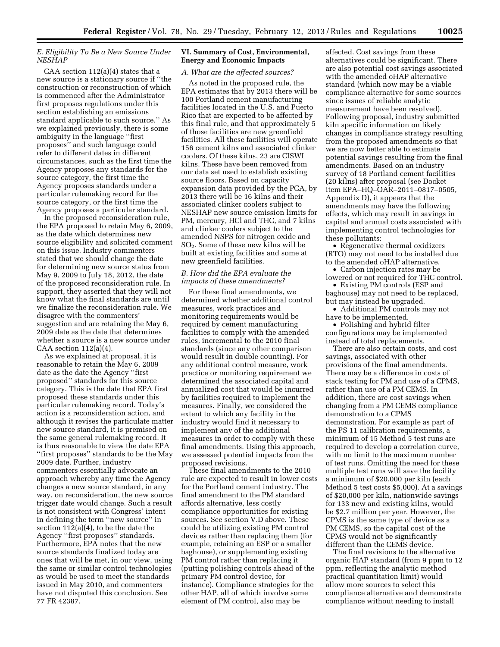#### *E. Eligibility To Be a New Source Under NESHAP*

CAA section 112(a)(4) states that a new source is a stationary source if ''the construction or reconstruction of which is commenced after the Administrator first proposes regulations under this section establishing an emissions standard applicable to such source.'' As we explained previously, there is some ambiguity in the language ''first proposes'' and such language could refer to different dates in different circumstances, such as the first time the Agency proposes any standards for the source category, the first time the Agency proposes standards under a particular rulemaking record for the source category, or the first time the Agency proposes a particular standard.

In the proposed reconsideration rule, the EPA proposed to retain May 6, 2009, as the date which determines new source eligibility and solicited comment on this issue. Industry commenters stated that we should change the date for determining new source status from May 9, 2009 to July 18, 2012, the date of the proposed reconsideration rule. In support, they asserted that they will not know what the final standards are until we finalize the reconsideration rule. We disagree with the commenters' suggestion and are retaining the May 6, 2009 date as the date that determines whether a source is a new source under CAA section  $112(a)(4)$ .

As we explained at proposal, it is reasonable to retain the May 6, 2009 date as the date the Agency ''first proposed'' standards for this source category. This is the date that EPA first proposed these standards under this particular rulemaking record. Today's action is a reconsideration action, and although it revises the particulate matter new source standard, it is premised on the same general rulemaking record. It is thus reasonable to view the date EPA ''first proposes'' standards to be the May 2009 date. Further, industry commenters essentially advocate an approach whereby any time the Agency changes a new source standard, in any way, on reconsideration, the new source trigger date would change. Such a result is not consistent with Congress' intent in defining the term ''new source'' in section 112(a)(4), to be the date the Agency ''first proposes'' standards. Furthermore, EPA notes that the new source standards finalized today are ones that will be met, in our view, using the same or similar control technologies as would be used to meet the standards issued in May 2010, and commenters have not disputed this conclusion. See 77 FR 42387.

#### **VI. Summary of Cost, Environmental, Energy and Economic Impacts**

#### *A. What are the affected sources?*

As noted in the proposed rule, the EPA estimates that by 2013 there will be 100 Portland cement manufacturing facilities located in the U.S. and Puerto Rico that are expected to be affected by this final rule, and that approximately 5 of those facilities are new greenfield facilities. All these facilities will operate 156 cement kilns and associated clinker coolers. Of these kilns, 23 are CISWI kilns. These have been removed from our data set used to establish existing source floors. Based on capacity expansion data provided by the PCA, by 2013 there will be 16 kilns and their associated clinker coolers subject to NESHAP new source emission limits for PM, mercury, HCl and THC, and 7 kilns and clinker coolers subject to the amended NSPS for nitrogen oxide and SO2. Some of these new kilns will be built at existing facilities and some at new greenfield facilities.

#### *B. How did the EPA evaluate the impacts of these amendments?*

For these final amendments, we determined whether additional control measures, work practices and monitoring requirements would be required by cement manufacturing facilities to comply with the amended rules, incremental to the 2010 final standards (since any other comparison would result in double counting). For any additional control measure, work practice or monitoring requirement we determined the associated capital and annualized cost that would be incurred by facilities required to implement the measures. Finally, we considered the extent to which any facility in the industry would find it necessary to implement any of the additional measures in order to comply with these final amendments. Using this approach, we assessed potential impacts from the proposed revisions.

These final amendments to the 2010 rule are expected to result in lower costs for the Portland cement industry. The final amendment to the PM standard affords alternative, less costly compliance opportunities for existing sources. See section V.D above. These could be utilizing existing PM control devices rather than replacing them (for example, retaining an ESP or a smaller baghouse), or supplementing existing PM control rather than replacing it (putting polishing controls ahead of the primary PM control device, for instance). Compliance strategies for the other HAP, all of which involve some element of PM control, also may be

affected. Cost savings from these alternatives could be significant. There are also potential cost savings associated with the amended oHAP alternative standard (which now may be a viable compliance alternative for some sources since issues of reliable analytic measurement have been resolved). Following proposal, industry submitted kiln specific information on likely changes in compliance strategy resulting from the proposed amendments so that we are now better able to estimate potential savings resulting from the final amendments. Based on an industry survey of 18 Portland cement facilities (20 kilns) after proposal (see Docket item EPA–HQ–OAR–2011–0817–0505, Appendix D), it appears that the amendments may have the following effects, which may result in savings in capital and annual costs associated with implementing control technologies for these pollutants:

• Regenerative thermal oxidizers (RTO) may not need to be installed due to the amended oHAP alternative.

• Carbon injection rates may be lowered or not required for THC control.

• Existing PM controls (ESP and baghouse) may not need to be replaced, but may instead be upgraded.

• Additional PM controls may not have to be implemented.

• Polishing and hybrid filter configurations may be implemented instead of total replacements.

There are also certain costs, and cost savings, associated with other provisions of the final amendments. There may be a difference in costs of stack testing for PM and use of a CPMS, rather than use of a PM CEMS. In addition, there are cost savings when changing from a PM CEMS compliance demonstration to a CPMS demonstration. For example as part of the PS 11 calibration requirements, a minimum of 15 Method 5 test runs are required to develop a correlation curve, with no limit to the maximum number of test runs. Omitting the need for these multiple test runs will save the facility a minimum of \$20,000 per kiln (each Method 5 test costs \$5,000). At a savings of \$20,000 per kiln, nationwide savings for 133 new and existing kilns, would be \$2.7 million per year. However, the CPMS is the same type of device as a PM CEMS, so the capital cost of the CPMS would not be significantly different than the CEMS device.

The final revisions to the alternative organic HAP standard (from 9 ppm to 12 ppm, reflecting the analytic method practical quantitation limit) would allow more sources to select this compliance alternative and demonstrate compliance without needing to install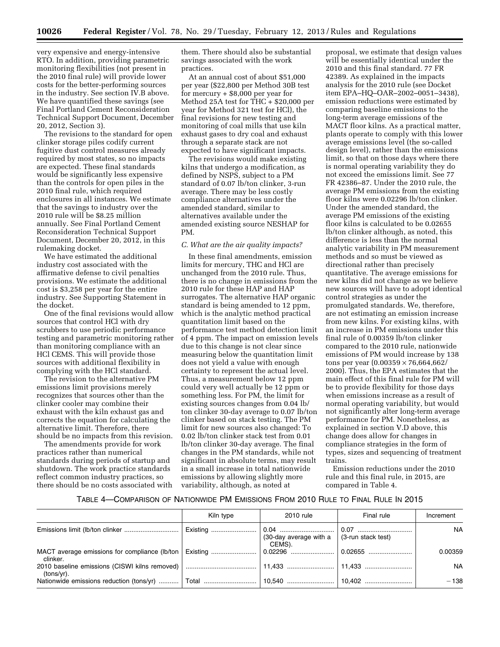very expensive and energy-intensive RTO. In addition, providing parametric monitoring flexibilities (not present in the 2010 final rule) will provide lower costs for the better-performing sources in the industry. See section IV.B above. We have quantified these savings (see Final Portland Cement Reconsideration Technical Support Document, December 20, 2012, Section 3).

The revisions to the standard for open clinker storage piles codify current fugitive dust control measures already required by most states, so no impacts are expected. These final standards would be significantly less expensive than the controls for open piles in the 2010 final rule, which required enclosures in all instances. We estimate that the savings to industry over the 2010 rule will be \$8.25 million annually. See Final Portland Cement Reconsideration Technical Support Document, December 20, 2012, in this rulemaking docket.

We have estimated the additional industry cost associated with the affirmative defense to civil penalties provisions. We estimate the additional cost is \$3,258 per year for the entire industry. See Supporting Statement in the docket.

One of the final revisions would allow sources that control HCl with dry scrubbers to use periodic performance testing and parametric monitoring rather than monitoring compliance with an HCl CEMS. This will provide those sources with additional flexibility in complying with the HCl standard.

The revision to the alternative PM emissions limit provisions merely recognizes that sources other than the clinker cooler may combine their exhaust with the kiln exhaust gas and corrects the equation for calculating the alternative limit. Therefore, there should be no impacts from this revision.

The amendments provide for work practices rather than numerical standards during periods of startup and shutdown. The work practice standards reflect common industry practices, so there should be no costs associated with them. There should also be substantial savings associated with the work practices.

At an annual cost of about \$51,000 per year (\$22,800 per Method 30B test for mercury  $+$  \$8,000 per year for Method 25A test for THC + \$20,000 per year for Method 321 test for HCl), the final revisions for new testing and monitoring of coal mills that use kiln exhaust gases to dry coal and exhaust through a separate stack are not expected to have significant impacts.

The revisions would make existing kilns that undergo a modification, as defined by NSPS, subject to a PM standard of 0.07 lb/ton clinker, 3-run average. There may be less costly compliance alternatives under the amended standard, similar to alternatives available under the amended existing source NESHAP for PM.

#### *C. What are the air quality impacts?*

In these final amendments, emission limits for mercury, THC and HCl are unchanged from the 2010 rule. Thus, there is no change in emissions from the 2010 rule for these HAP and HAP surrogates. The alternative HAP organic standard is being amended to 12 ppm, which is the analytic method practical quantitation limit based on the performance test method detection limit of 4 ppm. The impact on emission levels due to this change is not clear since measuring below the quantitation limit does not yield a value with enough certainty to represent the actual level. Thus, a measurement below 12 ppm could very well actually be 12 ppm or something less. For PM, the limit for existing sources changes from 0.04 lb/ ton clinker 30-day average to 0.07 lb/ton clinker based on stack testing. The PM limit for new sources also changed: To 0.02 lb/ton clinker stack test from 0.01 lb/ton clinker 30-day average. The final changes in the PM standards, while not significant in absolute terms, may result in a small increase in total nationwide emissions by allowing slightly more variability, although, as noted at

proposal, we estimate that design values will be essentially identical under the 2010 and this final standard. 77 FR 42389. As explained in the impacts analysis for the 2010 rule (see Docket item EPA–HQ–OAR–2002–0051–3438), emission reductions were estimated by comparing baseline emissions to the long-term average emissions of the MACT floor kilns. As a practical matter, plants operate to comply with this lower average emissions level (the so-called design level), rather than the emissions limit, so that on those days where there is normal operating variability they do not exceed the emissions limit. See 77 FR 42386–87. Under the 2010 rule, the average PM emissions from the existing floor kilns were 0.02296 lb/ton clinker. Under the amended standard, the average PM emissions of the existing floor kilns is calculated to be 0.02655 lb/ton clinker although, as noted, this difference is less than the normal analytic variability in PM measurement methods and so must be viewed as directional rather than precisely quantitative. The average emissions for new kilns did not change as we believe new sources will have to adopt identical control strategies as under the promulgated standards. We, therefore, are not estimating an emission increase from new kilns. For existing kilns, with an increase in PM emissions under this final rule of 0.00359 lb/ton clinker compared to the 2010 rule, nationwide emissions of PM would increase by 138 tons per year  $(0.00359 \times 76,664,662)$ 2000). Thus, the EPA estimates that the main effect of this final rule for PM will be to provide flexibility for those days when emissions increase as a result of normal operating variability, but would not significantly alter long-term average performance for PM. Nonetheless, as explained in section V.D above, this change does allow for changes in compliance strategies in the form of types, sizes and sequencing of treatment trains.

Emission reductions under the 2010 rule and this final rule, in 2015, are compared in Table 4.

#### TABLE 4—COMPARISON OF NATIONWIDE PM EMISSIONS FROM 2010 RULE TO FINAL RULE IN 2015

|            | Kiln type | 2010 rule                        | Final rule                 | Increment |
|------------|-----------|----------------------------------|----------------------------|-----------|
|            |           | (30-day average with a<br>CEMS). | $\vert$ (3-run stack test) | NA.       |
| clinker.   |           |                                  | $\mid 0.02655$             | 0.00359   |
| (tons/yr). |           |                                  |                            | NA.       |
|            |           |                                  |                            | $-138$    |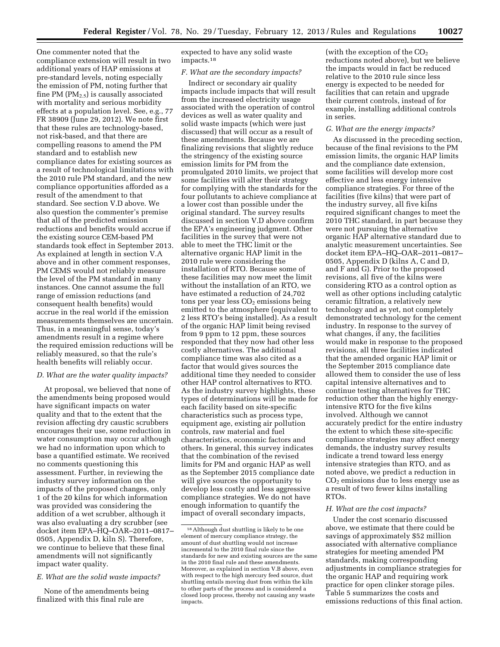One commenter noted that the compliance extension will result in two additional years of HAP emissions at pre-standard levels, noting especially the emission of PM, noting further that fine PM  $(PM_{2.5})$  is causally associated with mortality and serious morbidity effects at a population level. See, e.g., 77 FR 38909 (June 29, 2012). We note first that these rules are technology-based, not risk-based, and that there are compelling reasons to amend the PM standard and to establish new compliance dates for existing sources as a result of technological limitations with the 2010 rule PM standard, and the new compliance opportunities afforded as a result of the amendment to that standard. See section V.D above. We also question the commenter's premise that all of the predicted emission reductions and benefits would accrue if the existing source CEM-based PM standards took effect in September 2013. As explained at length in section V.A above and in other comment responses, PM CEMS would not reliably measure the level of the PM standard in many instances. One cannot assume the full range of emission reductions (and consequent health benefits) would accrue in the real world if the emission measurements themselves are uncertain. Thus, in a meaningful sense, today's amendments result in a regime where the required emission reductions will be reliably measured, so that the rule's health benefits will reliably occur.

#### *D. What are the water quality impacts?*

At proposal, we believed that none of the amendments being proposed would have significant impacts on water quality and that to the extent that the revision affecting dry caustic scrubbers encourages their use, some reduction in water consumption may occur although we had no information upon which to base a quantified estimate. We received no comments questioning this assessment. Further, in reviewing the industry survey information on the impacts of the proposed changes, only 1 of the 20 kilns for which information was provided was considering the addition of a wet scrubber, although it was also evaluating a dry scrubber (see docket item EPA–HQ–OAR–2011–0817– 0505, Appendix D, kiln S). Therefore, we continue to believe that these final amendments will not significantly impact water quality.

#### *E. What are the solid waste impacts?*

None of the amendments being finalized with this final rule are

expected to have any solid waste impacts.18

#### *F. What are the secondary impacts?*

Indirect or secondary air quality impacts include impacts that will result from the increased electricity usage associated with the operation of control devices as well as water quality and solid waste impacts (which were just discussed) that will occur as a result of these amendments. Because we are finalizing revisions that slightly reduce the stringency of the existing source emission limits for PM from the promulgated 2010 limits, we project that some facilities will alter their strategy for complying with the standards for the four pollutants to achieve compliance at a lower cost than possible under the original standard. The survey results discussed in section V.D above confirm the EPA's engineering judgment. Other facilities in the survey that were not able to meet the THC limit or the alternative organic HAP limit in the 2010 rule were considering the installation of RTO. Because some of these facilities may now meet the limit without the installation of an RTO, we have estimated a reduction of 24,702 tons per year less  $CO<sub>2</sub>$  emissions being emitted to the atmosphere (equivalent to 2 less RTO's being installed). As a result of the organic HAP limit being revised from 9 ppm to 12 ppm, these sources responded that they now had other less costly alternatives. The additional compliance time was also cited as a factor that would gives sources the additional time they needed to consider other HAP control alternatives to RTO. As the industry survey highlights, these types of determinations will be made for each facility based on site-specific characteristics such as process type, equipment age, existing air pollution controls, raw material and fuel characteristics, economic factors and others. In general, this survey indicates that the combination of the revised limits for PM and organic HAP as well as the September 2015 compliance date will give sources the opportunity to develop less costly and less aggressive compliance strategies. We do not have enough information to quantify the impact of overall secondary impacts,

(with the exception of the  $CO<sub>2</sub>$ reductions noted above), but we believe the impacts would in fact be reduced relative to the 2010 rule since less energy is expected to be needed for facilities that can retain and upgrade their current controls, instead of for example, installing additional controls in series.

#### *G. What are the energy impacts?*

As discussed in the preceding section, because of the final revisions to the PM emission limits, the organic HAP limits and the compliance date extension, some facilities will develop more cost effective and less energy intensive compliance strategies. For three of the facilities (five kilns) that were part of the industry survey, all five kilns required significant changes to meet the 2010 THC standard, in part because they were not pursuing the alternative organic HAP alternative standard due to analytic measurement uncertainties. See docket item EPA–HQ–OAR–2011–0817– 0505, Appendix D (kilns A, C and D, and F and G). Prior to the proposed revisions, all five of the kilns were considering RTO as a control option as well as other options including catalytic ceramic filtration, a relatively new technology and as yet, not completely demonstrated technology for the cement industry. In response to the survey of what changes, if any, the facilities would make in response to the proposed revisions, all three facilities indicated that the amended organic HAP limit or the September 2015 compliance date allowed them to consider the use of less capital intensive alternatives and to continue testing alternatives for THC reduction other than the highly energyintensive RTO for the five kilns involved. Although we cannot accurately predict for the entire industry the extent to which these site-specific compliance strategies may affect energy demands, the industry survey results indicate a trend toward less energy intensive strategies than RTO, and as noted above, we predict a reduction in CO2 emissions due to less energy use as a result of two fewer kilns installing RTOs.

#### *H. What are the cost impacts?*

Under the cost scenario discussed above, we estimate that there could be savings of approximately \$52 million associated with alternative compliance strategies for meeting amended PM standards, making corresponding adjustments in compliance strategies for the organic HAP and requiring work practice for open clinker storage piles. Table 5 summarizes the costs and emissions reductions of this final action.

<sup>18</sup>Although dust shuttling is likely to be one element of mercury compliance strategy, the amount of dust shuttling would not increase incremental to the 2010 final rule since the standards for new and existing sources are the same in the 2010 final rule and these amendments. Moreover, as explained in section V.B above, even with respect to the high mercury feed source, dust shuttling entails moving dust from within the kiln to other parts of the process and is considered a closed loop process, thereby not causing any waste impacts.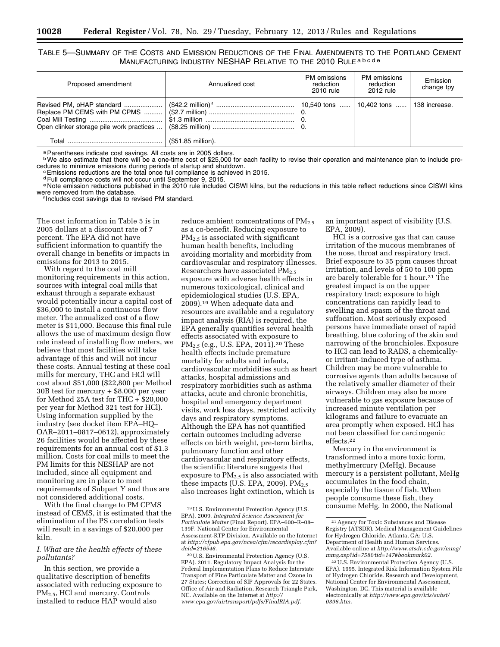TABLE 5—SUMMARY OF THE COSTS AND EMISSION REDUCTIONS OF THE FINAL AMENDMENTS TO THE PORTLAND CEMENT MANUFACTURING INDUSTRY NESHAP RELATIVE TO THE 2010 RULE a b c d e

| Proposed amendment | Annualized cost    | PM emissions<br>reduction<br>2010 rule | PM emissions<br>reduction<br>2012 rule  | Emission<br>change tpy |
|--------------------|--------------------|----------------------------------------|-----------------------------------------|------------------------|
|                    |                    |                                        | 10,540 tons  10,402 tons  138 increase. |                        |
|                    | (\$51.85 million). |                                        |                                         |                        |

a Parentheses indicate cost savings. All costs are in 2005 dollars.

<sup>b</sup>We also estimate that there will be a one-time cost of \$25,000 for each facility to revise their operation and maintenance plan to include proedures to minimize emissions during periods of startup and shutdown.<br>
CEMISSIONS reductions are the total once full compliance is achieved in 2015.

dFull compliance costs will not occur until September 9, 2015.

e Note emission reductions published in the 2010 rule included CISWI kilns, but the reductions in this table reflect reductions since CISWI kilns<br>were removed from the database.

f Includes cost savings due to revised PM standard.

The cost information in Table 5 is in 2005 dollars at a discount rate of 7 percent. The EPA did not have sufficient information to quantify the overall change in benefits or impacts in emissions for 2013 to 2015.

With regard to the coal mill monitoring requirements in this action, sources with integral coal mills that exhaust through a separate exhaust would potentially incur a capital cost of \$36,000 to install a continuous flow meter. The annualized cost of a flow meter is \$11,000. Because this final rule allows the use of maximum design flow rate instead of installing flow meters, we believe that most facilities will take advantage of this and will not incur these costs. Annual testing at these coal mills for mercury, THC and HCl will cost about \$51,000 (\$22,800 per Method 30B test for mercury + \$8,000 per year for Method 25A test for THC  $+$  \$20,000 per year for Method 321 test for HCl). Using information supplied by the industry (see docket item EPA–HQ– OAR–2011–0817–0612), approximately 26 facilities would be affected by these requirements for an annual cost of \$1.3 million. Costs for coal mills to meet the PM limits for this NESHAP are not included, since all equipment and monitoring are in place to meet requirements of Subpart Y and thus are not considered additional costs.

With the final change to PM CPMS instead of CEMS, it is estimated that the elimination of the PS correlation tests will result in a savings of \$20,000 per kiln.

#### *I. What are the health effects of these pollutants?*

In this section, we provide a qualitative description of benefits associated with reducing exposure to PM<sub>2.5</sub>, HCl and mercury. Controls installed to reduce HAP would also

reduce ambient concentrations of  $PM_{2.5}$ as a co-benefit. Reducing exposure to PM<sub>2.5</sub> is associated with significant human health benefits, including avoiding mortality and morbidity from cardiovascular and respiratory illnesses. Researchers have associated PM2.5 exposure with adverse health effects in numerous toxicological, clinical and epidemiological studies (U.S. EPA, 2009).19 When adequate data and resources are available and a regulatory impact analysis (RIA) is required, the EPA generally quantifies several health effects associated with exposure to PM2.5 (e.g., U.S. EPA, 2011).20 These health effects include premature mortality for adults and infants, cardiovascular morbidities such as heart attacks, hospital admissions and respiratory morbidities such as asthma attacks, acute and chronic bronchitis, hospital and emergency department visits, work loss days, restricted activity days and respiratory symptoms. Although the EPA has not quantified certain outcomes including adverse effects on birth weight, pre-term births, pulmonary function and other cardiovascular and respiratory effects, the scientific literature suggests that exposure to  $PM<sub>2.5</sub>$  is also associated with these impacts (U.S. EPA, 2009).  $PM_{2.5}$ also increases light extinction, which is

an important aspect of visibility (U.S. EPA, 2009).

HCl is a corrosive gas that can cause irritation of the mucous membranes of the nose, throat and respiratory tract. Brief exposure to 35 ppm causes throat irritation, and levels of 50 to 100 ppm are barely tolerable for 1 hour.21 The greatest impact is on the upper respiratory tract; exposure to high concentrations can rapidly lead to swelling and spasm of the throat and suffocation. Most seriously exposed persons have immediate onset of rapid breathing, blue coloring of the skin and narrowing of the bronchioles. Exposure to HCl can lead to RADS, a chemicallyor irritant-induced type of asthma. Children may be more vulnerable to corrosive agents than adults because of the relatively smaller diameter of their airways. Children may also be more vulnerable to gas exposure because of increased minute ventilation per kilograms and failure to evacuate an area promptly when exposed. HCl has not been classified for carcinogenic effects.22

Mercury in the environment is transformed into a more toxic form, methylmercury (MeHg). Because mercury is a persistent pollutant, MeHg accumulates in the food chain, especially the tissue of fish. When people consume these fish, they consume MeHg. In 2000, the National

<sup>19</sup>U.S. Environmental Protection Agency (U.S. EPA). 2009. *Integrated Science Assessment for Particulate Matter* (Final Report). EPA–600–R–08– 139F. National Center for Environmental Assessment-RTP Division. Available on the Internet at *[http://cfpub.epa.gov/ncea/cfm/recordisplay.cfm?](http://cfpub.epa.gov/ncea/cfm/recordisplay.cfm?deid=216546) [deid=216546](http://cfpub.epa.gov/ncea/cfm/recordisplay.cfm?deid=216546)*.

<sup>20</sup>U.S. Environmental Protection Agency (U.S. EPA). 2011. Regulatory Impact Analysis for the Federal Implementation Plans to Reduce Interstate Transport of Fine Particulate Matter and Ozone in 27 States; Correction of SIP Approvals for 22 States. Office of Air and Radiation, Research Triangle Park, NC. Available on the Internet at *[http://](http://www.epa.gov/airtransport/pdfs/FinalRIA.pdf) [www.epa.gov/airtransport/pdfs/FinalRIA.pdf.](http://www.epa.gov/airtransport/pdfs/FinalRIA.pdf)* 

<sup>21</sup>Agency for Toxic Substances and Disease Registry (ATSDR). Medical Management Guidelines for Hydrogen Chloride. Atlanta, GA: U.S. Department of Health and Human Services. Available online at *[http://www.atsdr.cdc.gov/mmg/](http://www.atsdr.cdc.gov/mmg/mmg.asp?id=758&tid=147#bookmark02) [mmg.asp?id=758&tid=147#bookmark02.](http://www.atsdr.cdc.gov/mmg/mmg.asp?id=758&tid=147#bookmark02)* 

<sup>22</sup>U.S. Environmental Protection Agency (U.S. EPA). 1995. Integrated Risk Information System File of Hydrogen Chloride. Research and Development, National Center for Environmental Assessment, Washington, DC. This material is available electronically at *[http://www.epa.gov/iris/subst/](http://www.epa.gov/iris/subst/0396.htm)  [0396.htm.](http://www.epa.gov/iris/subst/0396.htm)*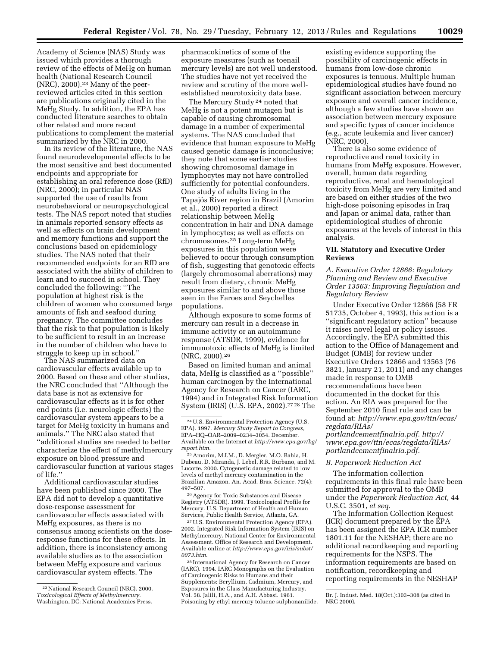Academy of Science (NAS) Study was issued which provides a thorough review of the effects of MeHg on human health (National Research Council (NRC), 2000).23 Many of the peerreviewed articles cited in this section are publications originally cited in the MeHg Study. In addition, the EPA has conducted literature searches to obtain other related and more recent publications to complement the material summarized by the NRC in 2000.

In its review of the literature, the NAS found neurodevelopmental effects to be the most sensitive and best documented endpoints and appropriate for establishing an oral reference dose (RfD) (NRC, 2000); in particular NAS supported the use of results from neurobehavioral or neuropsychological tests. The NAS report noted that studies in animals reported sensory effects as well as effects on brain development and memory functions and support the conclusions based on epidemiology studies. The NAS noted that their recommended endpoints for an RfD are associated with the ability of children to learn and to succeed in school. They concluded the following: ''The population at highest risk is the children of women who consumed large amounts of fish and seafood during pregnancy. The committee concludes that the risk to that population is likely to be sufficient to result in an increase in the number of children who have to struggle to keep up in school.''

The NAS summarized data on cardiovascular effects available up to 2000. Based on these and other studies, the NRC concluded that ''Although the data base is not as extensive for cardiovascular effects as it is for other end points (i.e. neurologic effects) the cardiovascular system appears to be a target for MeHg toxicity in humans and animals.'' The NRC also stated that ''additional studies are needed to better characterize the effect of methylmercury exposure on blood pressure and cardiovascular function at various stages of life.''

Additional cardiovascular studies have been published since 2000. The EPA did not to develop a quantitative dose-response assessment for cardiovascular effects associated with MeHg exposures, as there is no consensus among scientists on the doseresponse functions for these effects. In addition, there is inconsistency among available studies as to the association between MeHg exposure and various cardiovascular system effects. The

pharmacokinetics of some of the exposure measures (such as toenail mercury levels) are not well understood. The studies have not yet received the review and scrutiny of the more wellestablished neurotoxicity data base.

The Mercury Study 24 noted that MeHg is not a potent mutagen but is capable of causing chromosomal damage in a number of experimental systems. The NAS concluded that evidence that human exposure to MeHg caused genetic damage is inconclusive; they note that some earlier studies showing chromosomal damage in lymphocytes may not have controlled sufficiently for potential confounders. One study of adults living in the Tapajós River region in Brazil (Amorim et al., 2000) reported a direct relationship between MeHg concentration in hair and DNA damage in lymphocytes; as well as effects on chromosomes.25 Long-term MeHg exposures in this population were believed to occur through consumption of fish, suggesting that genotoxic effects (largely chromosomal aberrations) may result from dietary, chronic MeHg exposures similar to and above those seen in the Faroes and Seychelles populations.

Although exposure to some forms of mercury can result in a decrease in immune activity or an autoimmune response (ATSDR, 1999), evidence for immunotoxic effects of MeHg is limited (NRC, 2000).26

Based on limited human and animal data, MeHg is classified as a ''possible'' human carcinogen by the International Agency for Research on Cancer (IARC, 1994) and in Integrated Risk Information System (IRIS) (U.S. EPA, 2002).27 28 The

25Amorim, M.I.M., D. Mergler, M.O. Bahia, H. Dubeau, D. Miranda, J. Lebel, R.R. Burbano, and M. Lucotte. 2000. Cytogenetic damage related to low levels of methyl mercury contamination in the Brazilian Amazon. An. Acad. Bras. Science. 72(4): 497–507.

26Agency for Toxic Substances and Disease Registry (ATSDR). 1999. Toxicological Profile for Mercury. U.S. Department of Health and Human Services, Public Health Service, Atlanta, GA.

27U.S. Environmental Protection Agency (EPA). 2002. Integrated Risk Information System (IRIS) on Methylmercury. National Center for Environmental Assessment. Office of Research and Development. Available online at *[http://www.epa.gov/iris/subst/](http://www.epa.gov/iris/subst/0073.htm) [0073.htm.](http://www.epa.gov/iris/subst/0073.htm)* 

28 International Agency for Research on Cancer (IARC). 1994. IARC Monographs on the Evaluation of Carcinogenic Risks to Humans and their Supplements: Beryllium, Cadmium, Mercury, and Exposures in the Glass Manufacturing Industry. Vol. 58. Jalili, H.A., and A.H. Abbasi. 1961. Poisoning by ethyl mercury toluene sulphonanilide.

existing evidence supporting the possibility of carcinogenic effects in humans from low-dose chronic exposures is tenuous. Multiple human epidemiological studies have found no significant association between mercury exposure and overall cancer incidence, although a few studies have shown an association between mercury exposure and specific types of cancer incidence (e.g., acute leukemia and liver cancer) (NRC, 2000).

There is also some evidence of reproductive and renal toxicity in humans from MeHg exposure. However, overall, human data regarding reproductive, renal and hematological toxicity from MeHg are very limited and are based on either studies of the two high-dose poisoning episodes in Iraq and Japan or animal data, rather than epidemiological studies of chronic exposures at the levels of interest in this analysis.

#### **VII. Statutory and Executive Order Reviews**

*A. Executive Order 12866: Regulatory Planning and Review and Executive Order 13563: Improving Regulation and Regulatory Review* 

Under Executive Order 12866 (58 FR 51735, October 4, 1993), this action is a ''significant regulatory action'' because it raises novel legal or policy issues. Accordingly, the EPA submitted this action to the Office of Management and Budget (OMB) for review under Executive Orders 12866 and 13563 (76 3821, January 21, 2011) and any changes made in response to OMB recommendations have been documented in the docket for this action. An RIA was prepared for the September 2010 final rule and can be found at: *[http://www.epa.gov/ttn/ecas/](http://www.epa.gov/ttn/ecas/regdata/RIAs/portlandcementfinalria.pdf)  [regdata/RIAs/](http://www.epa.gov/ttn/ecas/regdata/RIAs/portlandcementfinalria.pdf)* 

*[portlandcementfinalria.pdf. http://](http://www.epa.gov/ttn/ecas/regdata/RIAs/portlandcementfinalria.pdf)  [www.epa.gov/ttn/ecas/regdata/RIAs/](http://www.epa.gov/ttn/ecas/regdata/RIAs/portlandcementfinalria.pdf)  [portlandcementfinalria.pdf.](http://www.epa.gov/ttn/ecas/regdata/RIAs/portlandcementfinalria.pdf)* 

#### *B. Paperwork Reduction Act*

The information collection requirements in this final rule have been submitted for approval to the OMB under the *Paperwork Reduction Act,* 44 U.S.C. 3501, *et seq.* 

The Information Collection Request (ICR) document prepared by the EPA has been assigned the EPA ICR number 1801.11 for the NESHAP; there are no additional recordkeeping and reporting requirements for the NSPS. The information requirements are based on notification, recordkeeping and reporting requirements in the NESHAP

<sup>23</sup>National Research Council (NRC). 2000. *Toxicological Effects of Methylmercury.*  Washington, DC: National Academies Press.

<sup>24</sup>U.S. Environmental Protection Agency (U.S. EPA). 1997. *Mercury Study Report to Congress,*  EPA–HQ–OAR–2009–0234–3054. December. Available on the Internet at *[http://www.epa.gov/hg/](http://www.epa.gov/hg/report.htm) [report.htm](http://www.epa.gov/hg/report.htm)*.

Br. J. Indust. Med. 18(Oct.):303–308 (as cited in NRC 2000).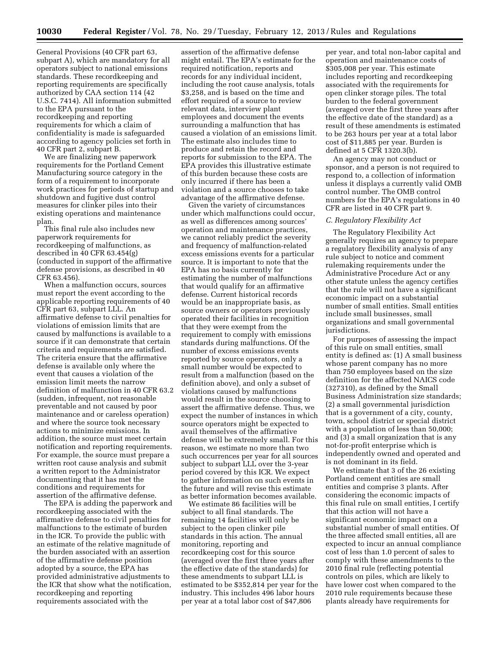General Provisions (40 CFR part 63, subpart A), which are mandatory for all operators subject to national emissions standards. These recordkeeping and reporting requirements are specifically authorized by CAA section 114 (42 U.S.C. 7414). All information submitted to the EPA pursuant to the recordkeeping and reporting requirements for which a claim of confidentiality is made is safeguarded according to agency policies set forth in 40 CFR part 2, subpart B.

We are finalizing new paperwork requirements for the Portland Cement Manufacturing source category in the form of a requirement to incorporate work practices for periods of startup and shutdown and fugitive dust control measures for clinker piles into their existing operations and maintenance plan.

This final rule also includes new paperwork requirements for recordkeeping of malfunctions, as described in 40 CFR 63.454(g) (conducted in support of the affirmative defense provisions, as described in 40 CFR 63.456).

When a malfunction occurs, sources must report the event according to the applicable reporting requirements of 40 CFR part 63, subpart LLL. An affirmative defense to civil penalties for violations of emission limits that are caused by malfunctions is available to a source if it can demonstrate that certain criteria and requirements are satisfied. The criteria ensure that the affirmative defense is available only where the event that causes a violation of the emission limit meets the narrow definition of malfunction in 40 CFR 63.2 (sudden, infrequent, not reasonable preventable and not caused by poor maintenance and or careless operation) and where the source took necessary actions to minimize emissions. In addition, the source must meet certain notification and reporting requirements. For example, the source must prepare a written root cause analysis and submit a written report to the Administrator documenting that it has met the conditions and requirements for assertion of the affirmative defense.

The EPA is adding the paperwork and recordkeeping associated with the affirmative defense to civil penalties for malfunctions to the estimate of burden in the ICR. To provide the public with an estimate of the relative magnitude of the burden associated with an assertion of the affirmative defense position adopted by a source, the EPA has provided administrative adjustments to the ICR that show what the notification, recordkeeping and reporting requirements associated with the

assertion of the affirmative defense might entail. The EPA's estimate for the required notification, reports and records for any individual incident, including the root cause analysis, totals \$3,258, and is based on the time and effort required of a source to review relevant data, interview plant employees and document the events surrounding a malfunction that has caused a violation of an emissions limit. The estimate also includes time to produce and retain the record and reports for submission to the EPA. The EPA provides this illustrative estimate of this burden because these costs are only incurred if there has been a violation and a source chooses to take advantage of the affirmative defense.

Given the variety of circumstances under which malfunctions could occur, as well as differences among sources' operation and maintenance practices, we cannot reliably predict the severity and frequency of malfunction-related excess emissions events for a particular source. It is important to note that the EPA has no basis currently for estimating the number of malfunctions that would qualify for an affirmative defense. Current historical records would be an inappropriate basis, as source owners or operators previously operated their facilities in recognition that they were exempt from the requirement to comply with emissions standards during malfunctions. Of the number of excess emissions events reported by source operators, only a small number would be expected to result from a malfunction (based on the definition above), and only a subset of violations caused by malfunctions would result in the source choosing to assert the affirmative defense. Thus, we expect the number of instances in which source operators might be expected to avail themselves of the affirmative defense will be extremely small. For this reason, we estimate no more than two such occurrences per year for all sources subject to subpart LLL over the 3-year period covered by this ICR. We expect to gather information on such events in the future and will revise this estimate as better information becomes available.

We estimate 86 facilities will be subject to all final standards. The remaining 14 facilities will only be subject to the open clinker pile standards in this action. The annual monitoring, reporting and recordkeeping cost for this source (averaged over the first three years after the effective date of the standards) for these amendments to subpart LLL is estimated to be \$352,814 per year for the industry. This includes 496 labor hours per year at a total labor cost of \$47,806

per year, and total non-labor capital and operation and maintenance costs of \$305,008 per year. This estimate includes reporting and recordkeeping associated with the requirements for open clinker storage piles. The total burden to the federal government (averaged over the first three years after the effective date of the standard) as a result of these amendments is estimated to be 263 hours per year at a total labor cost of \$11,885 per year. Burden is defined at 5 CFR 1320.3(b).

An agency may not conduct or sponsor, and a person is not required to respond to, a collection of information unless it displays a currently valid OMB control number. The OMB control numbers for the EPA's regulations in 40 CFR are listed in 40 CFR part 9.

#### *C. Regulatory Flexibility Act*

The Regulatory Flexibility Act generally requires an agency to prepare a regulatory flexibility analysis of any rule subject to notice and comment rulemaking requirements under the Administrative Procedure Act or any other statute unless the agency certifies that the rule will not have a significant economic impact on a substantial number of small entities. Small entities include small businesses, small organizations and small governmental jurisdictions.

For purposes of assessing the impact of this rule on small entities, small entity is defined as: (1) A small business whose parent company has no more than 750 employees based on the size definition for the affected NAICS code (327310), as defined by the Small Business Administration size standards; (2) a small governmental jurisdiction that is a government of a city, county, town, school district or special district with a population of less than 50,000; and (3) a small organization that is any not-for-profit enterprise which is independently owned and operated and is not dominant in its field.

We estimate that 3 of the 26 existing Portland cement entities are small entities and comprise 3 plants. After considering the economic impacts of this final rule on small entities, I certify that this action will not have a significant economic impact on a substantial number of small entities. Of the three affected small entities, all are expected to incur an annual compliance cost of less than 1.0 percent of sales to comply with these amendments to the 2010 final rule (reflecting potential controls on piles, which are likely to have lower cost when compared to the 2010 rule requirements because these plants already have requirements for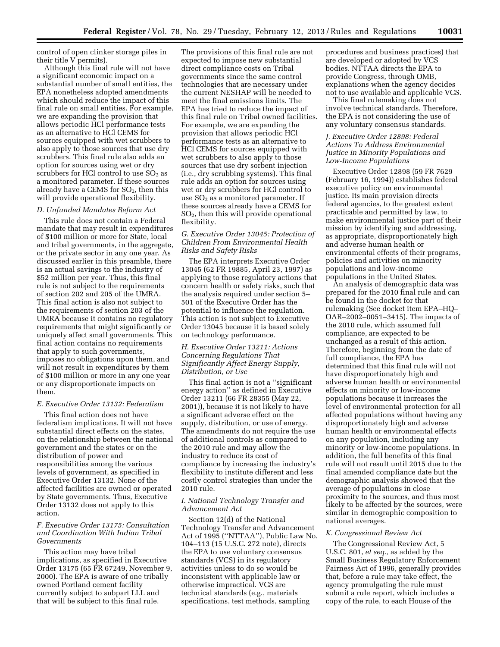control of open clinker storage piles in their title V permits).

Although this final rule will not have a significant economic impact on a substantial number of small entities, the EPA nonetheless adopted amendments which should reduce the impact of this final rule on small entities. For example, we are expanding the provision that allows periodic HCl performance tests as an alternative to HCl CEMS for sources equipped with wet scrubbers to also apply to those sources that use dry scrubbers. This final rule also adds an option for sources using wet or dry scrubbers for HCl control to use  $SO<sub>2</sub>$  as a monitored parameter. If these sources already have a CEMS for  $SO<sub>2</sub>$ , then this will provide operational flexibility.

#### *D. Unfunded Mandates Reform Act*

This rule does not contain a Federal mandate that may result in expenditures of \$100 million or more for State, local and tribal governments, in the aggregate, or the private sector in any one year. As discussed earlier in this preamble, there is an actual savings to the industry of \$52 million per year. Thus, this final rule is not subject to the requirements of section 202 and 205 of the UMRA. This final action is also not subject to the requirements of section 203 of the UMRA because it contains no regulatory requirements that might significantly or uniquely affect small governments. This final action contains no requirements that apply to such governments, imposes no obligations upon them, and will not result in expenditures by them of \$100 million or more in any one year or any disproportionate impacts on them.

#### *E. Executive Order 13132: Federalism*

This final action does not have federalism implications. It will not have substantial direct effects on the states, on the relationship between the national government and the states or on the distribution of power and responsibilities among the various levels of government, as specified in Executive Order 13132. None of the affected facilities are owned or operated by State governments. Thus, Executive Order 13132 does not apply to this action.

#### *F. Executive Order 13175: Consultation and Coordination With Indian Tribal Governments*

This action may have tribal implications, as specified in Executive Order 13175 (65 FR 67249, November 9, 2000). The EPA is aware of one tribally owned Portland cement facility currently subject to subpart LLL and that will be subject to this final rule.

The provisions of this final rule are not expected to impose new substantial direct compliance costs on Tribal governments since the same control technologies that are necessary under the current NESHAP will be needed to meet the final emissions limits. The EPA has tried to reduce the impact of this final rule on Tribal owned facilities. For example, we are expanding the provision that allows periodic HCl performance tests as an alternative to HCl CEMS for sources equipped with wet scrubbers to also apply to those sources that use dry sorbent injection (i.e., dry scrubbing systems). This final rule adds an option for sources using wet or dry scrubbers for HCl control to use  $SO<sub>2</sub>$  as a monitored parameter. If these sources already have a CEMS for SO2, then this will provide operational flexibility.

#### *G. Executive Order 13045: Protection of Children From Environmental Health Risks and Safety Risks*

The EPA interprets Executive Order 13045 (62 FR 19885, April 23, 1997) as applying to those regulatory actions that concern health or safety risks, such that the analysis required under section 5– 501 of the Executive Order has the potential to influence the regulation. This action is not subject to Executive Order 13045 because it is based solely on technology performance.

#### *H. Executive Order 13211: Actions Concerning Regulations That Significantly Affect Energy Supply, Distribution, or Use*

This final action is not a ''significant energy action'' as defined in Executive Order 13211 (66 FR 28355 (May 22, 2001)), because it is not likely to have a significant adverse effect on the supply, distribution, or use of energy. The amendments do not require the use of additional controls as compared to the 2010 rule and may allow the industry to reduce its cost of compliance by increasing the industry's flexibility to institute different and less costly control strategies than under the 2010 rule.

#### *I. National Technology Transfer and Advancement Act*

Section 12(d) of the National Technology Transfer and Advancement Act of 1995 (''NTTAA''), Public Law No. 104–113 (15 U.S.C. 272 note), directs the EPA to use voluntary consensus standards (VCS) in its regulatory activities unless to do so would be inconsistent with applicable law or otherwise impractical. VCS are technical standards (e.g., materials specifications, test methods, sampling

procedures and business practices) that are developed or adopted by VCS bodies. NTTAA directs the EPA to provide Congress, through OMB, explanations when the agency decides not to use available and applicable VCS.

This final rulemaking does not involve technical standards. Therefore, the EPA is not considering the use of any voluntary consensus standards.

#### *J. Executive Order 12898: Federal Actions To Address Environmental Justice in Minority Populations and Low-Income Populations*

Executive Order 12898 (59 FR 7629 (February 16, 1994)) establishes federal executive policy on environmental justice. Its main provision directs federal agencies, to the greatest extent practicable and permitted by law, to make environmental justice part of their mission by identifying and addressing, as appropriate, disproportionately high and adverse human health or environmental effects of their programs, policies and activities on minority populations and low-income populations in the United States.

An analysis of demographic data was prepared for the 2010 final rule and can be found in the docket for that rulemaking (See docket item EPA–HQ– OAR–2002–0051–3415). The impacts of the 2010 rule, which assumed full compliance, are expected to be unchanged as a result of this action. Therefore, beginning from the date of full compliance, the EPA has determined that this final rule will not have disproportionately high and adverse human health or environmental effects on minority or low-income populations because it increases the level of environmental protection for all affected populations without having any disproportionately high and adverse human health or environmental effects on any population, including any minority or low-income populations. In addition, the full benefits of this final rule will not result until 2015 due to the final amended compliance date but the demographic analysis showed that the average of populations in close proximity to the sources, and thus most likely to be affected by the sources, were similar in demographic composition to national averages.

#### *K. Congressional Review Act*

The Congressional Review Act, 5 U.S.C. 801, *et seq.,* as added by the Small Business Regulatory Enforcement Fairness Act of 1996, generally provides that, before a rule may take effect, the agency promulgating the rule must submit a rule report, which includes a copy of the rule, to each House of the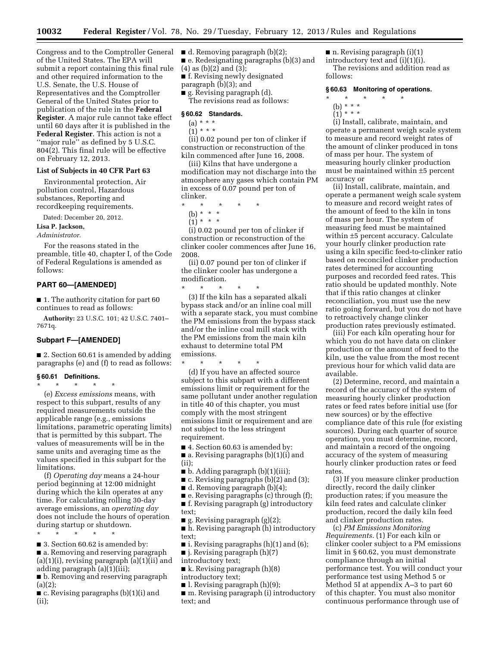Congress and to the Comptroller General ■ d. Removing paragraph (b)(2); of the United States. The EPA will submit a report containing this final rule and other required information to the U.S. Senate, the U.S. House of Representatives and the Comptroller General of the United States prior to publication of the rule in the **Federal Register**. A major rule cannot take effect until 60 days after it is published in the **Federal Register**. This action is not a ''major rule'' as defined by 5 U.S.C. 804(2). This final rule will be effective on February 12, 2013.

#### **List of Subjects in 40 CFR Part 63**

Environmental protection, Air pollution control, Hazardous substances, Reporting and recordkeeping requirements.

Dated: December 20, 2012.

**Lisa P. Jackson,** 

*Administrator.* 

For the reasons stated in the preamble, title 40, chapter I, of the Code of Federal Regulations is amended as follows:

#### **PART 60—[AMENDED]**

■ 1. The authority citation for part 60 continues to read as follows:

**Authority:** 23 U.S.C. 101; 42 U.S.C. 7401– 7671q.

#### **Subpart F—[AMENDED]**

■ 2. Section 60.61 is amended by adding paragraphs (e) and (f) to read as follows:

#### **§ 60.61 Definitions.**

\* \* \* \* \* (e) *Excess emissions* means, with respect to this subpart, results of any required measurements outside the applicable range (e.g., emissions limitations, parametric operating limits) that is permitted by this subpart. The values of measurements will be in the same units and averaging time as the values specified in this subpart for the limitations.

(f) *Operating day* means a 24-hour period beginning at 12:00 midnight during which the kiln operates at any time. For calculating rolling 30-day average emissions, an *operating day*  does not include the hours of operation during startup or shutdown.

\* \* \* \* \*

■ 3. Section 60.62 is amended by:

■ a. Removing and reserving paragraph (a)(1)(i), revising paragraph (a)(1)(ii) and adding paragraph (a)(1)(iii);

■ b. Removing and reserving paragraph (a)(2);

■ c. Revising paragraphs (b)(1)(i) and (ii);

■ e. Redesignating paragraphs (b)(3) and

(4) as (b)(2) and (3);

■ f. Revising newly designated paragraph (b)(3); and

■ g. Revising paragraph (d).

The revisions read as follows:

#### **§ 60.62 Standards.**

- $(a) * * * *$  $(i) * * * *$
- 

(ii) 0.02 pound per ton of clinker if construction or reconstruction of the kiln commenced after June 16, 2008.

(iii) Kilns that have undergone a modification may not discharge into the atmosphere any gases which contain PM in excess of 0.07 pound per ton of clinker.

\* \* \* \* \* (b) \* \* \*

 $(1) * * * *$ 

(i) 0.02 pound per ton of clinker if construction or reconstruction of the clinker cooler commences after June 16, 2008.

(ii) 0.07 pound per ton of clinker if the clinker cooler has undergone a modification.

\* \* \* \* \* (3) If the kiln has a separated alkali bypass stack and/or an inline coal mill with a separate stack, you must combine the PM emissions from the bypass stack and/or the inline coal mill stack with the PM emissions from the main kiln exhaust to determine total PM emissions.

\* \* \* \* \*

(d) If you have an affected source subject to this subpart with a different emissions limit or requirement for the same pollutant under another regulation in title 40 of this chapter, you must comply with the most stringent emissions limit or requirement and are not subject to the less stringent requirement.

■ 4. Section 60.63 is amended by: ■ a. Revising paragraphs (b)(1)(i) and (ii);

- $\blacksquare$  b. Adding paragraph (b)(1)(iii);
- c. Revising paragraphs (b)(2) and (3);
- d. Removing paragraph (b)(4);

 $\blacksquare$  e. Revising paragraphs (c) through (f);

■ f. Revising paragraph (g) introductory text;

■ g. Revising paragraph (g)(2);

■ h. Revising paragraph (h) introductory text;

 $\blacksquare$  i. Revising paragraphs (h)(1) and (6);

■ j. Revising paragraph (h)(7)

introductory text;

 $\blacksquare$  k. Revising paragraph (h)(8)

introductory text;

■ l. Revising paragraph (h)(9); ■ m. Revising paragraph (i) introductory text; and

 $\blacksquare$  n. Revising paragraph (i)(1) introductory text and (i)(1)(i). The revisions and addition read as follows:

#### **§ 60.63 Monitoring of operations.**

- \* \* \* \* \*
- (b) \* \* \*
- $(1) * * * *$

(i) Install, calibrate, maintain, and operate a permanent weigh scale system to measure and record weight rates of the amount of clinker produced in tons of mass per hour. The system of measuring hourly clinker production must be maintained within ±5 percent accuracy or

(ii) Install, calibrate, maintain, and operate a permanent weigh scale system to measure and record weight rates of the amount of feed to the kiln in tons of mass per hour. The system of measuring feed must be maintained within ±5 percent accuracy. Calculate your hourly clinker production rate using a kiln specific feed-to-clinker ratio based on reconciled clinker production rates determined for accounting purposes and recorded feed rates. This ratio should be updated monthly. Note that if this ratio changes at clinker reconciliation, you must use the new ratio going forward, but you do not have to retroactively change clinker production rates previously estimated.

(iii) For each kiln operating hour for which you do not have data on clinker production or the amount of feed to the kiln, use the value from the most recent previous hour for which valid data are available.

(2) Determine, record, and maintain a record of the accuracy of the system of measuring hourly clinker production rates or feed rates before initial use (for new sources) or by the effective compliance date of this rule (for existing sources). During each quarter of source operation, you must determine, record, and maintain a record of the ongoing accuracy of the system of measuring hourly clinker production rates or feed rates.

(3) If you measure clinker production directly, record the daily clinker production rates; if you measure the kiln feed rates and calculate clinker production, record the daily kiln feed and clinker production rates.

(c) *PM Emissions Monitoring Requirements.* (1) For each kiln or clinker cooler subject to a PM emissions limit in § 60.62, you must demonstrate compliance through an initial performance test. You will conduct your performance test using Method 5 or Method 5I at appendix A–3 to part 60 of this chapter. You must also monitor continuous performance through use of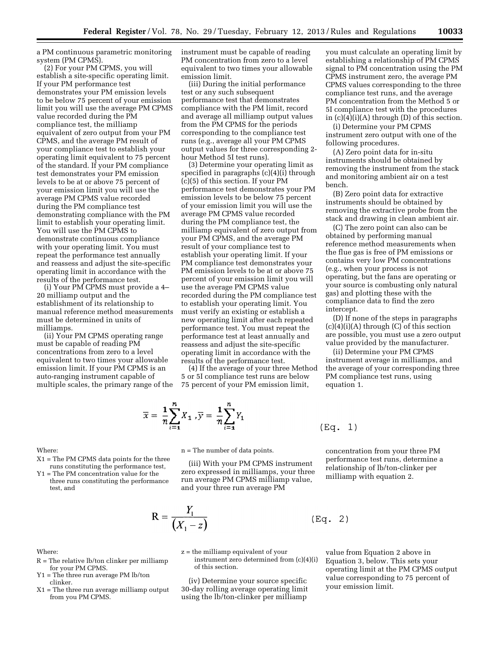a PM continuous parametric monitoring system (PM CPMS).

(2) For your PM CPMS, you will establish a site-specific operating limit. If your PM performance test demonstrates your PM emission levels to be below 75 percent of your emission limit you will use the average PM CPMS value recorded during the PM compliance test, the milliamp equivalent of zero output from your PM CPMS, and the average PM result of your compliance test to establish your operating limit equivalent to 75 percent of the standard. If your PM compliance test demonstrates your PM emission levels to be at or above 75 percent of your emission limit you will use the average PM CPMS value recorded during the PM compliance test demonstrating compliance with the PM limit to establish your operating limit. You will use the PM CPMS to demonstrate continuous compliance with your operating limit. You must repeat the performance test annually and reassess and adjust the site-specific operating limit in accordance with the results of the performance test.

(i) Your PM CPMS must provide a 4– 20 milliamp output and the establishment of its relationship to manual reference method measurements must be determined in units of milliamps.

(ii) Your PM CPMS operating range must be capable of reading PM concentrations from zero to a level equivalent to two times your allowable emission limit. If your PM CPMS is an auto-ranging instrument capable of multiple scales, the primary range of the instrument must be capable of reading PM concentration from zero to a level equivalent to two times your allowable emission limit.

(iii) During the initial performance test or any such subsequent performance test that demonstrates compliance with the PM limit, record and average all milliamp output values from the PM CPMS for the periods corresponding to the compliance test runs (e.g., average all your PM CPMS output values for three corresponding 2 hour Method 5I test runs).

(3) Determine your operating limit as specified in paragraphs (c)(4)(i) through (c)(5) of this section. If your PM performance test demonstrates your PM emission levels to be below 75 percent of your emission limit you will use the average PM CPMS value recorded during the PM compliance test, the milliamp equivalent of zero output from your PM CPMS, and the average PM result of your compliance test to establish your operating limit. If your PM compliance test demonstrates your PM emission levels to be at or above 75 percent of your emission limit you will use the average PM CPMS value recorded during the PM compliance test to establish your operating limit. You must verify an existing or establish a new operating limit after each repeated performance test. You must repeat the performance test at least annually and reassess and adjust the site-specific operating limit in accordance with the results of the performance test.

(4) If the average of your three Method 5 or 5I compliance test runs are below 75 percent of your PM emission limit,

$$
\overline{x} = \frac{1}{n} \sum_{i=1}^{n} X_1, \overline{y} = \frac{1}{n} \sum_{i=1}^{n} Y_1
$$

you must calculate an operating limit by establishing a relationship of PM CPMS signal to PM concentration using the PM CPMS instrument zero, the average PM CPMS values corresponding to the three compliance test runs, and the average PM concentration from the Method 5 or 5I compliance test with the procedures in (c)(4)(i)(A) through (D) of this section.

(i) Determine your PM CPMS instrument zero output with one of the following procedures.

(A) Zero point data for in-situ instruments should be obtained by removing the instrument from the stack and monitoring ambient air on a test bench.

(B) Zero point data for extractive instruments should be obtained by removing the extractive probe from the stack and drawing in clean ambient air.

(C) The zero point can also can be obtained by performing manual reference method measurements when the flue gas is free of PM emissions or contains very low PM concentrations (e.g., when your process is not operating, but the fans are operating or your source is combusting only natural gas) and plotting these with the compliance data to find the zero intercept.

(D) If none of the steps in paragraphs  $(c)(4)(i)(A)$  through  $(C)$  of this section are possible, you must use a zero output value provided by the manufacturer.

(ii) Determine your PM CPMS instrument average in milliamps, and the average of your corresponding three PM compliance test runs, using equation 1.

$$
(\text{Eq. } 1)
$$

 $(Eq. 2)$ 

#### Where:

X1 = The PM CPMS data points for the three runs constituting the performance test,

Y1 = The PM concentration value for the three runs constituting the performance test, and

n = The number of data points. (iii) With your PM CPMS instrument

zero expressed in milliamps, your three run average PM CPMS milliamp value, and your three run average PM

$$
R = \frac{Y_1}{\left(X_1 - z\right)}
$$

z = the milliamp equivalent of your instrument zero determined from (c)(4)(i) of this section.

(iv) Determine your source specific 30-day rolling average operating limit using the lb/ton-clinker per milliamp

concentration from your three PM performance test runs, determine a relationship of lb/ton-clinker per milliamp with equation 2.

value from Equation 2 above in Equation 3, below. This sets your operating limit at the PM CPMS output value corresponding to 75 percent of your emission limit.

#### Where:

- R = The relative lb/ton clinker per milliamp for your PM CPMS.
- = The three run average PM lb/ton clinker.
- X1 = The three run average milliamp output from you PM CPMS.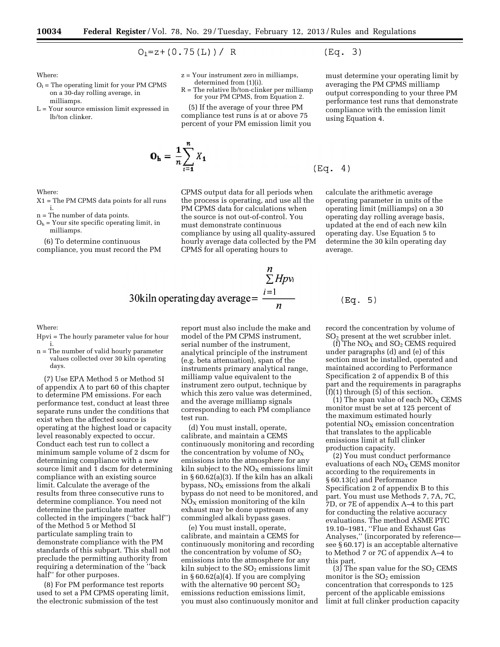$$
O_1 = z + (0.75(L)) / R
$$

Where:

Where:

i.

milliamps.

- $O<sub>1</sub>$  = The operating limit for your PM CPMS on a 30-day rolling average, in milliamps.
- L = Your source emission limit expressed in lb/ton clinker.

X1 = The PM CPMS data points for all runs

 $O<sub>h</sub>$  = Your site specific operating limit, in

(6) To determine continuous compliance, you must record the PM

n = The number of data points.

z = Your instrument zero in milliamps, determined from (1)(i).

 $R =$  The relative lb/ton-clinker per milliam for your PM CPMS, from Equation 2.

(5) If the average of your three PM compliance test runs is at or above 75 percent of your PM emission limit you

$$
\mathbf{O_h} = \frac{1}{n} \sum_{i=1}^{n} X_1
$$

CPMS output data for all periods when the process is operating, and use all the PM CPMS data for calculations when the source is not out-of-control. You must demonstrate continuous compliance by using all quality-assured hourly average data collected by the PM CPMS for all operating hours to

calculate the arithmetic average operating parameter in units of the operating limit (milliamps) on a 30 operating day rolling average basis, updated at the end of each new kiln operating day. Use Equation 5 to determine the 30 kiln operating day average.

30kiln operating day average = 
$$
\frac{\sum_{i=1}^{n} Hpv_i}{n}
$$

Where:

- Hpvi = The hourly parameter value for hour i.
- n = The number of valid hourly parameter values collected over 30 kiln operating days.

(7) Use EPA Method 5 or Method 5I of appendix A to part 60 of this chapter to determine PM emissions. For each performance test, conduct at least three separate runs under the conditions that exist when the affected source is operating at the highest load or capacity level reasonably expected to occur. Conduct each test run to collect a minimum sample volume of 2 dscm for determining compliance with a new source limit and 1 dscm for determining compliance with an existing source limit. Calculate the average of the results from three consecutive runs to determine compliance. You need not determine the particulate matter collected in the impingers (''back half'') of the Method 5 or Method 5I particulate sampling train to demonstrate compliance with the PM standards of this subpart. This shall not preclude the permitting authority from requiring a determination of the ''back half'' for other purposes.

(8) For PM performance test reports used to set a PM CPMS operating limit, the electronic submission of the test

report must also include the make and model of the PM CPMS instrument, serial number of the instrument, analytical principle of the instrument (e.g. beta attenuation), span of the instruments primary analytical range, milliamp value equivalent to the instrument zero output, technique by which this zero value was determined, and the average milliamp signals corresponding to each PM compliance test run.

(d) You must install, operate, calibrate, and maintain a CEMS continuously monitoring and recording the concentration by volume of  $NO<sub>x</sub>$ emissions into the atmosphere for any kiln subject to the  $NO<sub>x</sub>$  emissions limit in § 60.62(a)(3). If the kiln has an alkali bypass,  $NO<sub>X</sub>$  emissions from the alkali bypass do not need to be monitored, and  $NO<sub>X</sub>$  emission monitoring of the kiln exhaust may be done upstream of any commingled alkali bypass gases.

(e) You must install, operate, calibrate, and maintain a CEMS for continuously monitoring and recording the concentration by volume of  $SO<sub>2</sub>$ emissions into the atmosphere for any kiln subject to the  $SO<sub>2</sub>$  emissions limit in § 60.62(a)(4). If you are complying with the alternative 90 percent  $SO<sub>2</sub>$ emissions reduction emissions limit, you must also continuously monitor and record the concentration by volume of SO2 present at the wet scrubber inlet.

(Eq. 5)

(f) The  $NO<sub>X</sub>$  and  $SO<sub>2</sub>$  CEMS required under paragraphs (d) and (e) of this section must be installed, operated and maintained according to Performance Specification 2 of appendix B of this part and the requirements in paragraphs  $(f)(1)$  through  $(5)$  of this section.

(1) The span value of each  $\rm{NO_{X}}$  CEMS monitor must be set at 125 percent of the maximum estimated hourly potential  $NO<sub>x</sub>$  emission concentration that translates to the applicable emissions limit at full clinker production capacity.

(2) You must conduct performance evaluations of each  $NO<sub>x</sub>$  CEMS monitor according to the requirements in § 60.13(c) and Performance Specification 2 of appendix B to this part. You must use Methods 7, 7A, 7C, 7D, or 7E of appendix A–4 to this part for conducting the relative accuracy evaluations. The method ASME PTC 19.10–1981, ''Flue and Exhaust Gas Analyses,'' (incorporated by reference see § 60.17) is an acceptable alternative to Method 7 or 7C of appendix A–4 to this part.

(3) The span value for the  $SO<sub>2</sub>$  CEMS monitor is the  $SO<sub>2</sub>$  emission concentration that corresponds to 125 percent of the applicable emissions limit at full clinker production capacity

averaging the PM CPMS milliamp output corresponding to your three PM performance test runs that demonstrate compliance with the emission limit using Equation 4.

must determine your operating limit by

 $(Eq. 3)$ 

 $(Eq. 4)$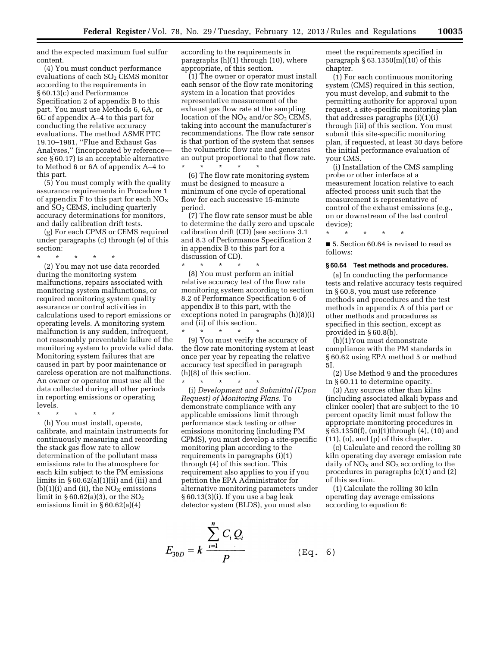and the expected maximum fuel sulfur content.

(4) You must conduct performance evaluations of each SO<sub>2</sub> CEMS monitor according to the requirements in § 60.13(c) and Performance Specification 2 of appendix B to this part. You must use Methods 6, 6A, or 6C of appendix A–4 to this part for conducting the relative accuracy evaluations. The method ASME PTC 19.10–1981, ''Flue and Exhaust Gas Analyses,'' (incorporated by reference see § 60.17) is an acceptable alternative to Method 6 or 6A of appendix A–4 to this part.

(5) You must comply with the quality assurance requirements in Procedure 1 of appendix F to this part for each  $NO<sub>X</sub>$ and SO2 CEMS, including quarterly accuracy determinations for monitors, and daily calibration drift tests.

(g) For each CPMS or CEMS required under paragraphs (c) through (e) of this section:

\* \* \* \* \*

(2) You may not use data recorded during the monitoring system malfunctions, repairs associated with monitoring system malfunctions, or required monitoring system quality assurance or control activities in calculations used to report emissions or operating levels. A monitoring system malfunction is any sudden, infrequent, not reasonably preventable failure of the monitoring system to provide valid data. Monitoring system failures that are caused in part by poor maintenance or careless operation are not malfunctions. An owner or operator must use all the data collected during all other periods in reporting emissions or operating levels.

\* \* \* \* \*

(h) You must install, operate, calibrate, and maintain instruments for continuously measuring and recording the stack gas flow rate to allow determination of the pollutant mass emissions rate to the atmosphere for each kiln subject to the PM emissions limits in  $\S 60.62(a)(1)(ii)$  and (iii) and  $(b)(1)(i)$  and (ii), the NO<sub>X</sub> emissions limit in  $\S 60.62(a)(3)$ , or the  $SO<sub>2</sub>$ emissions limit in § 60.62(a)(4)

according to the requirements in paragraphs (h)(1) through (10), where appropriate, of this section.

(1) The owner or operator must install each sensor of the flow rate monitoring system in a location that provides representative measurement of the exhaust gas flow rate at the sampling location of the  $NO<sub>X</sub>$  and/or  $SO<sub>2</sub>$  CEMS, taking into account the manufacturer's recommendations. The flow rate sensor is that portion of the system that senses the volumetric flow rate and generates an output proportional to that flow rate. \* \* \* \* \*

(6) The flow rate monitoring system must be designed to measure a minimum of one cycle of operational flow for each successive 15-minute period.

(7) The flow rate sensor must be able to determine the daily zero and upscale calibration drift (CD) (see sections 3.1 and 8.3 of Performance Specification 2 in appendix B to this part for a discussion of CD).

\* \* \* \* \* (8) You must perform an initial relative accuracy test of the flow rate monitoring system according to section 8.2 of Performance Specification 6 of appendix B to this part, with the exceptions noted in paragraphs (h)(8)(i) and (ii) of this section.  $\star$   $\star$   $\star$   $\star$ 

(9) You must verify the accuracy of the flow rate monitoring system at least once per year by repeating the relative accuracy test specified in paragraph (h)(8) of this section.

\* \* \* \* \*

(i) *Development and Submittal (Upon Request) of Monitoring Plans.* To demonstrate compliance with any applicable emissions limit through performance stack testing or other emissions monitoring (including PM CPMS), you must develop a site-specific monitoring plan according to the requirements in paragraphs (i)(1) through (4) of this section. This requirement also applies to you if you petition the EPA Administrator for alternative monitoring parameters under § 60.13(3)(i). If you use a bag leak detector system (BLDS), you must also

$$
E_{30D} = k \frac{\sum_{i=1}^{n} C_i Q_i}{P}
$$
 (Eq. 6)

meet the requirements specified in paragraph  $\S 63.1350(m)(10)$  of this chapter.

(1) For each continuous monitoring system (CMS) required in this section, you must develop, and submit to the permitting authority for approval upon request, a site-specific monitoring plan that addresses paragraphs (i)(1)(i) through (iii) of this section. You must submit this site-specific monitoring plan, if requested, at least 30 days before the initial performance evaluation of your CMS.

(i) Installation of the CMS sampling probe or other interface at a measurement location relative to each affected process unit such that the measurement is representative of control of the exhaust emissions (e.g., on or downstream of the last control device);

\* \* \* \* \* ■ 5. Section 60.64 is revised to read as follows:

#### **§ 60.64 Test methods and procedures.**

(a) In conducting the performance tests and relative accuracy tests required in § 60.8, you must use reference methods and procedures and the test methods in appendix A of this part or other methods and procedures as specified in this section, except as provided in § 60.8(b).

(b)(1)You must demonstrate compliance with the PM standards in § 60.62 using EPA method 5 or method 5I.

(2) Use Method 9 and the procedures in § 60.11 to determine opacity.

(3) Any sources other than kilns (including associated alkali bypass and clinker cooler) that are subject to the 10 percent opacity limit must follow the appropriate monitoring procedures in § 63.1350(f), (m)(1)through (4), (10) and (11), (o), and (p) of this chapter.

(c) Calculate and record the rolling 30 kiln operating day average emission rate daily of  $NO<sub>x</sub>$  and  $SO<sub>2</sub>$  according to the procedures in paragraphs (c)(1) and (2) of this section.

(1) Calculate the rolling 30 kiln operating day average emissions according to equation 6: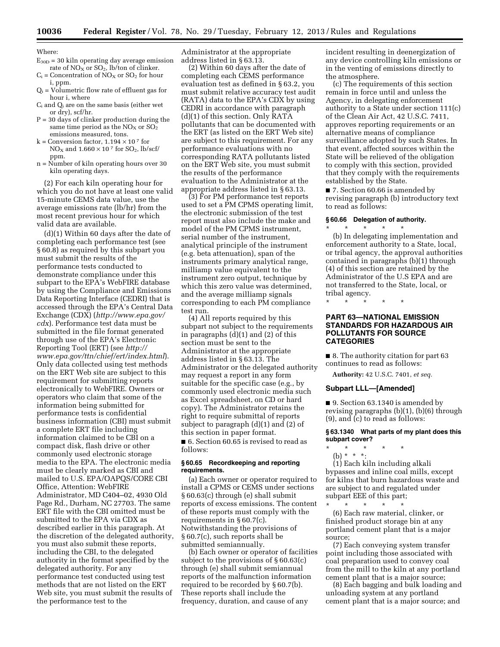Where:

- $E_{30D}$  = 30 kiln operating day average emission rate of  $NO<sub>X</sub>$  or  $SO<sub>2</sub>$ , lb/ton of clinker.
- $C_i$  = Concentration of NO<sub>X</sub> or SO<sub>2</sub> for hour i, ppm.
- $Q_i = V$ olumetric flow rate of effluent gas for hour i, where
- $C_i$  and  $Q_i$  are on the same basis (either wet or dry), scf/hr.
- P = 30 days of clinker production during the same time period as the  $NO<sub>X</sub>$  or  $SO<sub>2</sub>$ emissions measured, tons.
- k = Conversion factor,  $1.194 \times 10^{7}$  for  $NO<sub>X</sub>$  and  $1.660 \times 10^7$  for  $SO<sub>2</sub>$ , lb/scf/ ppm.
- n = Number of kiln operating hours over 30 kiln operating days.

(2) For each kiln operating hour for which you do not have at least one valid 15-minute CEMS data value, use the average emissions rate (lb/hr) from the most recent previous hour for which valid data are available.

(d)(1) Within 60 days after the date of completing each performance test (see § 60.8) as required by this subpart you must submit the results of the performance tests conducted to demonstrate compliance under this subpart to the EPA's WebFIRE database by using the Compliance and Emissions Data Reporting Interface (CEDRI) that is accessed through the EPA's Central Data Exchange (CDX) (*[http://www.epa.gov/](http://www.epa.gov/cdx) [cdx](http://www.epa.gov/cdx)*). Performance test data must be submitted in the file format generated through use of the EPA's Electronic Reporting Tool (ERT) (see *[http://](http://www.epa.gov/ttn/chief/ert/index.html) [www.epa.gov/ttn/chief/ert/index.html](http://www.epa.gov/ttn/chief/ert/index.html)*). Only data collected using test methods on the ERT Web site are subject to this requirement for submitting reports electronically to WebFIRE. Owners or operators who claim that some of the information being submitted for performance tests is confidential business information (CBI) must submit a complete ERT file including information claimed to be CBI on a compact disk, flash drive or other commonly used electronic storage media to the EPA. The electronic media must be clearly marked as CBI and mailed to U.S. EPA/OAPQS/CORE CBI Office, Attention: WebFIRE Administrator, MD C404–02, 4930 Old Page Rd., Durham, NC 27703. The same ERT file with the CBI omitted must be submitted to the EPA via CDX as described earlier in this paragraph. At the discretion of the delegated authority, you must also submit these reports, including the CBI, to the delegated authority in the format specified by the delegated authority. For any performance test conducted using test methods that are not listed on the ERT Web site, you must submit the results of the performance test to the

Administrator at the appropriate address listed in § 63.13.

(2) Within 60 days after the date of completing each CEMS performance evaluation test as defined in § 63.2, you must submit relative accuracy test audit (RATA) data to the EPA's CDX by using CEDRI in accordance with paragraph (d)(1) of this section. Only RATA pollutants that can be documented with the ERT (as listed on the ERT Web site) are subject to this requirement. For any performance evaluations with no corresponding RATA pollutants listed on the ERT Web site, you must submit the results of the performance evaluation to the Administrator at the appropriate address listed in § 63.13.

(3) For PM performance test reports used to set a PM CPMS operating limit, the electronic submission of the test report must also include the make and model of the PM CPMS instrument, serial number of the instrument, analytical principle of the instrument (e.g. beta attenuation), span of the instruments primary analytical range, milliamp value equivalent to the instrument zero output, technique by which this zero value was determined, and the average milliamp signals corresponding to each PM compliance test run.

(4) All reports required by this subpart not subject to the requirements in paragraphs (d)(1) and (2) of this section must be sent to the Administrator at the appropriate address listed in § 63.13. The Administrator or the delegated authority may request a report in any form suitable for the specific case (e.g., by commonly used electronic media such as Excel spreadsheet, on CD or hard copy). The Administrator retains the right to require submittal of reports subject to paragraph (d)(1) and (2) of this section in paper format.

■ 6. Section 60.65 is revised to read as follows:

#### **§ 60.65 Recordkeeping and reporting requirements.**

(a) Each owner or operator required to install a CPMS or CEMS under sections § 60.63(c) through (e) shall submit reports of excess emissions. The content of these reports must comply with the requirements in § 60.7(c). Notwithstanding the provisions of § 60.7(c), such reports shall be submitted semiannually.

(b) Each owner or operator of facilities subject to the provisions of § 60.63(c) through (e) shall submit semiannual reports of the malfunction information required to be recorded by § 60.7(b). These reports shall include the frequency, duration, and cause of any

incident resulting in deenergization of any device controlling kiln emissions or in the venting of emissions directly to the atmosphere.

(c) The requirements of this section remain in force until and unless the Agency, in delegating enforcement authority to a State under section 111(c) of the Clean Air Act, 42 U.S.C. 7411, approves reporting requirements or an alternative means of compliance surveillance adopted by such States. In that event, affected sources within the State will be relieved of the obligation to comply with this section, provided that they comply with the requirements established by the State.

■ 7. Section 60.66 is amended by revising paragraph (b) introductory text to read as follows:

#### **§ 60.66 Delegation of authority.**

\* \* \* \* \* (b) In delegating implementation and enforcement authority to a State, local, or tribal agency, the approval authorities contained in paragraphs (b)(1) through (4) of this section are retained by the Administrator of the U.S EPA and are not transferred to the State, local, or tribal agency.

## \* \* \* \* \*

#### **PART 63—NATIONAL EMISSION STANDARDS FOR HAZARDOUS AIR POLLUTANTS FOR SOURCE CATEGORIES**

■ 8. The authority citation for part 63 continues to read as follows:

**Authority:** 42 U.S.C. 7401, *et seq.* 

#### **Subpart LLL—[Amended]**

■ 9. Section 63.1340 is amended by revising paragraphs (b)(1), (b)(6) through (9), and (c) to read as follows:

#### **§ 63.1340 What parts of my plant does this subpart cover?**

\* \* \* \* \* (b) \* \* \*:

(1) Each kiln including alkali bypasses and inline coal mills, except for kilns that burn hazardous waste and are subject to and regulated under subpart EEE of this part;

\* \* \* \* \* (6) Each raw material, clinker, or finished product storage bin at any portland cement plant that is a major source;

(7) Each conveying system transfer point including those associated with coal preparation used to convey coal from the mill to the kiln at any portland cement plant that is a major source;

(8) Each bagging and bulk loading and unloading system at any portland cement plant that is a major source; and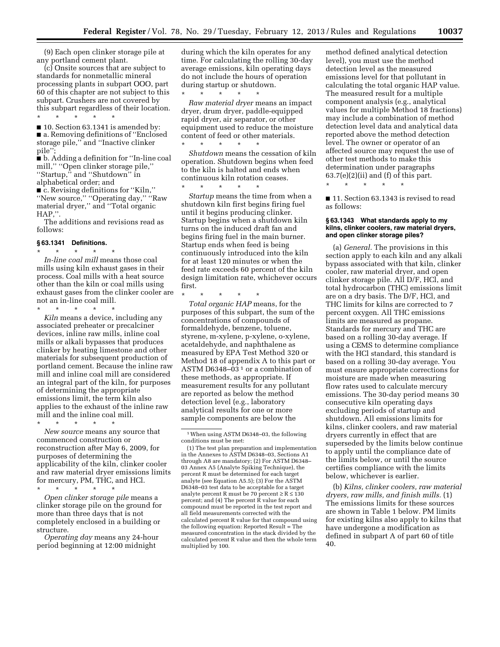(9) Each open clinker storage pile at any portland cement plant.

(c) Onsite sources that are subject to standards for nonmetallic mineral processing plants in subpart OOO, part 60 of this chapter are not subject to this subpart. Crushers are not covered by this subpart regardless of their location. \* \* \* \* \*

■ 10. Section 63.1341 is amended by: ■ a. Removing definitions of "Enclosed storage pile,'' and ''Inactive clinker pile"

■ b. Adding a definition for "In-line coal mill,'' ''Open clinker storage pile,'' ''Startup,'' and ''Shutdown'' in alphabetical order; and

■ c. Revising definitions for "Kiln," ''New source,'' ''Operating day,'' ''Raw material dryer,'' and ''Total organic HAP,''.

The additions and revisions read as follows:

#### **§ 63.1341 Definitions.**

\* \* \* \* \* *In-line coal mill* means those coal mills using kiln exhaust gases in their process. Coal mills with a heat source other than the kiln or coal mills using exhaust gases from the clinker cooler are not an in-line coal mill.

\* \* \* \* \* *Kiln* means a device, including any associated preheater or precalciner devices, inline raw mills, inline coal mills or alkali bypasses that produces clinker by heating limestone and other materials for subsequent production of portland cement. Because the inline raw mill and inline coal mill are considered an integral part of the kiln, for purposes of determining the appropriate emissions limit, the term kiln also applies to the exhaust of the inline raw mill and the inline coal mill.

\* \* \* \* \* *New source* means any source that commenced construction or reconstruction after May 6, 2009, for purposes of determining the applicability of the kiln, clinker cooler and raw material dryer emissions limits for mercury, PM, THC, and HCl.

\* \* \* \* \* *Open clinker storage pile* means a clinker storage pile on the ground for more than three days that is not completely enclosed in a building or structure.

*Operating day* means any 24-hour period beginning at 12:00 midnight

during which the kiln operates for any time. For calculating the rolling 30-day average emissions, kiln operating days do not include the hours of operation during startup or shutdown. \* \* \* \* \*

*Raw material dryer* means an impact dryer, drum dryer, paddle-equipped rapid dryer, air separator, or other equipment used to reduce the moisture content of feed or other materials. \* \* \* \* \*

*Shutdown* means the cessation of kiln operation. Shutdown begins when feed to the kiln is halted and ends when continuous kiln rotation ceases.

\* \* \* \* \* *Startup* means the time from when a shutdown kiln first begins firing fuel until it begins producing clinker. Startup begins when a shutdown kiln turns on the induced draft fan and begins firing fuel in the main burner. Startup ends when feed is being continuously introduced into the kiln for at least 120 minutes or when the feed rate exceeds 60 percent of the kiln design limitation rate, whichever occurs first.

\* \* \* \* \*

*Total organic HAP* means, for the purposes of this subpart, the sum of the concentrations of compounds of formaldehyde, benzene, toluene, styrene, m-xylene, p-xylene, o-xylene, acetaldehyde, and naphthalene as measured by EPA Test Method 320 or Method 18 of appendix A to this part or ASTM D6348- $03^1$  or a combination of these methods, as appropriate. If measurement results for any pollutant are reported as below the method detection level (e.g., laboratory analytical results for one or more sample components are below the

method defined analytical detection level), you must use the method detection level as the measured emissions level for that pollutant in calculating the total organic HAP value. The measured result for a multiple component analysis (e.g., analytical values for multiple Method 18 fractions) may include a combination of method detection level data and analytical data reported above the method detection level. The owner or operator of an affected source may request the use of other test methods to make this determination under paragraphs  $63.7(e)(2)(ii)$  and  $(f)$  of this part.

\* \* \* \* \*

■ 11. Section 63.1343 is revised to read as follows:

#### **§ 63.1343 What standards apply to my kilns, clinker coolers, raw material dryers, and open clinker storage piles?**

(a) *General.* The provisions in this section apply to each kiln and any alkali bypass associated with that kiln, clinker cooler, raw material dryer, and open clinker storage pile. All D/F, HCl, and total hydrocarbon (THC) emissions limit are on a dry basis. The D/F, HCl, and THC limits for kilns are corrected to 7 percent oxygen. All THC emissions limits are measured as propane. Standards for mercury and THC are based on a rolling 30-day average. If using a CEMS to determine compliance with the HCl standard, this standard is based on a rolling 30-day average. You must ensure appropriate corrections for moisture are made when measuring flow rates used to calculate mercury emissions. The 30-day period means 30 consecutive kiln operating days excluding periods of startup and shutdown. All emissions limits for kilns, clinker coolers, and raw material dryers currently in effect that are superseded by the limits below continue to apply until the compliance date of the limits below, or until the source certifies compliance with the limits below, whichever is earlier.

(b) *Kilns, clinker coolers, raw material dryers, raw mills, and finish mills.* (1) The emissions limits for these sources are shown in Table 1 below. PM limits for existing kilns also apply to kilns that have undergone a modification as defined in subpart A of part 60 of title 40.

<sup>1</sup>When using ASTM D6348–03, the following conditions must be met:

<sup>(1)</sup> The test plan preparation and implementation in the Annexes to ASTM D6348–03, Sections A1 through A8 are mandatory; (2) For ASTM D6348– 03 Annex A5 (Analyte Spiking Technique), the percent R must be determined for each target analyte (see Equation A5.5); (3) For the ASTM D6348–03 test data to be acceptable for a target analyte percent R must be 70 percent  $\geq R \leq 130$ percent; and (4) The percent R value for each compound must be reported in the test report and all field measurements corrected with the calculated percent R value for that compound using the following equation: Reported Result = The measured concentration in the stack divided by the calculated percent R value and then the whole term multiplied by 100.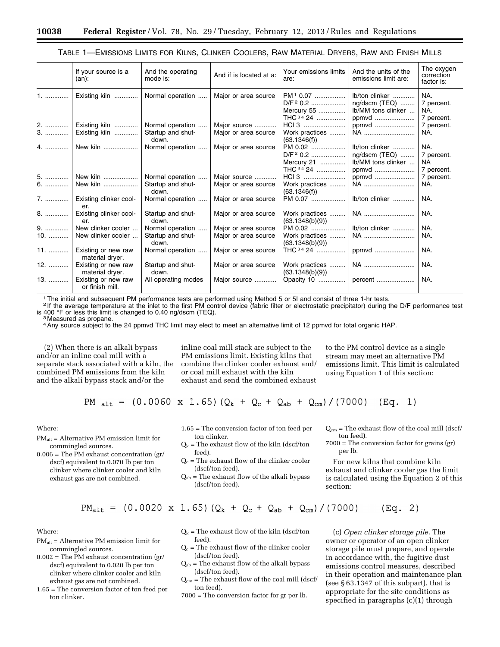| TABLE 1—EMISSIONS LIMITS FOR KILNS, CLINKER COOLERS, RAW MATERIAL DRYERS, RAW AND FINISH MILLS |  |  |  |  |
|------------------------------------------------------------------------------------------------|--|--|--|--|
|------------------------------------------------------------------------------------------------|--|--|--|--|

|          | If your source is a<br>$(an)$ :        | And the operating<br>mode is:                  | And if is located at a:              | Your emissions limits<br>are:                                           | And the units of the<br>emissions limit are:                   | The oxygen<br>correction<br>factor is:       |
|----------|----------------------------------------|------------------------------------------------|--------------------------------------|-------------------------------------------------------------------------|----------------------------------------------------------------|----------------------------------------------|
| 1.       | Existing kiln                          | Normal operation                               | Major or area source                 | PM <sup>1</sup> 0.07<br>D/F <sup>2</sup> 0.2<br>Mercury 55<br>THC 34 24 | lb/ton clinker<br>ng/dscm (TEQ)<br>Ib/MM tons clinker<br>ppmvd | NA.<br>7 percent.<br>NA.<br>7 percent.       |
| 2.<br>3. | Existing kiln<br>Existing kiln         | Normal operation<br>Startup and shut-<br>down. | Major source<br>Major or area source | HCI 3<br>Work practices<br>(63.1346(f))                                 | ppmvd<br>NA                                                    | 7 percent.<br>NA.                            |
| 4.       | New kiln                               | Normal operation                               | Major or area source                 | PM 0.02<br>D/F <sup>2</sup> 0.2<br>Mercury 21<br>THC <sup>34</sup> 24   | lb/ton clinker<br>ng/dscm (TEQ)<br>lb/MM tons clinker<br>ppmvd | NA.<br>7 percent.<br><b>NA</b><br>7 percent. |
| 5.       | New kiln                               | Normal operation                               | Major source                         | HCl 3                                                                   | ppmvd                                                          | 7 percent.                                   |
| 6.       | New kiln                               | Startup and shut-<br>down.                     | Major or area source                 | Work practices<br>(63.1346(f))                                          | NA                                                             | NA.                                          |
| 7.       | Existing clinker cool-<br>er.          | Normal operation                               | Major or area source                 | PM 0.07                                                                 | lb/ton clinker                                                 | NA.                                          |
| 8.       | Existing clinker cool-<br>er.          | Startup and shut-<br>down.                     | Major or area source                 | Work practices<br>(63.1348(b)(9))                                       | NA                                                             | NA.                                          |
| 9.       | New clinker cooler                     | Normal operation                               | Major or area source                 | PM 0.02                                                                 | lb/ton clinker                                                 | NA.                                          |
| $10.$    | New clinker cooler                     | Startup and shut-<br>down.                     | Major or area source                 | Work practices<br>(63.1348(b)(9))                                       | NA                                                             | NA.                                          |
| 11.      | Existing or new raw<br>material dryer. | Normal operation                               | Major or area source                 | THC 34 24                                                               | ppmvd                                                          | NA.                                          |
| 12.      | Existing or new raw<br>material dryer. | Startup and shut-<br>down.                     | Major or area source                 | Work practices<br>(63.1348(b)(9))                                       | NA                                                             | NA.                                          |
| 13.      | Existing or new raw<br>or finish mill. | All operating modes                            | Major source                         | Opacity 10                                                              | percent                                                        | NA.                                          |

1The initial and subsequent PM performance tests are performed using Method 5 or 5I and consist of three 1-hr tests.

2 If the average temperature at the inlet to the first PM control device (fabric filter or electrostatic precipitator) during the D/F performance test is 400 °F or less this limit is changed to 0.40 ng/dscm (TEQ).<br><sup>3</sup> Measured as propane.

4Any source subject to the 24 ppmvd THC limit may elect to meet an alternative limit of 12 ppmvd for total organic HAP.

(2) When there is an alkali bypass and/or an inline coal mill with a separate stack associated with a kiln, the combined PM emissions from the kiln and the alkali bypass stack and/or the

inline coal mill stack are subject to the PM emissions limit. Existing kilns that combine the clinker cooler exhaust and/ or coal mill exhaust with the kiln exhaust and send the combined exhaust

to the PM control device as a single stream may meet an alternative PM emissions limit. This limit is calculated using Equation 1 of this section:

$$
PM_{alt}
$$
 = (0.0060 x 1.65)  $(Q_k + Q_c + Q_{ab} + Q_{cm}) / (7000)$  (Eq. 1)

Where:

PMalt = Alternative PM emission limit for commingled sources.

0.006 = The PM exhaust concentration (gr/ dscf) equivalent to 0.070 lb per ton clinker where clinker cooler and kiln exhaust gas are not combined.

- 1.65 = The conversion factor of ton feed per ton clinker.
- $Q_k$  = The exhaust flow of the kiln (dscf/ton feed).
- $Q_c$  = The exhaust flow of the clinker cooler (dscf/ton feed).
- $Q_{ab}$  = The exhaust flow of the alkali bypass (dscf/ton feed).

 $Q_{cm}$  = The exhaust flow of the coal mill (dscf/ ton feed).

7000 = The conversion factor for grains (gr) per lb.

For new kilns that combine kiln exhaust and clinker cooler gas the limit is calculated using the Equation 2 of this section:

 $PM_{alt}$  = (0.0020 x 1.65) ( $Q_k$  +  $Q_c$  +  $Q_{ab}$  +  $Q_{cm}$ ) / (7000)  $(Eq. 2)$ 

Where:

- PMalt = Alternative PM emission limit for commingled sources.
- $0.002$  = The PM exhaust concentration (gr/ dscf) equivalent to 0.020 lb per ton clinker where clinker cooler and kiln exhaust gas are not combined.
- 1.65 = The conversion factor of ton feed per ton clinker.
- $Q_k$  = The exhaust flow of the kiln (dscf/ton feed).
- $Q_c$  = The exhaust flow of the clinker cooler (dscf/ton feed).
- $Q_{ab}$  = The exhaust flow of the alkali bypass (dscf/ton feed).
- $Q_{cm}$  = The exhaust flow of the coal mill (dscf/ ton feed).
- 7000 = The conversion factor for gr per lb.

(c) *Open clinker storage pile.* The owner or operator of an open clinker storage pile must prepare, and operate in accordance with, the fugitive dust emissions control measures, described in their operation and maintenance plan (see § 63.1347 of this subpart), that is appropriate for the site conditions as specified in paragraphs (c)(1) through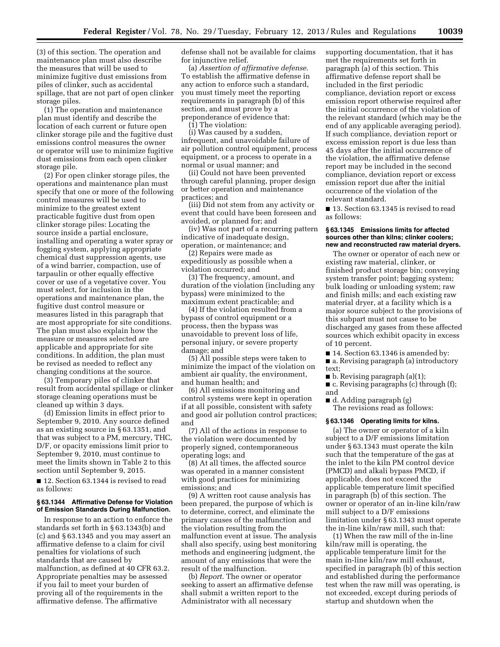(3) of this section. The operation and maintenance plan must also describe the measures that will be used to minimize fugitive dust emissions from piles of clinker, such as accidental spillage, that are not part of open clinker storage piles.

(1) The operation and maintenance plan must identify and describe the location of each current or future open clinker storage pile and the fugitive dust emissions control measures the owner or operator will use to minimize fugitive dust emissions from each open clinker storage pile.

(2) For open clinker storage piles, the operations and maintenance plan must specify that one or more of the following control measures will be used to minimize to the greatest extent practicable fugitive dust from open clinker storage piles: Locating the source inside a partial enclosure, installing and operating a water spray or fogging system, applying appropriate chemical dust suppression agents, use of a wind barrier, compaction, use of tarpaulin or other equally effective cover or use of a vegetative cover. You must select, for inclusion in the operations and maintenance plan, the fugitive dust control measure or measures listed in this paragraph that are most appropriate for site conditions. The plan must also explain how the measure or measures selected are applicable and appropriate for site conditions. In addition, the plan must be revised as needed to reflect any changing conditions at the source.

(3) Temporary piles of clinker that result from accidental spillage or clinker storage cleaning operations must be cleaned up within 3 days.

(d) Emission limits in effect prior to September 9, 2010. Any source defined as an existing source in § 63.1351, and that was subject to a PM, mercury, THC, D/F, or opacity emissions limit prior to September 9, 2010, must continue to meet the limits shown in Table 2 to this section until September 9, 2015.

■ 12. Section 63.1344 is revised to read as follows:

#### **§ 63.1344 Affirmative Defense for Violation of Emission Standards During Malfunction.**

In response to an action to enforce the standards set forth in § 63.1343(b) and (c) and § 63.1345 and you may assert an affirmative defense to a claim for civil penalties for violations of such standards that are caused by malfunction, as defined at 40 CFR 63.2. Appropriate penalties may be assessed if you fail to meet your burden of proving all of the requirements in the affirmative defense. The affirmative

defense shall not be available for claims for injunctive relief.

(a) *Assertion of affirmative defense.*  To establish the affirmative defense in any action to enforce such a standard, you must timely meet the reporting requirements in paragraph (b) of this section, and must prove by a preponderance of evidence that:

(1) The violation:

(i) Was caused by a sudden, infrequent, and unavoidable failure of air pollution control equipment, process equipment, or a process to operate in a normal or usual manner; and

(ii) Could not have been prevented through careful planning, proper design or better operation and maintenance practices; and

(iii) Did not stem from any activity or event that could have been foreseen and avoided, or planned for; and

(iv) Was not part of a recurring pattern indicative of inadequate design, operation, or maintenance; and

(2) Repairs were made as expeditiously as possible when a violation occurred; and

(3) The frequency, amount, and duration of the violation (including any bypass) were minimized to the maximum extent practicable; and

(4) If the violation resulted from a bypass of control equipment or a process, then the bypass was unavoidable to prevent loss of life, personal injury, or severe property damage; and

(5) All possible steps were taken to minimize the impact of the violation on ambient air quality, the environment, and human health; and

(6) All emissions monitoring and control systems were kept in operation if at all possible, consistent with safety and good air pollution control practices; and

(7) All of the actions in response to the violation were documented by properly signed, contemporaneous operating logs; and

(8) At all times, the affected source was operated in a manner consistent with good practices for minimizing emissions; and

(9) A written root cause analysis has been prepared, the purpose of which is to determine, correct, and eliminate the primary causes of the malfunction and the violation resulting from the malfunction event at issue. The analysis shall also specify, using best monitoring methods and engineering judgment, the amount of any emissions that were the result of the malfunction.

(b) *Report.* The owner or operator seeking to assert an affirmative defense shall submit a written report to the Administrator with all necessary

supporting documentation, that it has met the requirements set forth in paragraph (a) of this section. This affirmative defense report shall be included in the first periodic compliance, deviation report or excess emission report otherwise required after the initial occurrence of the violation of the relevant standard (which may be the end of any applicable averaging period). If such compliance, deviation report or excess emission report is due less than 45 days after the initial occurrence of the violation, the affirmative defense report may be included in the second compliance, deviation report or excess emission report due after the initial occurrence of the violation of the relevant standard.

■ 13. Section 63.1345 is revised to read as follows:

#### **§ 63.1345 Emissions limits for affected sources other than kilns; clinker coolers; new and reconstructed raw material dryers.**

The owner or operator of each new or existing raw material, clinker, or finished product storage bin; conveying system transfer point; bagging system; bulk loading or unloading system; raw and finish mills; and each existing raw material dryer, at a facility which is a major source subject to the provisions of this subpart must not cause to be discharged any gases from these affected sources which exhibit opacity in excess of 10 percent.

■ 14. Section 63.1346 is amended by:

■ a. Revising paragraph (a) introductory text;

■ b. Revising paragraph (a)(1);

■ c. Revising paragraphs (c) through (f); and

■ d. Adding paragraph (g) The revisions read as follows:

#### **§ 63.1346 Operating limits for kilns.**

(a) The owner or operator of a kiln subject to a D/F emissions limitation under § 63.1343 must operate the kiln such that the temperature of the gas at the inlet to the kiln PM control device (PMCD) and alkali bypass PMCD, if applicable, does not exceed the applicable temperature limit specified in paragraph (b) of this section. The owner or operator of an in-line kiln/raw mill subject to a D/F emissions limitation under § 63.1343 must operate the in-line kiln/raw mill, such that:

(1) When the raw mill of the in-line kiln/raw mill is operating, the applicable temperature limit for the main in-line kiln/raw mill exhaust, specified in paragraph (b) of this section and established during the performance test when the raw mill was operating, is not exceeded, except during periods of startup and shutdown when the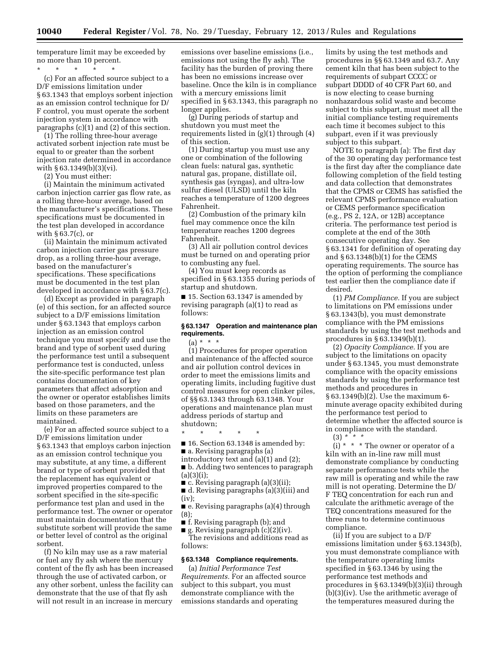temperature limit may be exceeded by no more than 10 percent.

\* \* \* \* \* (c) For an affected source subject to a D/F emissions limitation under § 63.1343 that employs sorbent injection as an emission control technique for D/ F control, you must operate the sorbent injection system in accordance with paragraphs (c)(1) and (2) of this section.

(1) The rolling three-hour average activated sorbent injection rate must be equal to or greater than the sorbent injection rate determined in accordance with § 63.1349(b)(3)(vi).

(2) You must either:

(i) Maintain the minimum activated carbon injection carrier gas flow rate, as a rolling three-hour average, based on the manufacturer's specifications. These specifications must be documented in the test plan developed in accordance with § 63.7(c), or

(ii) Maintain the minimum activated carbon injection carrier gas pressure drop, as a rolling three-hour average, based on the manufacturer's specifications. These specifications must be documented in the test plan developed in accordance with § 63.7(c).

(d) Except as provided in paragraph (e) of this section, for an affected source subject to a D/F emissions limitation under § 63.1343 that employs carbon injection as an emission control technique you must specify and use the brand and type of sorbent used during the performance test until a subsequent performance test is conducted, unless the site-specific performance test plan contains documentation of key parameters that affect adsorption and the owner or operator establishes limits based on those parameters, and the limits on these parameters are maintained.

(e) For an affected source subject to a D/F emissions limitation under § 63.1343 that employs carbon injection as an emission control technique you may substitute, at any time, a different brand or type of sorbent provided that the replacement has equivalent or improved properties compared to the sorbent specified in the site-specific performance test plan and used in the performance test. The owner or operator must maintain documentation that the substitute sorbent will provide the same or better level of control as the original sorbent.

(f) No kiln may use as a raw material or fuel any fly ash where the mercury content of the fly ash has been increased through the use of activated carbon, or any other sorbent, unless the facility can demonstrate that the use of that fly ash will not result in an increase in mercury

emissions over baseline emissions (i.e., emissions not using the fly ash). The facility has the burden of proving there has been no emissions increase over baseline. Once the kiln is in compliance with a mercury emissions limit specified in § 63.1343, this paragraph no longer applies.

(g) During periods of startup and shutdown you must meet the requirements listed in (g)(1) through (4) of this section.

(1) During startup you must use any one or combination of the following clean fuels: natural gas, synthetic natural gas, propane, distillate oil, synthesis gas (syngas), and ultra-low sulfur diesel (ULSD) until the kiln reaches a temperature of 1200 degrees Fahrenheit.

(2) Combustion of the primary kiln fuel may commence once the kiln temperature reaches 1200 degrees Fahrenheit.

(3) All air pollution control devices must be turned on and operating prior to combusting any fuel.

(4) You must keep records as specified in § 63.1355 during periods of startup and shutdown.

■ 15. Section 63.1347 is amended by revising paragraph (a)(1) to read as follows:

#### **§ 63.1347 Operation and maintenance plan requirements.**

## $(a) * * * *$

(1) Procedures for proper operation and maintenance of the affected source and air pollution control devices in order to meet the emissions limits and operating limits, including fugitive dust control measures for open clinker piles, of §§ 63.1343 through 63.1348. Your operations and maintenance plan must address periods of startup and shutdown;

\* \* \* \* \*

- 16. Section 63.1348 is amended by: ■ a. Revising paragraphs (a)
- introductory text and (a)(1) and (2);

■ b. Adding two sentences to paragraph (a)(3)(i);

 $\blacksquare$  c. Revising paragraph (a)(3)(ii); ■ d. Revising paragraphs (a)(3)(iii) and (iv);

■ e. Revising paragraphs (a)(4) through (8);

■ f. Revising paragraph (b); and

■ g. Revising paragraph (c)(2)(iv). The revisions and additions read as follows:

#### **§ 63.1348 Compliance requirements.**

(a) *Initial Performance Test Requirements.* For an affected source subject to this subpart, you must demonstrate compliance with the emissions standards and operating

limits by using the test methods and procedures in §§ 63.1349 and 63.7. Any cement kiln that has been subject to the requirements of subpart CCCC or subpart DDDD of 40 CFR Part 60, and is now electing to cease burning nonhazardous solid waste and become subject to this subpart, must meet all the initial compliance testing requirements each time it becomes subject to this subpart, even if it was previously subject to this subpart.

NOTE to paragraph (a): The first day of the 30 operating day performance test is the first day after the compliance date following completion of the field testing and data collection that demonstrates that the CPMS or CEMS has satisfied the relevant CPMS performance evaluation or CEMS performance specification (e.g., PS 2, 12A, or 12B) acceptance criteria. The performance test period is complete at the end of the 30th consecutive operating day. See § 63.1341 for definition of operating day and § 63.1348(b)(1) for the CEMS operating requirements. The source has the option of performing the compliance test earlier then the compliance date if desired.

(1) *PM Compliance.* If you are subject to limitations on PM emissions under § 63.1343(b), you must demonstrate compliance with the PM emissions standards by using the test methods and procedures in § 63.1349(b)(1).

(2) *Opacity Compliance.* If you are subject to the limitations on opacity under § 63.1345, you must demonstrate compliance with the opacity emissions standards by using the performance test methods and procedures in § 63.1349(b)(2). Use the maximum 6 minute average opacity exhibited during the performance test period to determine whether the affected source is in compliance with the standard.

(3) *\* \* \** 

 $(i) * * * The owner or operator of a$ kiln with an in-line raw mill must demonstrate compliance by conducting separate performance tests while the raw mill is operating and while the raw mill is not operating. Determine the D/ F TEQ concentration for each run and calculate the arithmetic average of the TEQ concentrations measured for the three runs to determine continuous compliance.

(ii) If you are subject to a D/F emissions limitation under § 63.1343(b), you must demonstrate compliance with the temperature operating limits specified in § 63.1346 by using the performance test methods and procedures in § 63.1349(b)(3)(ii) through (b)(3)(iv). Use the arithmetic average of the temperatures measured during the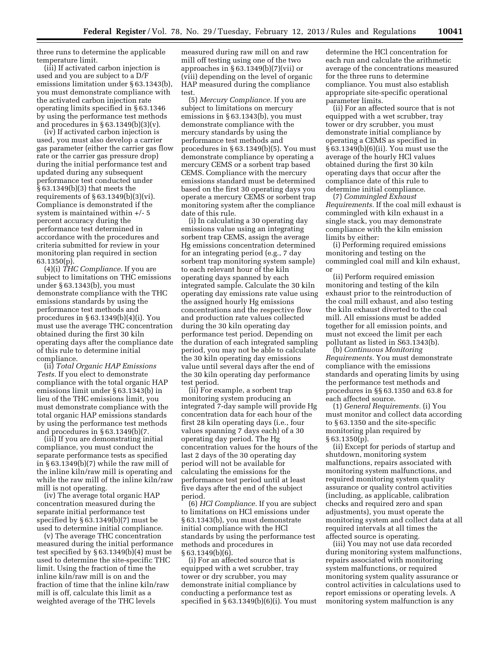three runs to determine the applicable temperature limit.

(iii) If activated carbon injection is used and you are subject to a D/F emissions limitation under § 63.1343(b), you must demonstrate compliance with the activated carbon injection rate operating limits specified in § 63.1346 by using the performance test methods and procedures in  $\S 63.1349(b)(3)(v)$ .

(iv) If activated carbon injection is used, you must also develop a carrier gas parameter (either the carrier gas flow rate or the carrier gas pressure drop) during the initial performance test and updated during any subsequent performance test conducted under § 63.1349(b)(3) that meets the requirements of § 63.1349(b)(3)(vi). Compliance is demonstrated if the system is maintained within +/- 5 percent accuracy during the performance test determined in accordance with the procedures and criteria submitted for review in your monitoring plan required in section 63.1350(p).

(4)(i) *THC Compliance.* If you are subject to limitations on THC emissions under § 63.1343(b), you must demonstrate compliance with the THC emissions standards by using the performance test methods and procedures in § 63.1349(b)(4)(i). You must use the average THC concentration obtained during the first 30 kiln operating days after the compliance date of this rule to determine initial compliance.

(ii) *Total Organic HAP Emissions Tests.* If you elect to demonstrate compliance with the total organic HAP emissions limit under § 63.1343(b) in lieu of the THC emissions limit, you must demonstrate compliance with the total organic HAP emissions standards by using the performance test methods and procedures in § 63.1349(b)(7.

(iii) If you are demonstrating initial compliance, you must conduct the separate performance tests as specified in § 63.1349(b)(7) while the raw mill of the inline kiln/raw mill is operating and while the raw mill of the inline kiln/raw mill is not operating.

(iv) The average total organic HAP concentration measured during the separate initial performance test specified by § 63.1349(b)(7) must be used to determine initial compliance.

(v) The average THC concentration measured during the initial performance test specified by § 63.1349(b)(4) must be used to determine the site-specific THC limit. Using the fraction of time the inline kiln/raw mill is on and the fraction of time that the inline kiln/raw mill is off, calculate this limit as a weighted average of the THC levels

measured during raw mill on and raw mill off testing using one of the two approaches in § 63.1349(b)(7)(vii) or (viii) depending on the level of organic HAP measured during the compliance test.

(5) *Mercury Compliance.* If you are subject to limitations on mercury emissions in § 63.1343(b), you must demonstrate compliance with the mercury standards by using the performance test methods and procedures in § 63.1349(b)(5). You must demonstrate compliance by operating a mercury CEMS or a sorbent trap based CEMS. Compliance with the mercury emissions standard must be determined based on the first 30 operating days you operate a mercury CEMS or sorbent trap monitoring system after the compliance date of this rule.

(i) In calculating a 30 operating day emissions value using an integrating sorbent trap CEMS, assign the average Hg emissions concentration determined for an integrating period (e.g., 7 day sorbent trap monitoring system sample) to each relevant hour of the kiln operating days spanned by each integrated sample. Calculate the 30 kiln operating day emissions rate value using the assigned hourly Hg emissions concentrations and the respective flow and production rate values collected during the 30 kiln operating day performance test period. Depending on the duration of each integrated sampling period, you may not be able to calculate the 30 kiln operating day emissions value until several days after the end of the 30 kiln operating day performance test period.

(ii) For example, a sorbent trap monitoring system producing an integrated 7-day sample will provide Hg concentration data for each hour of the first 28 kiln operating days (i.e., four values spanning 7 days each) of a 30 operating day period. The Hg concentration values for the hours of the last 2 days of the 30 operating day period will not be available for calculating the emissions for the performance test period until at least five days after the end of the subject period.

(6) *HCl Compliance.* If you are subject to limitations on HCl emissions under § 63.1343(b), you must demonstrate initial compliance with the HCl standards by using the performance test methods and procedures in  $§ 63.1349(b)(6).$ 

(i) For an affected source that is equipped with a wet scrubber, tray tower or dry scrubber, you may demonstrate initial compliance by conducting a performance test as specified in  $§ 63.1349(b)(6)(i)$ . You must

determine the HCl concentration for each run and calculate the arithmetic average of the concentrations measured for the three runs to determine compliance. You must also establish appropriate site-specific operational parameter limits.

(ii) For an affected source that is not equipped with a wet scrubber, tray tower or dry scrubber, you must demonstrate initial compliance by operating a CEMS as specified in § 63.1349(b)(6)(ii). You must use the average of the hourly HCl values obtained during the first 30 kiln operating days that occur after the compliance date of this rule to determine initial compliance.

(7) *Commingled Exhaust Requirements.* If the coal mill exhaust is commingled with kiln exhaust in a single stack, you may demonstrate compliance with the kiln emission limits by either:

(i) Performing required emissions monitoring and testing on the commingled coal mill and kiln exhaust, or

(ii) Perform required emission monitoring and testing of the kiln exhaust prior to the reintroduction of the coal mill exhaust, and also testing the kiln exhaust diverted to the coal mill. All emissions must be added together for all emission points, and must not exceed the limit per each pollutant as listed in S63.1343(b).

(b) *Continuous Monitoring Requirements.* You must demonstrate compliance with the emissions standards and operating limits by using the performance test methods and procedures in §§ 63.1350 and 63.8 for each affected source.

(1) *General Requirements.* (i) You must monitor and collect data according to § 63.1350 and the site-specific monitoring plan required by § 63.1350(p).

(ii) Except for periods of startup and shutdown, monitoring system malfunctions, repairs associated with monitoring system malfunctions, and required monitoring system quality assurance or quality control activities (including, as applicable, calibration checks and required zero and span adjustments), you must operate the monitoring system and collect data at all required intervals at all times the affected source is operating.

(iii) You may not use data recorded during monitoring system malfunctions, repairs associated with monitoring system malfunctions, or required monitoring system quality assurance or control activities in calculations used to report emissions or operating levels. A monitoring system malfunction is any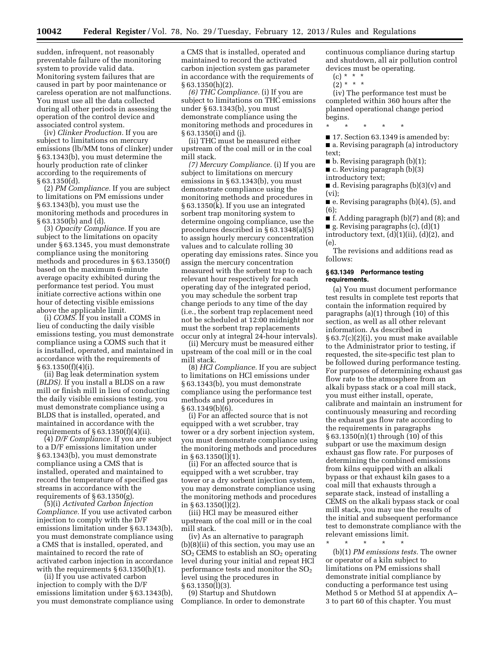sudden, infrequent, not reasonably preventable failure of the monitoring system to provide valid data. Monitoring system failures that are caused in part by poor maintenance or careless operation are not malfunctions. You must use all the data collected during all other periods in assessing the operation of the control device and associated control system.

(iv) *Clinker Production.* If you are subject to limitations on mercury emissions (lb/MM tons of clinker) under § 63.1343(b), you must determine the hourly production rate of clinker according to the requirements of § 63.1350(d).

(2) *PM Compliance.* If you are subject to limitations on PM emissions under § 63.1343(b), you must use the monitoring methods and procedures in § 63.1350(b) and (d).

(3) *Opacity Compliance.* If you are subject to the limitations on opacity under § 63.1345, you must demonstrate compliance using the monitoring methods and procedures in § 63.1350(f) based on the maximum 6-minute average opacity exhibited during the performance test period. You must initiate corrective actions within one hour of detecting visible emissions above the applicable limit.

(i) *COMS.* If you install a COMS in lieu of conducting the daily visible emissions testing, you must demonstrate compliance using a COMS such that it is installed, operated, and maintained in accordance with the requirements of § 63.1350(f)(4)(i).

(ii) Bag leak determination system (*BLDS).* If you install a BLDS on a raw mill or finish mill in lieu of conducting the daily visible emissions testing, you must demonstrate compliance using a BLDS that is installed, operated, and maintained in accordance with the requirements of  $\S 63.1350(f)(4)(ii)$ .

(4) *D/F Compliance.* If you are subject to a D/F emissions limitation under § 63.1343(b), you must demonstrate compliance using a CMS that is installed, operated and maintained to record the temperature of specified gas streams in accordance with the requirements of  $\S 63.1350(g)$ .

(5)(i) *Activated Carbon Injection Compliance.* If you use activated carbon injection to comply with the D/F emissions limitation under § 63.1343(b), you must demonstrate compliance using a CMS that is installed, operated, and maintained to record the rate of activated carbon injection in accordance with the requirements  $\S 63.1350(h)(1)$ .

(ii) If you use activated carbon injection to comply with the D/F emissions limitation under § 63.1343(b), you must demonstrate compliance using a CMS that is installed, operated and maintained to record the activated carbon injection system gas parameter in accordance with the requirements of § 63.1350(h)(2).

*(6) THC Compliance.* (i) If you are subject to limitations on THC emissions under § 63.1343(b), you must demonstrate compliance using the monitoring methods and procedures in § 63.1350(i) and (j).

(ii) THC must be measured either upstream of the coal mill or in the coal mill stack.

*(7) Mercury Compliance.* (i) If you are subject to limitations on mercury emissions in § 63.1343(b), you must demonstrate compliance using the monitoring methods and procedures in § 63.1350(k). If you use an integrated sorbent trap monitoring system to determine ongoing compliance, use the procedures described in § 63.1348(a)(5) to assign hourly mercury concentration values and to calculate rolling 30 operating day emissions rates. Since you assign the mercury concentration measured with the sorbent trap to each relevant hour respectively for each operating day of the integrated period, you may schedule the sorbent trap change periods to any time of the day (i.e., the sorbent trap replacement need not be scheduled at 12:00 midnight nor must the sorbent trap replacements occur only at integral 24-hour intervals).

(ii) Mercury must be measured either upstream of the coal mill or in the coal mill stack.

(8) *HCl Compliance.* If you are subject to limitations on HCl emissions under § 63.1343(b), you must demonstrate compliance using the performance test methods and procedures in § 63.1349(b)(6).

(i) For an affected source that is not equipped with a wet scrubber, tray tower or a dry sorbent injection system, you must demonstrate compliance using the monitoring methods and procedures in § 63.1350(l)(1).

(ii) For an affected source that is equipped with a wet scrubber, tray tower or a dry sorbent injection system, you may demonstrate compliance using the monitoring methods and procedures in § 63.1350(l)(2).

(iii) HCl may be measured either upstream of the coal mill or in the coal mill stack.

(iv) As an alternative to paragraph (b)(8)(ii) of this section, you may use an  $SO<sub>2</sub>$  CEMS to establish an  $SO<sub>2</sub>$  operating level during your initial and repeat HCl performance tests and monitor the  $SO<sub>2</sub>$ level using the procedures in § 63.1350(l)(3).

(9) Startup and Shutdown Compliance. In order to demonstrate continuous compliance during startup and shutdown, all air pollution control devices must be operating.

- $(c) * * * *$  $(2) * * * *$
- 

(iv) The performance test must be completed within 360 hours after the planned operational change period begins.

\* \* \* \* \*

■ 17. Section 63.1349 is amended by:

■ a. Revising paragraph (a) introductory text;

 $\blacksquare$  b. Revising paragraph (b)(1);

■ c. Revising paragraph (b)(3)

introductory text;

 $\blacksquare$  d. Revising paragraphs (b)(3)(v) and (vi);

■ e. Revising paragraphs (b)(4), (5), and (6);

■ f. Adding paragraph (b)(7) and (8); and

 $\blacksquare$  g. Revising paragraphs (c), (d)(1) introductory text,  $(d)(1)(ii)$ ,  $(d)(2)$ , and (e).

The revisions and additions read as follows:

#### **§ 63.1349 Performance testing requirements.**

(a) You must document performance test results in complete test reports that contain the information required by paragraphs (a)(1) through (10) of this section, as well as all other relevant information. As described in § 63.7(c)(2)(i), you must make available to the Administrator prior to testing, if requested, the site-specific test plan to be followed during performance testing. For purposes of determining exhaust gas flow rate to the atmosphere from an alkali bypass stack or a coal mill stack, you must either install, operate, calibrate and maintain an instrument for continuously measuring and recording the exhaust gas flow rate according to the requirements in paragraphs § 63.1350(n)(1) through (10) of this subpart or use the maximum design exhaust gas flow rate. For purposes of determining the combined emissions from kilns equipped with an alkali bypass or that exhaust kiln gases to a coal mill that exhausts through a separate stack, instead of installing a CEMS on the alkali bypass stack or coal mill stack, you may use the results of the initial and subsequent performance test to demonstrate compliance with the relevant emissions limit.

\* \* \* \* \*

(b)(1) *PM emissions tests.* The owner or operator of a kiln subject to limitations on PM emissions shall demonstrate initial compliance by conducting a performance test using Method 5 or Method 5I at appendix A– 3 to part 60 of this chapter. You must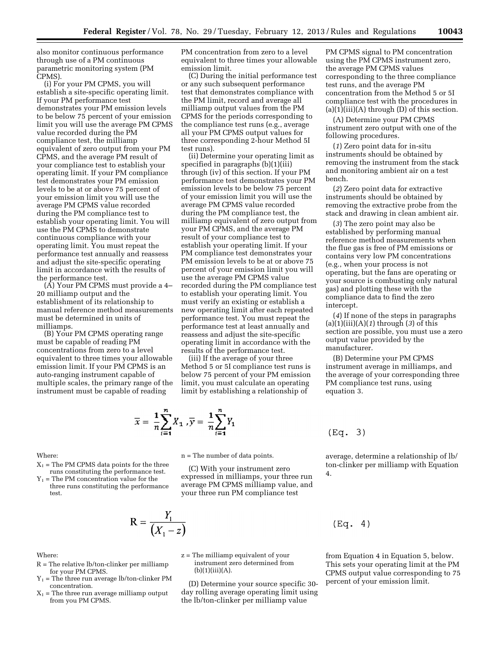also monitor continuous performance through use of a PM continuous parametric monitoring system (PM CPMS).

(i) For your PM CPMS, you will establish a site-specific operating limit. If your PM performance test demonstrates your PM emission levels to be below 75 percent of your emission limit you will use the average PM CPMS value recorded during the PM compliance test, the milliamp equivalent of zero output from your PM CPMS, and the average PM result of your compliance test to establish your operating limit. If your PM compliance test demonstrates your PM emission levels to be at or above 75 percent of your emission limit you will use the average PM CPMS value recorded during the PM compliance test to establish your operating limit. You will use the PM CPMS to demonstrate continuous compliance with your operating limit. You must repeat the performance test annually and reassess and adjust the site-specific operating limit in accordance with the results of the performance test.

(A) Your PM CPMS must provide a 4– 20 milliamp output and the establishment of its relationship to manual reference method measurements must be determined in units of milliamps.

(B) Your PM CPMS operating range must be capable of reading PM concentrations from zero to a level equivalent to three times your allowable emission limit. If your PM CPMS is an auto-ranging instrument capable of multiple scales, the primary range of the instrument must be capable of reading

PM concentration from zero to a level equivalent to three times your allowable emission limit.

(C) During the initial performance test or any such subsequent performance test that demonstrates compliance with the PM limit, record and average all milliamp output values from the PM CPMS for the periods corresponding to the compliance test runs (e.g., average all your PM CPMS output values for three corresponding 2-hour Method 5I test runs).

(ii) Determine your operating limit as specified in paragraphs (b)(1)(iii) through (iv) of this section. If your PM performance test demonstrates your PM emission levels to be below 75 percent of your emission limit you will use the average PM CPMS value recorded during the PM compliance test, the milliamp equivalent of zero output from your PM CPMS, and the average PM result of your compliance test to establish your operating limit. If your PM compliance test demonstrates your PM emission levels to be at or above 75 percent of your emission limit you will use the average PM CPMS value recorded during the PM compliance test to establish your operating limit. You must verify an existing or establish a new operating limit after each repeated performance test. You must repeat the performance test at least annually and reassess and adjust the site-specific operating limit in accordance with the results of the performance test.

(iii) If the average of your three Method 5 or 5I compliance test runs is below 75 percent of your PM emission limit, you must calculate an operating limit by establishing a relationship of

$$
\overline{x} = \frac{1}{n} \sum_{i=1}^{n} X_1, \overline{y} = \frac{1}{n} \sum_{i=1}^{n} Y_1
$$

PM CPMS signal to PM concentration using the PM CPMS instrument zero, the average PM CPMS values corresponding to the three compliance test runs, and the average PM concentration from the Method 5 or 5I compliance test with the procedures in  $(a)(1)(iii)(A)$  through  $(D)$  of this section.

(A) Determine your PM CPMS instrument zero output with one of the following procedures.

(*1*) Zero point data for in-situ instruments should be obtained by removing the instrument from the stack and monitoring ambient air on a test bench.

(*2*) Zero point data for extractive instruments should be obtained by removing the extractive probe from the stack and drawing in clean ambient air.

(*3*) The zero point may also be established by performing manual reference method measurements when the flue gas is free of PM emissions or contains very low PM concentrations (e.g., when your process is not operating, but the fans are operating or your source is combusting only natural gas) and plotting these with the compliance data to find the zero intercept.

(*4*) If none of the steps in paragraphs (a)(1)(iii)(A)(*1*) through (*3*) of this section are possible, you must use a zero output value provided by the manufacturer.

(B) Determine your PM CPMS instrument average in milliamps, and the average of your corresponding three PM compliance test runs, using equation 3.

average, determine a relationship of lb/ ton-clinker per milliamp with Equation

$$
(Eq. 3)
$$

4.

#### Where:

 $X_1$  = The PM CPMS data points for the three runs constituting the performance test.

 $Y_1$  = The PM concentration value for the three runs constituting the performance test.

$$
R = \frac{Y_1}{\left(X_1 - z\right)}
$$

Where:

- R = The relative lb/ton-clinker per milliamp for your PM CPMS.
- $Y_1$  = The three run average lb/ton-clinker PM concentration.
- $X_1$  = The three run average milliamp output from you PM CPMS.

n = The number of data points.

(C) With your instrument zero expressed in milliamps, your three run average PM CPMS milliamp value, and your three run PM compliance test

$$
(\mathtt{Eq.}~~4
$$

 $\mathcal{C}$ 

from Equation 4 in Equation 5, below. This sets your operating limit at the PM CPMS output value corresponding to 75 percent of your emission limit.

z = The milliamp equivalent of your instrument zero determined from  $(b)(1)(iii)(A).$ 

(D) Determine your source specific 30 day rolling average operating limit using the lb/ton-clinker per milliamp value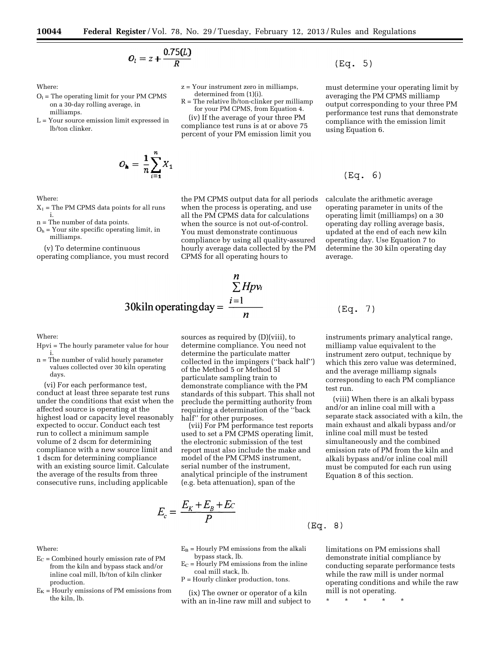z = Your instrument zero in milliamps, determined from (1)(i).

R = The relative lb/ton-clinker per milliamp for your PM CPMS, from Equation 4. (iv) If the average of your three PM compliance test runs is at or above 75 percent of your PM emission limit you

$$
O_l=z+\frac{0.75(L)}{R}
$$

Where:

- $O<sub>1</sub>$  = The operating limit for your PM CPMS on a 30-day rolling average, in milliamps.
- L = Your source emission limit expressed in lb/ton clinker.

$$
O_{\mathbf{h}} = \frac{1}{n} \sum_{i=1}^{n} X_i
$$

the PM CPMS output data for all periods when the process is operating, and use all the PM CPMS data for calculations when the source is not out-of-control. You must demonstrate continuous compliance by using all quality-assured hourly average data collected by the PM CPMS for all operating hours to

$$
20kiln
$$
  $\sum_{i=1}^{n} Hpv_i$   
30kiln operatingday =  $\frac{i=1}{n}$ 

Where:

Where:

production.

the kiln, lb.

- Hpvi = The hourly parameter value for hour i.
- n = The number of valid hourly parameter values collected over 30 kiln operating days.

(vi) For each performance test, conduct at least three separate test runs under the conditions that exist when the affected source is operating at the highest load or capacity level reasonably expected to occur. Conduct each test run to collect a minimum sample volume of 2 dscm for determining compliance with a new source limit and 1 dscm for determining compliance with an existing source limit. Calculate the average of the results from three consecutive runs, including applicable

 $E_C$  = Combined hourly emission rate of PM from the kiln and bypass stack and/or inline coal mill, lb/ton of kiln clinker

 $E_K$  = Hourly emissions of PM emissions from

sources as required by (D)(viii), to determine compliance. You need not determine the particulate matter collected in the impingers (''back half'') of the Method 5 or Method 5I particulate sampling train to demonstrate compliance with the PM standards of this subpart. This shall not preclude the permitting authority from requiring a determination of the ''back half'' for other purposes.

(vii) For PM performance test reports used to set a PM CPMS operating limit, the electronic submission of the test report must also include the make and model of the PM CPMS instrument, serial number of the instrument, analytical principle of the instrument (e.g. beta attenuation), span of the

$$
E_c = \frac{E_K + E_B + Ec}{P}
$$
 (Eq. 8)

- $E_B$  = Hourly PM emissions from the alkali bypass stack, lb.
- $E_C$  = Hourly PM emissions from the inline
	- coal mill stack, lb.
	- P = Hourly clinker production, tons.

(ix) The owner or operator of a kiln with an in-line raw mill and subject to limitations on PM emissions shall demonstrate initial compliance by conducting separate performance tests while the raw mill is under normal operating conditions and while the raw mill is not operating.

\* \* \* \* \*

must determine your operating limit by averaging the PM CPMS milliamp output corresponding to your three PM performance test runs that demonstrate compliance with the emission limit using Equation 6.

# $(Eq. 6)$

 $(Eq. 5)$ 

calculate the arithmetic average operating parameter in units of the operating limit (milliamps) on a 30 operating day rolling average basis, updated at the end of each new kiln operating day. Use Equation 7 to determine the 30 kiln operating day average.

 $(Eq. 7)$ 

instruments primary analytical range, milliamp value equivalent to the instrument zero output, technique by which this zero value was determined, and the average milliamp signals corresponding to each PM compliance test run.

(viii) When there is an alkali bypass and/or an inline coal mill with a separate stack associated with a kiln, the main exhaust and alkali bypass and/or inline coal mill must be tested simultaneously and the combined emission rate of PM from the kiln and alkali bypass and/or inline coal mill must be computed for each run using Equation 8 of this section.

#### $\mathbf{X}_1$  = The PM CPMS data points for all runs i.

Where:

- n = The number of data points.
- $O<sub>h</sub>$  = Your site specific operating limit, in milliamps.
- (v) To determine continuous operating compliance, you must record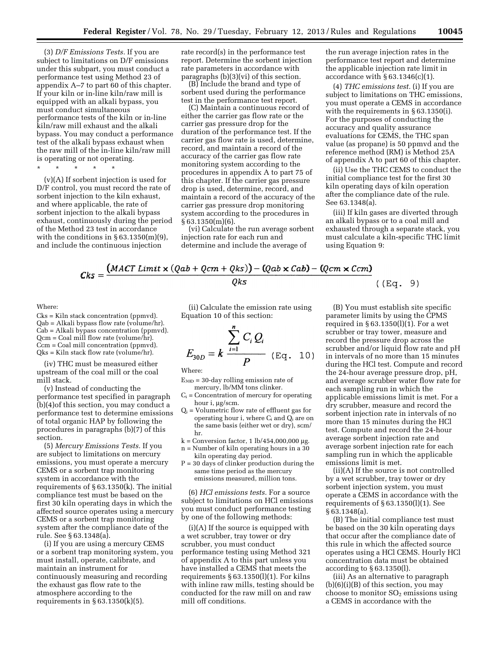(3) *D/F Emissions Tests.* If you are subject to limitations on D/F emissions under this subpart, you must conduct a performance test using Method 23 of appendix A–7 to part 60 of this chapter. If your kiln or in-line kiln/raw mill is equipped with an alkali bypass, you must conduct simultaneous performance tests of the kiln or in-line kiln/raw mill exhaust and the alkali bypass. You may conduct a performance test of the alkali bypass exhaust when the raw mill of the in-line kiln/raw mill is operating or not operating.

\* \* \* \* \*

(v)(A) If sorbent injection is used for D/F control, you must record the rate of sorbent injection to the kiln exhaust, and where applicable, the rate of sorbent injection to the alkali bypass exhaust, continuously during the period of the Method 23 test in accordance with the conditions in  $\S 63.1350(m)(9)$ , and include the continuous injection

rate record(s) in the performance test report. Determine the sorbent injection rate parameters in accordance with paragraphs (b)(3)(vi) of this section.

(B) Include the brand and type of sorbent used during the performance test in the performance test report.

(C) Maintain a continuous record of either the carrier gas flow rate or the carrier gas pressure drop for the duration of the performance test. If the carrier gas flow rate is used, determine, record, and maintain a record of the accuracy of the carrier gas flow rate monitoring system according to the procedures in appendix A to part 75 of this chapter. If the carrier gas pressure drop is used, determine, record, and maintain a record of the accuracy of the carrier gas pressure drop monitoring system according to the procedures in  $§ 63.1350(m)(6).$ 

(vi) Calculate the run average sorbent injection rate for each run and determine and include the average of

the run average injection rates in the performance test report and determine the applicable injection rate limit in accordance with  $\S 63.1346(c)(1)$ .

(4) *THC emissions test.* (i) If you are subject to limitations on THC emissions, you must operate a CEMS in accordance with the requirements in §63.1350(i). For the purposes of conducting the accuracy and quality assurance evaluations for CEMS, the THC span value (as propane) is 50 ppmvd and the reference method (RM) is Method 25A of appendix A to part 60 of this chapter.

(ii) Use the THC CEMS to conduct the initial compliance test for the first 30 kiln operating days of kiln operation after the compliance date of the rule. See 63.1348(a).

(iii) If kiln gases are diverted through an alkali bypass or to a coal mill and exhausted through a separate stack, you must calculate a kiln-specific THC limit using Equation 9:

$$
Cks = \frac{(MACT \, Limit \times (Qab + Qcm + Qks)) - (Qab \times Cab) - (Qcm \times Ccm)}{Qks}
$$

#### Where:

Cks = Kiln stack concentration (ppmvd). Qab = Alkali bypass flow rate (volume/hr). Cab = Alkali bypass concentration (ppmvd). Qcm = Coal mill flow rate (volume/hr). Ccm = Coal mill concentration (ppmvd). Qks = Kiln stack flow rate (volume/hr).

(iv) THC must be measured either upstream of the coal mill or the coal mill stack.

(v) Instead of conducting the performance test specified in paragraph (b)(4)of this section, you may conduct a performance test to determine emissions of total organic HAP by following the procedures in paragraphs (b)(7) of this section.

(5) *Mercury Emissions Tests.* If you are subject to limitations on mercury emissions, you must operate a mercury CEMS or a sorbent trap monitoring system in accordance with the requirements of § 63.1350(k). The initial compliance test must be based on the first 30 kiln operating days in which the affected source operates using a mercury CEMS or a sorbent trap monitoring system after the compliance date of the rule. See § 63.1348(a).

(i) If you are using a mercury CEMS or a sorbent trap monitoring system, you must install, operate, calibrate, and maintain an instrument for continuously measuring and recording the exhaust gas flow rate to the atmosphere according to the requirements in  $§ 63.1350(k)(5)$ .

(ii) Calculate the emission rate using Equation 10 of this section:

$$
E_{30D} = k \frac{\sum_{i=1}^{n} C_i Q_i}{P} \quad (\text{Eq. 10})
$$

Where:

 $E_{30D}$  = 30-day rolling emission rate of mercury, lb/MM tons clinker.

- $C_i$  = Concentration of mercury for operating hour i, µg/scm.
- $Q_i$  = Volumetric flow rate of effluent gas for operating hour i, where Ci and Qi are on the same basis (either wet or dry), scm/ hr.
- $k =$  Conversion factor, 1 lb/454,000,000 µg.
- n = Number of kiln operating hours in a 30 kiln operating day period.
- $P = 30$  days of clinker production during the same time period as the mercury emissions measured, million tons.

(6) *HCl emissions tests.* For a source subject to limitations on HCl emissions you must conduct performance testing by one of the following methods:

(i)(A) If the source is equipped with a wet scrubber, tray tower or dry scrubber, you must conduct performance testing using Method 321 of appendix A to this part unless you have installed a CEMS that meets the requirements § 63.1350(l)(1). For kilns with inline raw mills, testing should be conducted for the raw mill on and raw mill off conditions.

(B) You must establish site specific

((Eq. 9)

parameter limits by using the CPMS required in  $§ 63.1350(1)(1)$ . For a wet scrubber or tray tower, measure and record the pressure drop across the scrubber and/or liquid flow rate and pH in intervals of no more than 15 minutes during the HCl test. Compute and record the 24-hour average pressure drop, pH, and average scrubber water flow rate for each sampling run in which the applicable emissions limit is met. For a dry scrubber, measure and record the sorbent injection rate in intervals of no more than 15 minutes during the HCl test. Compute and record the 24-hour average sorbent injection rate and average sorbent injection rate for each sampling run in which the applicable emissions limit is met.

(ii)(A) If the source is not controlled by a wet scrubber, tray tower or dry sorbent injection system, you must operate a CEMS in accordance with the requirements of § 63.1350(l)(1). See § 63.1348(a).

(B) The initial compliance test must be based on the 30 kiln operating days that occur after the compliance date of this rule in which the affected source operates using a HCl CEMS. Hourly HCl concentration data must be obtained according to § 63.1350(l).

(iii) As an alternative to paragraph  $(b)(6)(i)(B)$  of this section, you may choose to monitor  $SO<sub>2</sub>$  emissions using a CEMS in accordance with the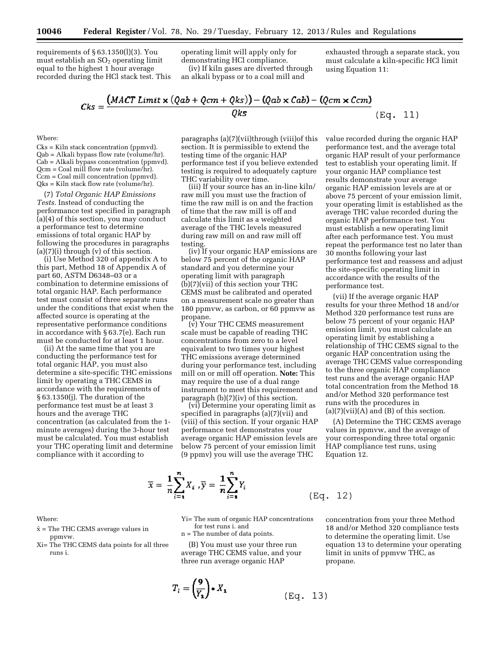requirements of  $\S 63.1350(1)(3)$ . You must establish an  $SO<sub>2</sub>$  operating limit equal to the highest 1 hour average recorded during the HCl stack test. This operating limit will apply only for demonstrating HCl compliance.

(iv) If kiln gases are diverted through an alkali bypass or to a coal mill and

exhausted through a separate stack, you must calculate a kiln-specific HCl limit using Equation 11:

 $\lambda$ 

$$
Cks = \frac{(MACT \text{ Limit} \times (Qab + Qcm + Qks)) - (Qab \times Cab) - (Qcm \times Ccm)}{Qks}
$$
(Eq. 11)

Where:

Cks = Kiln stack concentration (ppmvd). Qab = Alkali bypass flow rate (volume/hr). Cab = Alkali bypass concentration (ppmvd). Qcm = Coal mill flow rate (volume/hr). Ccm = Coal mill concentration (ppmvd). Qks = Kiln stack flow rate (volume/hr).

(7) *Total Organic HAP Emissions Tests.* Instead of conducting the performance test specified in paragraph (a)(4) of this section, you may conduct a performance test to determine emissions of total organic HAP by following the procedures in paragraphs  $(a)(7)(i)$  through  $(v)$  of this section.

(i) Use Method 320 of appendix A to this part, Method 18 of Appendix A of part 60, ASTM D6348–03 or a combination to determine emissions of total organic HAP. Each performance test must consist of three separate runs under the conditions that exist when the affected source is operating at the representative performance conditions in accordance with § 63.7(e). Each run must be conducted for at least 1 hour.

(ii) At the same time that you are conducting the performance test for total organic HAP, you must also determine a site-specific THC emissions limit by operating a THC CEMS in accordance with the requirements of § 63.1350(j). The duration of the performance test must be at least 3 hours and the average THC concentration (as calculated from the 1 minute averages) during the 3-hour test must be calculated. You must establish your THC operating limit and determine compliance with it according to

paragraphs (a)(7)(vii)through (viii)of this section. It is permissible to extend the testing time of the organic HAP performance test if you believe extended testing is required to adequately capture THC variability over time.

(iii) If your source has an in-line kiln/ raw mill you must use the fraction of time the raw mill is on and the fraction of time that the raw mill is off and calculate this limit as a weighted average of the THC levels measured during raw mill on and raw mill off testing.

(iv) If your organic HAP emissions are below 75 percent of the organic HAP standard and you determine your operating limit with paragraph (b)(7)(vii) of this section your THC CEMS must be calibrated and operated on a measurement scale no greater than 180 ppmvw, as carbon, or 60 ppmvw as propane.

(v) Your THC CEMS measurement scale must be capable of reading THC concentrations from zero to a level equivalent to two times your highest THC emissions average determined during your performance test, including mill on or mill off operation. **Note:** This may require the use of a dual range instrument to meet this requirement and paragraph (b)(7)(iv) of this section.

(vi) Determine your operating limit as specified in paragraphs (a)(7)(vii) and (viii) of this section. If your organic HAP performance test demonstrates your average organic HAP emission levels are below 75 percent of your emission limit (9 ppmv) you will use the average THC

value recorded during the organic HAP performance test, and the average total organic HAP result of your performance test to establish your operating limit. If your organic HAP compliance test results demonstrate your average organic HAP emission levels are at or above 75 percent of your emission limit, your operating limit is established as the average THC value recorded during the organic HAP performance test. You must establish a new operating limit after each performance test. You must repeat the performance test no later than 30 months following your last performance test and reassess and adjust the site-specific operating limit in accordance with the results of the performance test.

(vii) If the average organic HAP results for your three Method 18 and/or Method 320 performance test runs are below 75 percent of your organic HAP emission limit, you must calculate an operating limit by establishing a relationship of THC CEMS signal to the organic HAP concentration using the average THC CEMS value corresponding to the three organic HAP compliance test runs and the average organic HAP total concentration from the Method 18 and/or Method 320 performance test runs with the procedures in  $(a)(7)(vii)(A)$  and  $(B)$  of this section.

(A) Determine the THC CEMS average values in ppmvw, and the average of your corresponding three total organic HAP compliance test runs, using Equation 12.

$$
\overline{x} = \frac{1}{n} \sum_{i=1}^{n} X_i, \overline{y} = \frac{1}{n} \sum_{i=1}^{n} Y_i
$$
 (Eq. 12)

Where:

- $\bar{x}$  = The THC CEMS average values in ppmvw.
- Xi= The THC CEMS data points for all three runs i.

Yi= The sum of organic HAP concentrations for test runs i. and

n = The number of data points.

(B) You must use your three run average THC CEMS value, and your three run average organic HAP

$$
T_i = \left(\frac{9}{Y_1}\right) * X_1 \tag{Eq. 13}
$$

 $\mathcal{C}$ 

concentration from your three Method 18 and/or Method 320 compliance tests to determine the operating limit. Use equation 13 to determine your operating limit in units of ppmvw THC, as propane.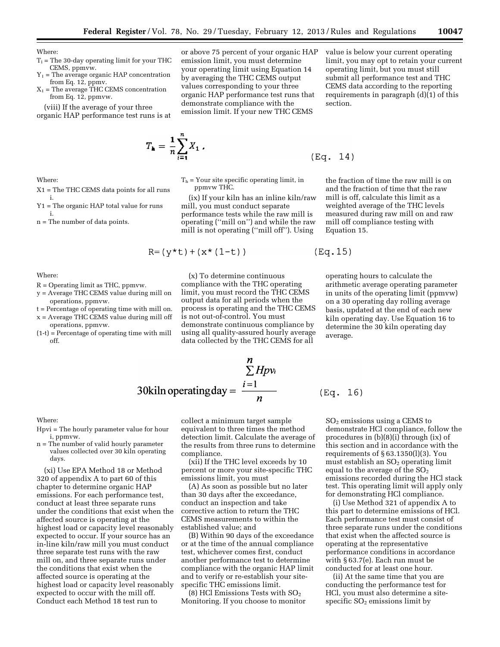or above 75 percent of your organic HAP emission limit, you must determine your operating limit using Equation 14 by averaging the THC CEMS output values corresponding to your three organic HAP performance test runs that demonstrate compliance with the emission limit. If your new THC CEMS

Where:

- $T_1$  = The 30-day operating limit for your THC CEMS, ppmvw.
- $Y_1$  = The average organic HAP concentration from Eq. 12, ppmv.
- $X_1$  = The average THC CEMS concentration from Eq. 12, ppmvw.

(viii) If the average of your three organic HAP performance test runs is at

X1 = The THC CEMS data points for all runs

Y1 = The organic HAP total value for runs

n = The number of data points.

 $T_{\mathbf{a}} = \frac{1}{n} \sum_{i=1}^{n} X_1$ .

 $T<sub>h</sub>$  = Your site specific operating limit, in ppmvw THC.

(ix) If your kiln has an inline kiln/raw mill, you must conduct separate performance tests while the raw mill is operating (''mill on'') and while the raw mill is not operating (''mill off''). Using

$$
R = (y*t) + (x*(1-t))
$$

(x) To determine continuous compliance with the THC operating limit, you must record the THC CEMS output data for all periods when the process is operating and the THC CEMS is not out-of-control. You must demonstrate continuous compliance by using all quality-assured hourly average data collected by the THC CEMS for all

the fraction of time the raw mill is on and the fraction of time that the raw mill is off, calculate this limit as a weighted average of the THC levels measured during raw mill on and raw mill off compliance testing with Equation 15.

operating hours to calculate the arithmetic average operating parameter in units of the operating limit (ppmvw) on a 30 operating day rolling average basis, updated at the end of each new kiln operating day. Use Equation 16 to determine the 30 kiln operating day

Where:

off.

Where:

i.

i.

- R = Operating limit as THC, ppmvw.
- y = Average THC CEMS value during mill on operations, ppmvw.
- t = Percentage of operating time with mill on. x = Average THC CEMS value during mill off
- operations, ppmvw. (1-t) = Percentage of operating time with mill

$$
\frac{n}{\sum Hpv_i}
$$
  
30kiln operatingday =  $\frac{i=1}{n}$  (Eq. 16)

Where:

- Hpvi = The hourly parameter value for hour i, ppmvw.
- n = The number of valid hourly parameter values collected over 30 kiln operating days.

(xi) Use EPA Method 18 or Method 320 of appendix A to part 60 of this chapter to determine organic HAP emissions. For each performance test, conduct at least three separate runs under the conditions that exist when the affected source is operating at the highest load or capacity level reasonably expected to occur. If your source has an in-line kiln/raw mill you must conduct three separate test runs with the raw mill on, and three separate runs under the conditions that exist when the affected source is operating at the highest load or capacity level reasonably expected to occur with the mill off. Conduct each Method 18 test run to

collect a minimum target sample equivalent to three times the method detection limit. Calculate the average of the results from three runs to determine compliance.

(xii) If the THC level exceeds by 10 percent or more your site-specific THC emissions limit, you must

(A) As soon as possible but no later than 30 days after the exceedance, conduct an inspection and take corrective action to return the THC CEMS measurements to within the established value; and

(B) Within 90 days of the exceedance or at the time of the annual compliance test, whichever comes first, conduct another performance test to determine compliance with the organic HAP limit and to verify or re-establish your sitespecific THC emissions limit.

(8) HCl Emissions Tests with  $SO<sub>2</sub>$ Monitoring. If you choose to monitor

SO2 emissions using a CEMS to demonstrate HCl compliance, follow the procedures in (b)(8)(i) through (ix) of this section and in accordance with the requirements of  $\S 63.1350(l)(3)$ . You must establish an  $SO<sub>2</sub>$  operating limit equal to the average of the  $SO<sub>2</sub>$ emissions recorded during the HCl stack test. This operating limit will apply only for demonstrating HCl compliance.

(i) Use Method 321 of appendix A to this part to determine emissions of HCl. Each performance test must consist of three separate runs under the conditions that exist when the affected source is operating at the representative performance conditions in accordance with § 63.7(e). Each run must be conducted for at least one hour.

(ii) At the same time that you are conducting the performance test for HCl, you must also determine a sitespecific SO<sub>2</sub> emissions limit by

$$
(\text{Eq. } 14)
$$

average.

 $(Eq.15)$ 

section.

value is below your current operating limit, you may opt to retain your current operating limit, but you must still submit all performance test and THC CEMS data according to the reporting requirements in paragraph (d)(1) of this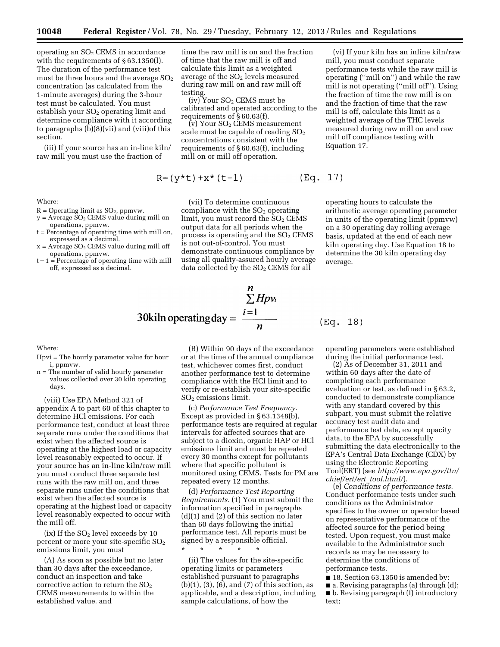operating an SO2 CEMS in accordance with the requirements of § 63.1350(l). The duration of the performance test must be three hours and the average  $SO<sub>2</sub>$ concentration (as calculated from the 1-minute averages) during the 3-hour test must be calculated. You must establish your  $SO<sub>2</sub>$  operating limit and determine compliance with it according to paragraphs (b)(8)(vii) and (viii)of this section.

(iii) If your source has an in-line kiln/ raw mill you must use the fraction of

Where:

- $R =$  Operating limit as  $SO<sub>2</sub>$ , ppmvw.
- $y = A$ verage  $\overline{SO_2}$  CEMS value during mill on operations, ppmvw.
- t = Percentage of operating time with mill on, expressed as a decimal.
- $x = A$ verage  $SO<sub>2</sub>$  CEMS value during mill off operations, ppmvw.
- $t-1 =$  Percentage of operating time with mill off, expressed as a decimal.

time the raw mill is on and the fraction of time that the raw mill is off and calculate this limit as a weighted average of the  $SO<sub>2</sub>$  levels measured during raw mill on and raw mill off testing.

 $(iv)$  Your  $SO<sub>2</sub>$  CEMS must be calibrated and operated according to the requirements of § 60.63(f).

(v) Your SO2 CEMS measurement scale must be capable of reading  $SO<sub>2</sub>$ concentrations consistent with the requirements of § 60.63(f), including mill on or mill off operation.

$$
R = (y*t) + x*(t-1)
$$
 (Eq. 17)

(vii) To determine continuous compliance with the  $SO<sub>2</sub>$  operating limit, you must record the  $SO<sub>2</sub>$  CEMS output data for all periods when the process is operating and the  $SO<sub>2</sub>$  CEMS is not out-of-control. You must demonstrate continuous compliance by using all quality-assured hourly average data collected by the  $SO<sub>2</sub>$  CEMS for all

(vi) If your kiln has an inline kiln/raw mill, you must conduct separate performance tests while the raw mill is operating (''mill on'') and while the raw mill is not operating (''mill off''). Using the fraction of time the raw mill is on and the fraction of time that the raw mill is off, calculate this limit as a weighted average of the THC levels measured during raw mill on and raw mill off compliance testing with Equation 17.

operating hours to calculate the arithmetic average operating parameter in units of the operating limit (ppmvw) on a 30 operating day rolling average basis, updated at the end of each new kiln operating day. Use Equation 18 to determine the 30 kiln operating day average.

 $\mathcal{E}$ 

$$
30\text{kiln operating day} = \frac{\sum\limits_{i=1}^{n} Hpv_i}{n}
$$
 (Eq. 18)

Where:

- Hpvi = The hourly parameter value for hour i, ppmvw.
- n = The number of valid hourly parameter values collected over 30 kiln operating days.

(viii) Use EPA Method 321 of appendix A to part 60 of this chapter to determine HCl emissions. For each performance test, conduct at least three separate runs under the conditions that exist when the affected source is operating at the highest load or capacity level reasonably expected to occur. If your source has an in-line kiln/raw mill you must conduct three separate test runs with the raw mill on, and three separate runs under the conditions that exist when the affected source is operating at the highest load or capacity level reasonably expected to occur with the mill off.

(ix) If the  $SO<sub>2</sub>$  level exceeds by 10 percent or more your site-specific  $SO<sub>2</sub>$ emissions limit, you must

(A) As soon as possible but no later than 30 days after the exceedance, conduct an inspection and take corrective action to return the  $SO<sub>2</sub>$ CEMS measurements to within the established value. and

(B) Within 90 days of the exceedance or at the time of the annual compliance test, whichever comes first, conduct another performance test to determine compliance with the HCl limit and to verify or re-establish your site-specific SO2 emissions limit.

(c) *Performance Test Frequency.*  Except as provided in § 63.1348(b), performance tests are required at regular intervals for affected sources that are subject to a dioxin, organic HAP or HCl emissions limit and must be repeated every 30 months except for pollutants where that specific pollutant is monitored using CEMS. Tests for PM are repeated every 12 months.

(d) *Performance Test Reporting Requirements.* (1) You must submit the information specified in paragraphs (d)(1) and (2) of this section no later than 60 days following the initial performance test. All reports must be signed by a responsible official.

\* \* \* \* \*

(ii) The values for the site-specific operating limits or parameters established pursuant to paragraphs (b)(1), (3), (6), and (7) of this section, as applicable, and a description, including sample calculations, of how the

operating parameters were established during the initial performance test.

(2) As of December 31, 2011 and within 60 days after the date of completing each performance evaluation or test, as defined in § 63.2, conducted to demonstrate compliance with any standard covered by this subpart, you must submit the relative accuracy test audit data and performance test data, except opacity data, to the EPA by successfully submitting the data electronically to the EPA's Central Data Exchange (CDX) by using the Electronic Reporting Tool(ERT) (see *[http://www.epa.gov/ttn/](http://www.epa.gov/ttn/chief/ert/ert_tool.html/) [chief/ert/ert](http://www.epa.gov/ttn/chief/ert/ert_tool.html/)*\_*tool.html/*).

(e) *Conditions of performance tests.*  Conduct performance tests under such conditions as the Administrator specifies to the owner or operator based on representative performance of the affected source for the period being tested. Upon request, you must make available to the Administrator such records as may be necessary to determine the conditions of performance tests.

■ 18. Section 63.1350 is amended by: ■ a. Revising paragraphs (a) through (d); ■ b. Revising paragraph (f) introductory text;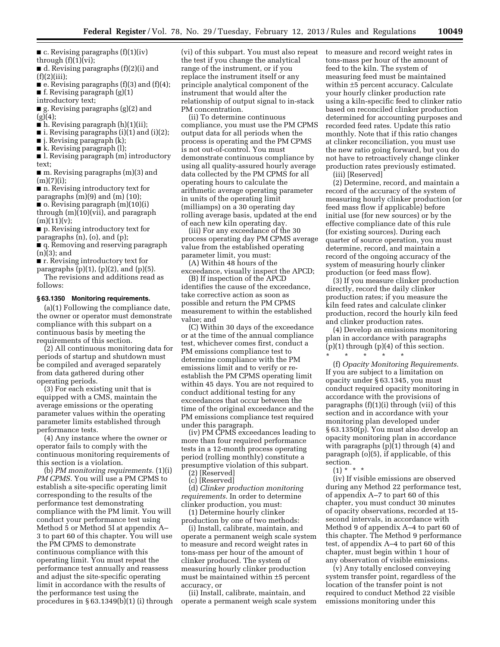$\blacksquare$  c. Revising paragraphs (f)(1)(iv) through  $(f)(1)(vi)$ ;

■ d. Revising paragraphs (f)(2)(i) and  $(f)(2)(iii);$ 

■ e. Revising paragraphs (f)(3) and (f)(4); ■ f. Revising paragraph (g)(1)

introductory text;

■ g. Revising paragraphs (g)(2) and  $(g)(4);$ 

- $\blacksquare$  h. Revising paragraph (h)(1)(ii);
- $\blacksquare$  i. Revising paragraphs (i)(1) and (i)(2);

■ j. Revising paragraph (k);

■ k. Revising paragraph (l);

■ l. Revising paragraph (m) introductory text;

 $\blacksquare$  m. Revising paragraphs  $(m)(3)$  and  $(m)(7)(i);$ 

■ n. Revising introductory text for

paragraphs (m)(9) and (m) (10);  $\blacksquare$  o. Revising paragraph  $(m)(10)(i)$ through (m)(10)(vii), and paragraph  $(m)(11)(v);$ 

■ p. Revising introductory text for

paragraphs (n), (o), and (p);

■ q. Removing and reserving paragraph (n)(3); and

■ **r**. Revising introductory text for

paragraphs  $(p)(1)$ ,  $(p)(2)$ , and  $(p)(5)$ . The revisions and additions read as

follows:

#### **§ 63.1350 Monitoring requirements.**

(a)(1) Following the compliance date, the owner or operator must demonstrate compliance with this subpart on a continuous basis by meeting the requirements of this section.

(2) All continuous monitoring data for periods of startup and shutdown must be compiled and averaged separately from data gathered during other operating periods.

(3) For each existing unit that is equipped with a CMS, maintain the average emissions or the operating parameter values within the operating parameter limits established through performance tests.

(4) Any instance where the owner or operator fails to comply with the continuous monitoring requirements of this section is a violation.

(b) *PM monitoring requirements.* (1)(i) *PM CPMS.* You will use a PM CPMS to establish a site-specific operating limit corresponding to the results of the performance test demonstrating compliance with the PM limit. You will conduct your performance test using Method 5 or Method 5I at appendix A– 3 to part 60 of this chapter. You will use the PM CPMS to demonstrate continuous compliance with this operating limit. You must repeat the performance test annually and reassess and adjust the site-specific operating limit in accordance with the results of the performance test using the procedures in § 63.1349(b)(1) (i) through

(vi) of this subpart. You must also repeat the test if you change the analytical range of the instrument, or if you replace the instrument itself or any principle analytical component of the instrument that would alter the relationship of output signal to in-stack PM concentration.

(ii) To determine continuous compliance, you must use the PM CPMS output data for all periods when the process is operating and the PM CPMS is not out-of-control. You must demonstrate continuous compliance by using all quality-assured hourly average data collected by the PM CPMS for all operating hours to calculate the arithmetic average operating parameter in units of the operating limit (milliamps) on a 30 operating day rolling average basis, updated at the end of each new kiln operating day.

(iii) For any exceedance of the 30 process operating day PM CPMS average value from the established operating parameter limit, you must:

(A) Within 48 hours of the exceedance, visually inspect the APCD;

(B) If inspection of the APCD identifies the cause of the exceedance, take corrective action as soon as possible and return the PM CPMS measurement to within the established value; and

(C) Within 30 days of the exceedance or at the time of the annual compliance test, whichever comes first, conduct a PM emissions compliance test to determine compliance with the PM emissions limit and to verify or reestablish the PM CPMS operating limit within 45 days. You are not required to conduct additional testing for any exceedances that occur between the time of the original exceedance and the PM emissions compliance test required under this paragraph.

(iv) PM CPMS exceedances leading to more than four required performance tests in a 12-month process operating period (rolling monthly) constitute a presumptive violation of this subpart.

(2) [Reserved]

(c) [Reserved]

(d) *Clinker production monitoring requirements.* In order to determine clinker production, you must:

(1) Determine hourly clinker production by one of two methods:

(i) Install, calibrate, maintain, and operate a permanent weigh scale system to measure and record weight rates in tons-mass per hour of the amount of clinker produced. The system of measuring hourly clinker production must be maintained within ±5 percent accuracy, or

(ii) Install, calibrate, maintain, and operate a permanent weigh scale system to measure and record weight rates in tons-mass per hour of the amount of feed to the kiln. The system of measuring feed must be maintained within ±5 percent accuracy. Calculate your hourly clinker production rate using a kiln-specific feed to clinker ratio based on reconciled clinker production determined for accounting purposes and recorded feed rates. Update this ratio monthly. Note that if this ratio changes at clinker reconciliation, you must use the new ratio going forward, but you do not have to retroactively change clinker production rates previously estimated.

(iii) [Reserved]

(2) Determine, record, and maintain a record of the accuracy of the system of measuring hourly clinker production (or feed mass flow if applicable) before initial use (for new sources) or by the effective compliance date of this rule (for existing sources). During each quarter of source operation, you must determine, record, and maintain a record of the ongoing accuracy of the system of measuring hourly clinker production (or feed mass flow).

(3) If you measure clinker production directly, record the daily clinker production rates; if you measure the kiln feed rates and calculate clinker production, record the hourly kiln feed and clinker production rates.

(4) Develop an emissions monitoring plan in accordance with paragraphs (p)(1) through (p)(4) of this section. \* \* \* \* \*

(f) *Opacity Monitoring Requirements.*  If you are subject to a limitation on opacity under § 63.1345, you must conduct required opacity monitoring in accordance with the provisions of paragraphs (f)(1)(i) through (vii) of this section and in accordance with your monitoring plan developed under § 63.1350(p). You must also develop an opacity monitoring plan in accordance with paragraphs  $(p)(1)$  through  $(4)$  and paragraph (o)(5), if applicable, of this section.

 $(1) * * * *$ 

(iv) If visible emissions are observed during any Method 22 performance test, of appendix A–7 to part 60 of this chapter, you must conduct 30 minutes of opacity observations, recorded at 15 second intervals, in accordance with Method 9 of appendix A–4 to part 60 of this chapter. The Method 9 performance test, of appendix A–4 to part 60 of this chapter, must begin within 1 hour of any observation of visible emissions.

(v) Any totally enclosed conveying system transfer point, regardless of the location of the transfer point is not required to conduct Method 22 visible emissions monitoring under this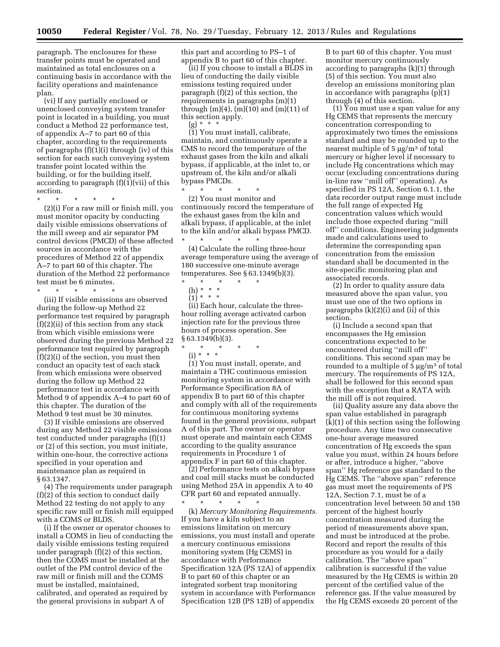paragraph. The enclosures for these transfer points must be operated and maintained as total enclosures on a continuing basis in accordance with the facility operations and maintenance plan.

(vi) If any partially enclosed or unenclosed conveying system transfer point is located in a building, you must conduct a Method 22 performance test, of appendix A–7 to part 60 of this chapter, according to the requirements of paragraphs (f)(1)(i) through (iv) of this section for each such conveying system transfer point located within the building, or for the building itself, according to paragraph  $(f)(1)(vii)$  of this section.

\* \* \* \* \*

(2)(i) For a raw mill or finish mill, you must monitor opacity by conducting daily visible emissions observations of the mill sweep and air separator PM control devices (PMCD) of these affected sources in accordance with the procedures of Method 22 of appendix A–7 to part 60 of this chapter. The duration of the Method 22 performance test must be 6 minutes.

\* \* \* \* \* (iii) If visible emissions are observed during the follow-up Method 22 performance test required by paragraph (f)(2)(ii) of this section from any stack from which visible emissions were observed during the previous Method 22 performance test required by paragraph (f)(2)(i) of the section, you must then conduct an opacity test of each stack from which emissions were observed during the follow up Method 22 performance test in accordance with Method 9 of appendix A–4 to part 60 of this chapter. The duration of the Method 9 test must be 30 minutes.

(3) If visible emissions are observed during any Method 22 visible emissions test conducted under paragraphs (f)(1) or (2) of this section, you must initiate, within one-hour, the corrective actions specified in your operation and maintenance plan as required in § 63.1347.

(4) The requirements under paragraph (f)(2) of this section to conduct daily Method 22 testing do not apply to any specific raw mill or finish mill equipped with a COMS or BLDS.

(i) If the owner or operator chooses to install a COMS in lieu of conducting the daily visible emissions testing required under paragraph (f)(2) of this section, then the COMS must be installed at the outlet of the PM control device of the raw mill or finish mill and the COMS must be installed, maintained, calibrated, and operated as required by the general provisions in subpart A of

this part and according to PS–1 of appendix B to part 60 of this chapter.

(ii) If you choose to install a BLDS in lieu of conducting the daily visible emissions testing required under paragraph (f)(2) of this section, the requirements in paragraphs (m)(1) through (m)(4), (m)(10) and (m)(11) of this section apply.

(g) \* \* \* (1) You must install, calibrate, maintain, and continuously operate a CMS to record the temperature of the exhaust gases from the kiln and alkali bypass, if applicable, at the inlet to, or upstream of, the kiln and/or alkali bypass PMCDs.

\* \* \* \* \* (2) You must monitor and continuously record the temperature of the exhaust gases from the kiln and alkali bypass, if applicable, at the inlet to the kiln and/or alkali bypass PMCD.

\* \* \* \* \* (4) Calculate the rolling three-hour average temperature using the average of 180 successive one-minute average temperatures. See § 63.1349(b)(3).

- \* \* \* \* \*
- (h) \* \* \*

 $(1) * * * *$ 

(ii) Each hour, calculate the threehour rolling average activated carbon injection rate for the previous three hours of process operation. See § 63.1349(b)(3).

\* \* \* \* \*

(i) \* \* \*

(1) You must install, operate, and maintain a THC continuous emission monitoring system in accordance with Performance Specification 8A of appendix B to part 60 of this chapter and comply with all of the requirements for continuous monitoring systems found in the general provisions, subpart A of this part. The owner or operator must operate and maintain each CEMS according to the quality assurance requirements in Procedure 1 of appendix F in part 60 of this chapter.

(2) Performance tests on alkali bypass and coal mill stacks must be conducted using Method 25A in appendix A to 40 CFR part 60 and repeated annually. \* \* \* \* \*

(k) *Mercury Monitoring Requirements.*  If you have a kiln subject to an emissions limitation on mercury emissions, you must install and operate a mercury continuous emissions monitoring system (Hg CEMS) in accordance with Performance Specification 12A (PS 12A) of appendix B to part 60 of this chapter or an integrated sorbent trap monitoring system in accordance with Performance Specification 12B (PS 12B) of appendix

B to part 60 of this chapter. You must monitor mercury continuously according to paragraphs (k)(1) through (5) of this section. You must also develop an emissions monitoring plan in accordance with paragraphs (p)(1) through (4) of this section.

 $(1)$  You must use a span value for any Hg CEMS that represents the mercury concentration corresponding to approximately two times the emissions standard and may be rounded up to the nearest multiple of  $5 \mu g/m^3$  of total mercury or higher level if necessary to include Hg concentrations which may occur (excluding concentrations during in-line raw ''mill off'' operation). As specified in PS 12A, Section 6.1.1, the data recorder output range must include the full range of expected Hg concentration values which would include those expected during ''mill off'' conditions. Engineering judgments made and calculations used to determine the corresponding span concentration from the emission standard shall be documented in the site-specific monitoring plan and associated records.

(2) In order to quality assure data measured above the span value, you must use one of the two options in paragraphs (k)(2)(i) and (ii) of this section.

(i) Include a second span that encompasses the Hg emission concentrations expected to be encountered during ''mill off'' conditions. This second span may be rounded to a multiple of  $5 \mu g/m^3$  of total mercury. The requirements of PS 12A, shall be followed for this second span with the exception that a RATA with the mill off is not required.

(ii) Quality assure any data above the span value established in paragraph (k)(1) of this section using the following procedure. Any time two consecutive one-hour average measured concentration of Hg exceeds the span value you must, within 24 hours before or after, introduce a higher, ''above span'' Hg reference gas standard to the Hg CEMS. The ''above span'' reference gas must meet the requirements of PS 12A, Section 7.1, must be of a concentration level between 50 and 150 percent of the highest hourly concentration measured during the period of measurements above span, and must be introduced at the probe. Record and report the results of this procedure as you would for a daily calibration. The ''above span'' calibration is successful if the value measured by the Hg CEMS is within 20 percent of the certified value of the reference gas. If the value measured by the Hg CEMS exceeds 20 percent of the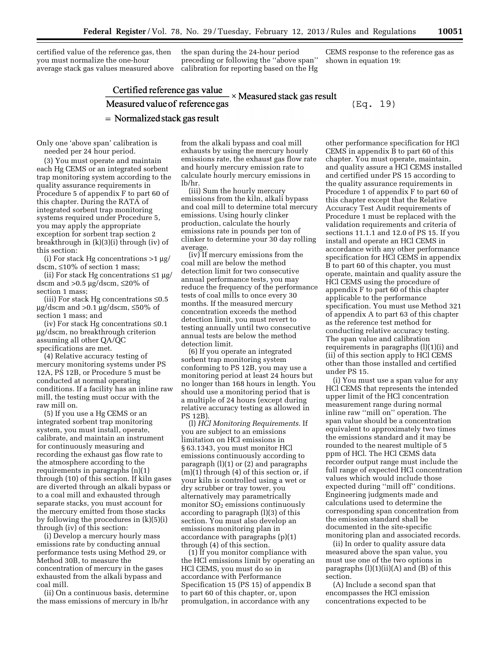certified value of the reference gas, then you must normalize the one-hour average stack gas values measured above the span during the 24-hour period preceding or following the ''above span'' calibration for reporting based on the Hg CEMS response to the reference gas as shown in equation 19:

# Certified reference gas value<br>Measured value of reference gas Measured value of reference gas  $(Eq. 19)$  $=$  Normalized stack gas result

Only one 'above span' calibration is needed per 24 hour period.

(3) You must operate and maintain each Hg CEMS or an integrated sorbent trap monitoring system according to the quality assurance requirements in Procedure 5 of appendix F to part 60 of this chapter. During the RATA of integrated sorbent trap monitoring systems required under Procedure 5, you may apply the appropriate exception for sorbent trap section 2 breakthrough in (k)(3)(i) through (iv) of this section:

(i) For stack Hg concentrations  $>1 \mu g$ / dscm, ≤10% of section 1 mass;

(ii) For stack Hg concentrations  $\leq 1 \mu$ g/ dscm and  $>0.5 \mu g/ds$ cm,  $\leq 20\%$  of section 1 mass;

(iii) For stack Hg concentrations  $\leq 0.5$  $\mu$ g/dscm and >0.1  $\mu$ g/dscm, ≤50% of section 1 mass; and

(iv) For stack Hg concentrations ≤0.1 mg/dscm, no breakthrough criterion assuming all other QA/QC specifications are met.

(4) Relative accuracy testing of mercury monitoring systems under PS 12A, PS 12B, or Procedure 5 must be conducted at normal operating conditions. If a facility has an inline raw mill, the testing must occur with the raw mill on.

(5) If you use a Hg CEMS or an integrated sorbent trap monitoring system, you must install, operate, calibrate, and maintain an instrument for continuously measuring and recording the exhaust gas flow rate to the atmosphere according to the requirements in paragraphs (n)(1) through (10) of this section. If kiln gases are diverted through an alkali bypass or to a coal mill and exhausted through separate stacks, you must account for the mercury emitted from those stacks by following the procedures in (k)(5)(i) through (iv) of this section:

(i) Develop a mercury hourly mass emissions rate by conducting annual performance tests using Method 29, or Method 30B, to measure the concentration of mercury in the gases exhausted from the alkali bypass and coal mill.

(ii) On a continuous basis, determine the mass emissions of mercury in lb/hr

from the alkali bypass and coal mill exhausts by using the mercury hourly emissions rate, the exhaust gas flow rate and hourly mercury emission rate to calculate hourly mercury emissions in lb/hr.

(iii) Sum the hourly mercury emissions from the kiln, alkali bypass and coal mill to determine total mercury emissions. Using hourly clinker production, calculate the hourly emissions rate in pounds per ton of clinker to determine your 30 day rolling average.

(iv) If mercury emissions from the coal mill are below the method detection limit for two consecutive annual performance tests, you may reduce the frequency of the performance tests of coal mills to once every 30 months. If the measured mercury concentration exceeds the method detection limit, you must revert to testing annually until two consecutive annual tests are below the method detection limit.

(6) If you operate an integrated sorbent trap monitoring system conforming to PS 12B, you may use a monitoring period at least 24 hours but no longer than 168 hours in length. You should use a monitoring period that is a multiple of 24 hours (except during relative accuracy testing as allowed in PS 12B).

(l) *HCl Monitoring Requirements.* If you are subject to an emissions limitation on HCl emissions in § 63.1343, you must monitor HCl emissions continuously according to paragraph (l)(1) or (2) and paragraphs (m)(1) through (4) of this section or, if your kiln is controlled using a wet or dry scrubber or tray tower, you alternatively may parametrically monitor  $SO<sub>2</sub>$  emissions continuously according to paragraph (l)(3) of this section. You must also develop an emissions monitoring plan in accordance with paragraphs (p)(1) through (4) of this section.

(1) If you monitor compliance with the HCl emissions limit by operating an HCl CEMS, you must do so in accordance with Performance Specification 15 (PS 15) of appendix B to part 60 of this chapter, or, upon promulgation, in accordance with any

other performance specification for HCl CEMS in appendix B to part 60 of this chapter. You must operate, maintain, and quality assure a HCl CEMS installed and certified under PS 15 according to the quality assurance requirements in Procedure 1 of appendix F to part 60 of this chapter except that the Relative Accuracy Test Audit requirements of Procedure 1 must be replaced with the validation requirements and criteria of sections 11.1.1 and 12.0 of PS 15. If you install and operate an HCl CEMS in accordance with any other performance specification for HCl CEMS in appendix B to part 60 of this chapter, you must operate, maintain and quality assure the HCl CEMS using the procedure of appendix F to part 60 of this chapter applicable to the performance specification. You must use Method 321 of appendix A to part 63 of this chapter as the reference test method for conducting relative accuracy testing. The span value and calibration requirements in paragraphs (l)(1)(i) and (ii) of this section apply to HCl CEMS other than those installed and certified under PS 15.

(i) You must use a span value for any HCl CEMS that represents the intended upper limit of the HCl concentration measurement range during normal inline raw ''mill on'' operation. The span value should be a concentration equivalent to approximately two times the emissions standard and it may be rounded to the nearest multiple of 5 ppm of HCl. The HCl CEMS data recorder output range must include the full range of expected HCl concentration values which would include those expected during ''mill off'' conditions. Engineering judgments made and calculations used to determine the corresponding span concentration from the emission standard shall be documented in the site-specific monitoring plan and associated records.

(ii) In order to quality assure data measured above the span value, you must use one of the two options in paragraphs  $(l)(1)(ii)(A)$  and  $(B)$  of this section.

(A) Include a second span that encompasses the HCl emission concentrations expected to be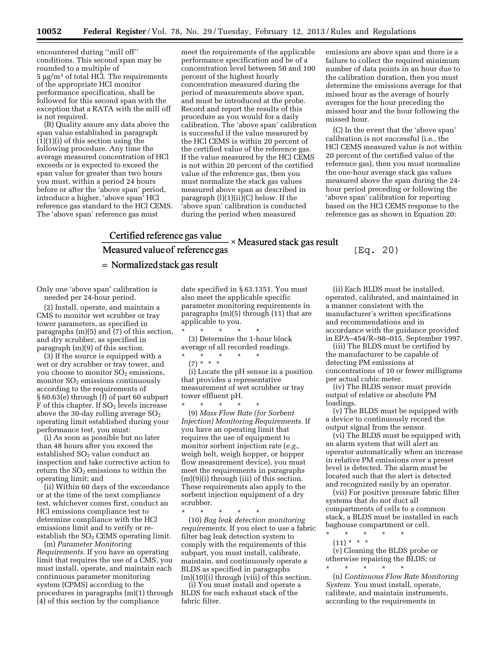encountered during ''mill off'' conditions. This second span may be rounded to a multiple of  $5 \mu g/m^3$  of total HCl. The requirements of the appropriate HCl monitor performance specification, shall be followed for this second span with the exception that a RATA with the mill off is not required.

(B) Quality assure any data above the span value established in paragraph (1)(1)(i) of this section using the following procedure. Any time the average measured concentration of HCl exceeds or is expected to exceed the span value for greater than two hours you must, within a period 24 hours before or after the 'above span' period, introduce a higher, 'above span' HCl reference gas standard to the HCl CEMS. The 'above span' reference gas must

meet the requirements of the applicable performance specification and be of a concentration level between 50 and 100 percent of the highest hourly concentration measured during the period of measurements above span, and must be introduced at the probe. Record and report the results of this procedure as you would for a daily calibration. The 'above span' calibration is successful if the value measured by the HCl CEMS is within 20 percent of the certified value of the reference gas. If the value measured by the HCl CEMS is not within 20 percent of the certified value of the reference gas, then you must normalize the stack gas values measured above span as described in paragraph (l)(1)(ii)(C) below. If the 'above span' calibration is conducted during the period when measured

emissions are above span and there is a failure to collect the required minimum number of data points in an hour due to the calibration duration, then you must determine the emissions average for that missed hour as the average of hourly averages for the hour preceding the missed hour and the hour following the missed hour.

(C) In the event that the 'above span' calibration is not successful (i.e., the HCl CEMS measured value is not within 20 percent of the certified value of the reference gas), then you must normalize the one-hour average stack gas values measured above the span during the 24 hour period preceding or following the 'above span' calibration for reporting based on the HCl CEMS response to the reference gas as shown in Equation 20:

## Certified reference gas value  $\times$  Measured stack gas result Measured value of reference gas  $=$  Normalized stack gas result

Only one 'above span' calibration is needed per 24-hour period.

(2) Install, operate, and maintain a CMS to monitor wet scrubber or tray tower parameters, as specified in paragraphs (m)(5) and (7) of this section, and dry scrubber, as specified in paragraph (m)(9) of this section.

(3) If the source is equipped with a wet or dry scrubber or tray tower, and you choose to monitor  $SO<sub>2</sub>$  emissions, monitor  $SO<sub>2</sub>$  emissions continuously according to the requirements of § 60.63(e) through (f) of part 60 subpart F of this chapter. If SO<sub>2</sub> levels increase above the 30-day rolling average  $SO<sub>2</sub>$ operating limit established during your performance test, you must:

(i) As soon as possible but no later than 48 hours after you exceed the established SO<sub>2</sub> value conduct an inspection and take corrective action to return the  $SO<sub>2</sub>$  emissions to within the operating limit; and

(ii) Within 60 days of the exceedance or at the time of the next compliance test, whichever comes first, conduct an HCl emissions compliance test to determine compliance with the HCl emissions limit and to verify or reestablish the  $SO<sub>2</sub>$  CEMS operating limit.

(m) *Parameter Monitoring Requirements.* If you have an operating limit that requires the use of a CMS, you must install, operate, and maintain each continuous parameter monitoring system (CPMS) according to the procedures in paragraphs (m)(1) through (4) of this section by the compliance

date specified in § 63.1351. You must also meet the applicable specific parameter monitoring requirements in paragraphs (m)(5) through (11) that are applicable to you.

\* \* \* \* \* (3) Determine the 1-hour block average of all recorded readings.

\* \* \* \* \*

(7) \* \* \* (i) Locate the pH sensor in a position that provides a representative measurement of wet scrubber or tray tower effluent pH.

\* \* \* \* \* (9) *Mass Flow Rate (for Sorbent Injection) Monitoring Requirements.* If you have an operating limit that requires the use of equipment to monitor sorbent injection rate (*e.g.,*  weigh belt, weigh hopper, or hopper flow measurement device), you must meet the requirements in paragraphs (m)(9)(i) through (iii) of this section. These requirements also apply to the sorbent injection equipment of a dry scrubber.

\* \* \* \* \* (10) *Bag leak detection monitoring requirements.* If you elect to use a fabric filter bag leak detection system to comply with the requirements of this subpart, you must install, calibrate, maintain, and continuously operate a BLDS as specified in paragraphs (m)(10)(i) through (viii) of this section.

(i) You must install and operate a BLDS for each exhaust stack of the fabric filter.

(ii) Each BLDS must be installed, operated, calibrated, and maintained in a manner consistent with the manufacturer's written specifications and recommendations and in accordance with the guidance provided in EPA–454/R–98–015, September 1997.

 $(Eq. 20)$ 

(iii) The BLDS must be certified by the manufacturer to be capable of detecting PM emissions at concentrations of 10 or fewer milligrams per actual cubic meter.

(iv) The BLDS sensor must provide output of relative or absolute PM loadings.

(v) The BLDS must be equipped with a device to continuously record the output signal from the sensor.

(vi) The BLDS must be equipped with an alarm system that will alert an operator automatically when an increase in relative PM emissions over a preset level is detected. The alarm must be located such that the alert is detected and recognized easily by an operator.

(vii) For positive pressure fabric filter systems that do not duct all compartments of cells to a common stack, a BLDS must be installed in each baghouse compartment or cell.

\* \* \* \* \*  $(11) * * * *$ 

(v) Cleaning the BLDS probe or otherwise repairing the BLDS; or \* \* \* \* \*

(n) *Continuous Flow Rate Monitoring System.* You must install, operate, calibrate, and maintain instruments, according to the requirements in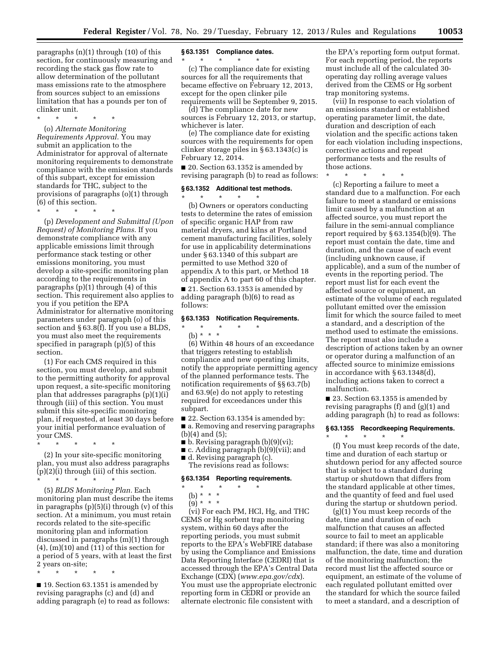paragraphs (n)(1) through (10) of this section, for continuously measuring and recording the stack gas flow rate to allow determination of the pollutant mass emissions rate to the atmosphere from sources subject to an emissions limitation that has a pounds per ton of clinker unit.

\* \* \* \* \*

(o) *Alternate Monitoring Requirements Approval.* You may submit an application to the Administrator for approval of alternate monitoring requirements to demonstrate compliance with the emission standards of this subpart, except for emission standards for THC, subject to the provisions of paragraphs (o)(1) through (6) of this section.

\* \* \* \* \*

(p) *Development and Submittal (Upon Request) of Monitoring Plans.* If you demonstrate compliance with any applicable emissions limit through performance stack testing or other emissions monitoring, you must develop a site-specific monitoring plan according to the requirements in paragraphs (p)(1) through (4) of this section. This requirement also applies to you if you petition the EPA Administrator for alternative monitoring parameters under paragraph (o) of this section and § 63.8(f). If you use a BLDS, you must also meet the requirements specified in paragraph (p)(5) of this section.

(1) For each CMS required in this section, you must develop, and submit to the permitting authority for approval upon request, a site-specific monitoring plan that addresses paragraphs (p)(1)(i) through (iii) of this section. You must submit this site-specific monitoring plan, if requested, at least 30 days before your initial performance evaluation of your CMS.

\* \* \* \* \*

(2) In your site-specific monitoring plan, you must also address paragraphs (p)(2)(i) through (iii) of this section. \* \* \* \* \*

(5) *BLDS Monitoring Plan.* Each monitoring plan must describe the items in paragraphs (p)(5)(i) through (v) of this section. At a minimum, you must retain records related to the site-specific monitoring plan and information discussed in paragraphs (m)(1) through  $(4)$ ,  $(m)(10)$  and  $(11)$  of this section for a period of 5 years, with at least the first 2 years on-site;

\* \* \* \* \*

■ 19. Section 63.1351 is amended by revising paragraphs (c) and (d) and adding paragraph (e) to read as follows:

#### **§ 63.1351 Compliance dates.**

\* \* \* \* \* (c) The compliance date for existing sources for all the requirements that became effective on February 12, 2013, except for the open clinker pile requirements will be September 9, 2015.

(d) The compliance date for new sources is February 12, 2013, or startup, whichever is later.

(e) The compliance date for existing sources with the requirements for open clinker storage piles in § 63.1343(c) is February 12, 2014.

■ 20. Section 63.1352 is amended by revising paragraph (b) to read as follows:

#### **§ 63.1352 Additional test methods.**

\* \* \* \* \*

(b) Owners or operators conducting tests to determine the rates of emission of specific organic HAP from raw material dryers, and kilns at Portland cement manufacturing facilities, solely for use in applicability determinations under § 63.1340 of this subpart are permitted to use Method 320 of appendix A to this part, or Method 18 of appendix A to part 60 of this chapter. ■ 21. Section 63.1353 is amended by

adding paragraph (b)(6) to read as follows:

#### **§ 63.1353 Notification Requirements.**

(b) \* \* \*

\* \* \* \* \*

(6) Within 48 hours of an exceedance that triggers retesting to establish compliance and new operating limits, notify the appropriate permitting agency of the planned performance tests. The notification requirements of §§ 63.7(b) and 63.9(e) do not apply to retesting required for exceedances under this subpart.

■ 22. Section 63.1354 is amended by:

■ a. Removing and reserving paragraphs (b)(4) and (5);

■ b. Revising paragraph (b)(9)(vi);

■ c. Adding paragraph (b)(9)(vii); and

■ d. Revising paragraph (c). The revisions read as follows:

#### **§ 63.1354 Reporting requirements.**

\* \* \* \* \*

(b) \* \* \*

 $(9)^*$  \* \* \*

(vi) For each PM, HCl, Hg, and THC CEMS or Hg sorbent trap monitoring system, within 60 days after the reporting periods, you must submit reports to the EPA's WebFIRE database by using the Compliance and Emissions Data Reporting Interface (CEDRI) that is accessed through the EPA's Central Data Exchange (CDX) (*[www.epa.gov/cdx](http://www.epa.gov/cdx)*). You must use the appropriate electronic reporting form in CEDRI or provide an alternate electronic file consistent with

the EPA's reporting form output format. For each reporting period, the reports must include all of the calculated 30 operating day rolling average values derived from the CEMS or Hg sorbent trap monitoring systems.

(vii) In response to each violation of an emissions standard or established operating parameter limit, the date, duration and description of each violation and the specific actions taken for each violation including inspections, corrective actions and repeat performance tests and the results of those actions.

\* \* \* \* \*

(c) Reporting a failure to meet a standard due to a malfunction. For each failure to meet a standard or emissions limit caused by a malfunction at an affected source, you must report the failure in the semi-annual compliance report required by § 63.1354(b)(9). The report must contain the date, time and duration, and the cause of each event (including unknown cause, if applicable), and a sum of the number of events in the reporting period. The report must list for each event the affected source or equipment, an estimate of the volume of each regulated pollutant emitted over the emission limit for which the source failed to meet a standard, and a description of the method used to estimate the emissions. The report must also include a description of actions taken by an owner or operator during a malfunction of an affected source to minimize emissions in accordance with § 63.1348(d), including actions taken to correct a malfunction.

■ 23. Section 63.1355 is amended by revising paragraphs (f) and (g)(1) and adding paragraph (h) to read as follows:

#### **§ 63.1355 Recordkeeping Requirements.**

\* \* \* \* \*

(f) You must keep records of the date, time and duration of each startup or shutdown period for any affected source that is subject to a standard during startup or shutdown that differs from the standard applicable at other times, and the quantity of feed and fuel used during the startup or shutdown period.

 $(g)(1)$  You must keep records of the date, time and duration of each malfunction that causes an affected source to fail to meet an applicable standard; if there was also a monitoring malfunction, the date, time and duration of the monitoring malfunction; the record must list the affected source or equipment, an estimate of the volume of each regulated pollutant emitted over the standard for which the source failed to meet a standard, and a description of